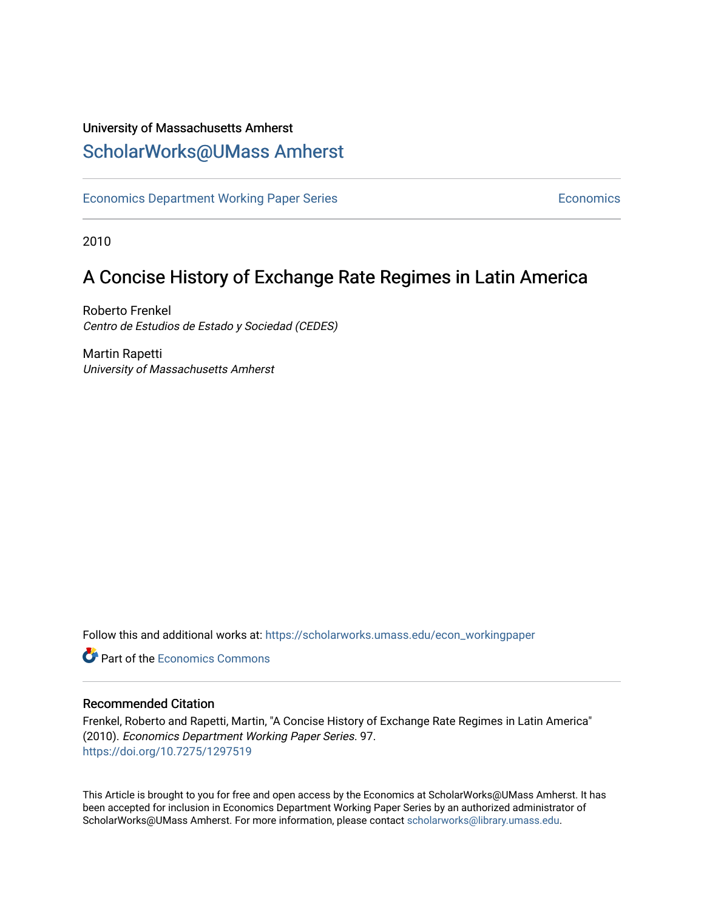## University of Massachusetts Amherst [ScholarWorks@UMass Amherst](https://scholarworks.umass.edu/)

[Economics Department Working Paper Series](https://scholarworks.umass.edu/econ_workingpaper) **Economics** Economics

2010

## A Concise History of Exchange Rate Regimes in Latin America

Roberto Frenkel Centro de Estudios de Estado y Sociedad (CEDES)

Martin Rapetti University of Massachusetts Amherst

Follow this and additional works at: [https://scholarworks.umass.edu/econ\\_workingpaper](https://scholarworks.umass.edu/econ_workingpaper?utm_source=scholarworks.umass.edu%2Fecon_workingpaper%2F97&utm_medium=PDF&utm_campaign=PDFCoverPages) 

**C** Part of the [Economics Commons](http://network.bepress.com/hgg/discipline/340?utm_source=scholarworks.umass.edu%2Fecon_workingpaper%2F97&utm_medium=PDF&utm_campaign=PDFCoverPages)

#### Recommended Citation

Frenkel, Roberto and Rapetti, Martin, "A Concise History of Exchange Rate Regimes in Latin America" (2010). Economics Department Working Paper Series. 97. <https://doi.org/10.7275/1297519>

This Article is brought to you for free and open access by the Economics at ScholarWorks@UMass Amherst. It has been accepted for inclusion in Economics Department Working Paper Series by an authorized administrator of ScholarWorks@UMass Amherst. For more information, please contact [scholarworks@library.umass.edu.](mailto:scholarworks@library.umass.edu)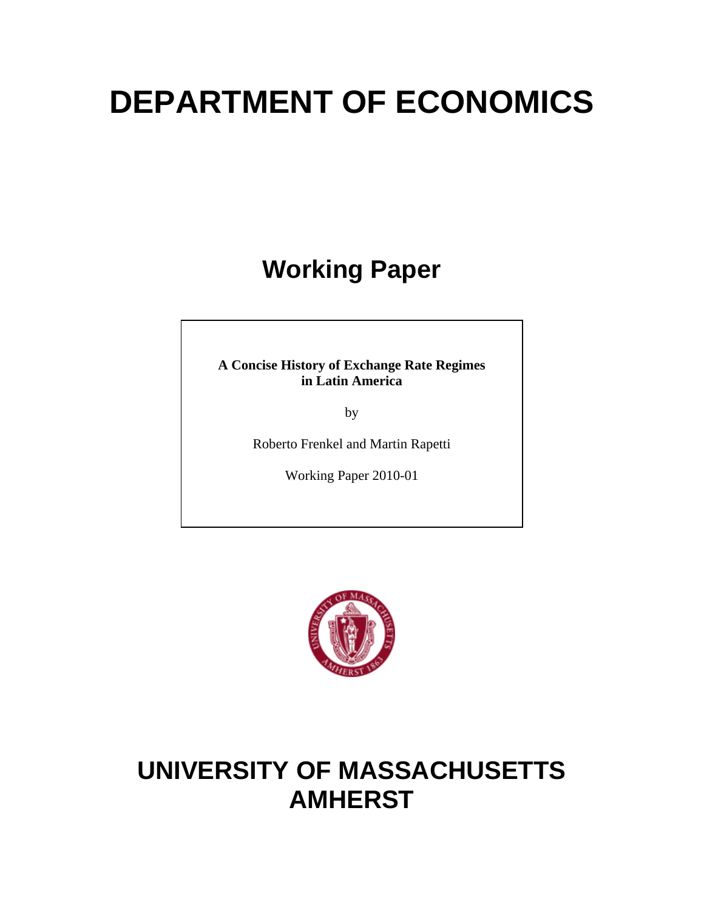# **DEPARTMENT OF ECONOMICS**

## **Working Paper**

**A Concise History of Exchange Rate Regimes in Latin America** 

by

Roberto Frenkel and Martin Rapetti

Working Paper 2010-01



## **UNIVERSITY OF MASSACHUSETTS AMHERST**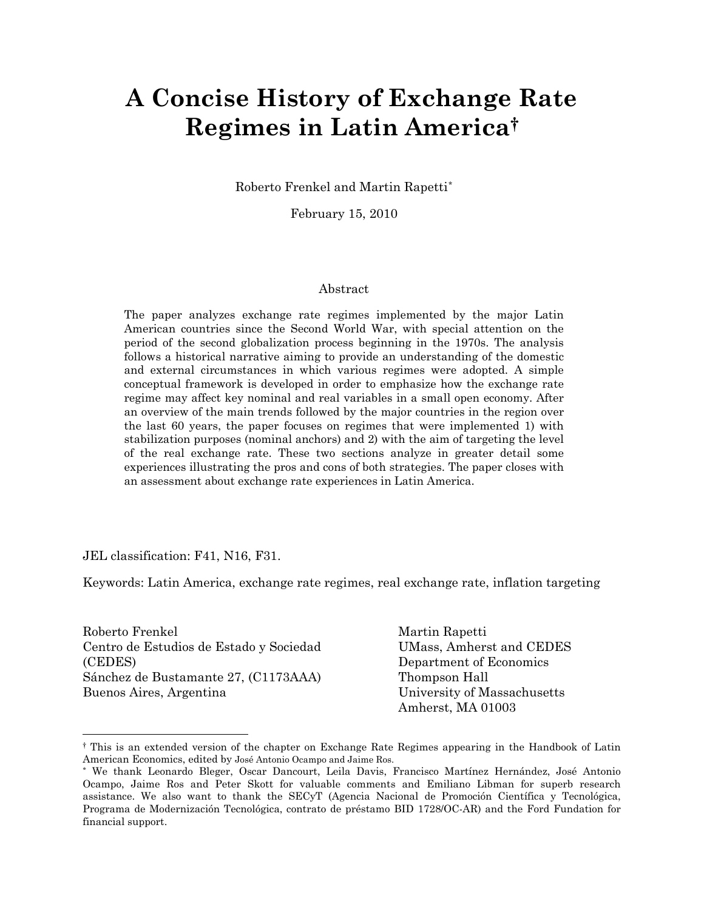## **A Concise History of Exchange [R](#page-2-0)ate Regimes in Latin America[†](#page-2-0)**

Roberto Frenkel and Martin Rapetti[\\*](#page-2-1)

February 15, 2010

#### Abstract

The paper analyzes exchange rate regimes implemented by the major Latin American countries since the Second World War, with special attention on the period of the second globalization process beginning in the 1970s. The analysis follows a historical narrative aiming to provide an understanding of the domestic and external circumstances in which various regimes were adopted. A simple conceptual framework is developed in order to emphasize how the exchange rate regime may affect key nominal and real variables in a small open economy. After an overview of the main trends followed by the major countries in the region over the last 60 years, the paper focuses on regimes that were implemented 1) with stabilization purposes (nominal anchors) and 2) with the aim of targeting the level of the real exchange rate. These two sections analyze in greater detail some experiences illustrating the pros and cons of both strategies. The paper closes with an assessment about exchange rate experiences in Latin America.

JEL classification: F41, N16, F31.

Keywords: Latin America, exchange rate regimes, real exchange rate, inflation targeting

Roberto Frenkel Centro de Estudios de Estado y Sociedad (CEDES) Sánchez de Bustamante 27, (C1173AAA) Buenos Aires, Argentina

Martin Rapetti UMass, Amherst and CEDES Department of Economics Thompson Hall University of Massachusetts Amherst, MA 01003

<span id="page-2-0"></span><sup>†</sup> This is an extended version of the chapter on Exchange Rate Regimes appearing in the Handbook of Latin American Economics, edited by José Antonio Ocampo and Jaime Ros.

<span id="page-2-1"></span><sup>\*</sup> We thank Leonardo Bleger, Oscar Dancourt, Leila Davis, Francisco Martínez Hernández, José Antonio Ocampo, Jaime Ros and Peter Skott for valuable comments and Emiliano Libman for superb research assistance. We also want to thank the SECyT (Agencia Nacional de Promoción Científica y Tecnológica, Programa de Modernización Tecnológica, contrato de préstamo BID 1728/OC-AR) and the Ford Fundation for financial support.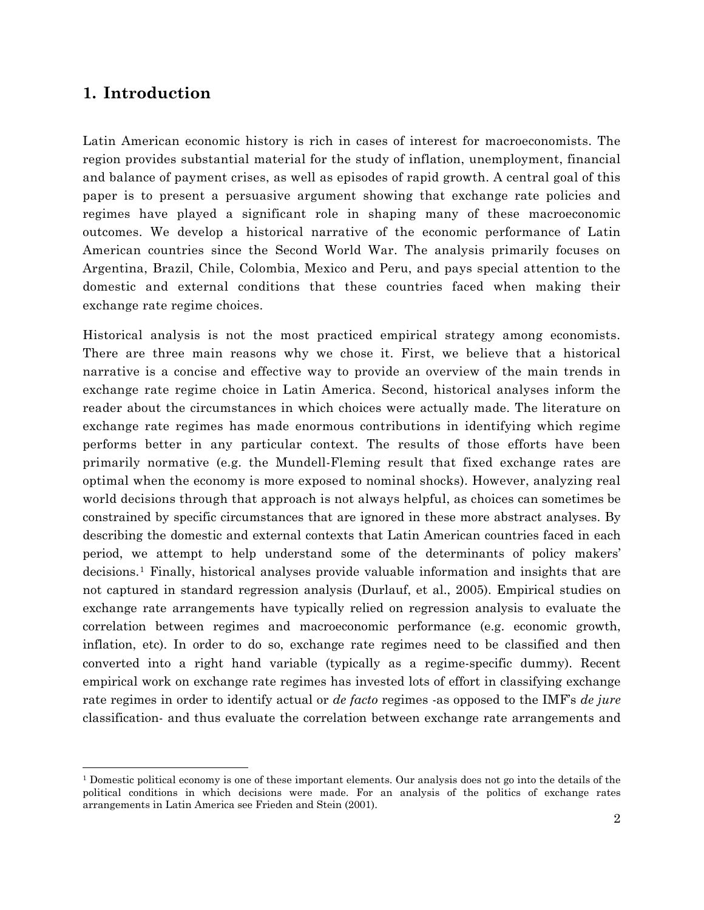## **1. Introduction**

 $\overline{a}$ 

Latin American economic history is rich in cases of interest for macroeconomists. The region provides substantial material for the study of inflation, unemployment, financial and balance of payment crises, as well as episodes of rapid growth. A central goal of this paper is to present a persuasive argument showing that exchange rate policies and regimes have played a significant role in shaping many of these macroeconomic outcomes. We develop a historical narrative of the economic performance of Latin American countries since the Second World War. The analysis primarily focuses on Argentina, Brazil, Chile, Colombia, Mexico and Peru, and pays special attention to the domestic and external conditions that these countries faced when making their exchange rate regime choices.

Historical analysis is not the most practiced empirical strategy among economists. There are three main reasons why we chose it. First, we believe that a historical narrative is a concise and effective way to provide an overview of the main trends in exchange rate regime choice in Latin America. Second, historical analyses inform the reader about the circumstances in which choices were actually made. The literature on exchange rate regimes has made enormous contributions in identifying which regime performs better in any particular context. The results of those efforts have been primarily normative (e.g. the Mundell-Fleming result that fixed exchange rates are optimal when the economy is more exposed to nominal shocks). However, analyzing real world decisions through that approach is not always helpful, as choices can sometimes be constrained by specific circumstances that are ignored in these more abstract analyses. By describing the domestic and external contexts that Latin American countries faced in each period, we attempt to help understand some of the determinants of policy makers' decisions.[1](#page-3-0) Finally, historical analyses provide valuable information and insights that are not captured in standard regression analysis (Durlauf, et al., 2005). Empirical studies on exchange rate arrangements have typically relied on regression analysis to evaluate the correlation between regimes and macroeconomic performance (e.g. economic growth, inflation, etc). In order to do so, exchange rate regimes need to be classified and then converted into a right hand variable (typically as a regime-specific dummy). Recent empirical work on exchange rate regimes has invested lots of effort in classifying exchange rate regimes in order to identify actual or *de facto* regimes -as opposed to the IMF's *de jure* classification- and thus evaluate the correlation between exchange rate arrangements and

<span id="page-3-0"></span><sup>&</sup>lt;sup>1</sup> Domestic political economy is one of these important elements. Our analysis does not go into the details of the political conditions in which decisions were made. For an analysis of the politics of exchange rates arrangements in Latin America see Frieden and Stein (2001).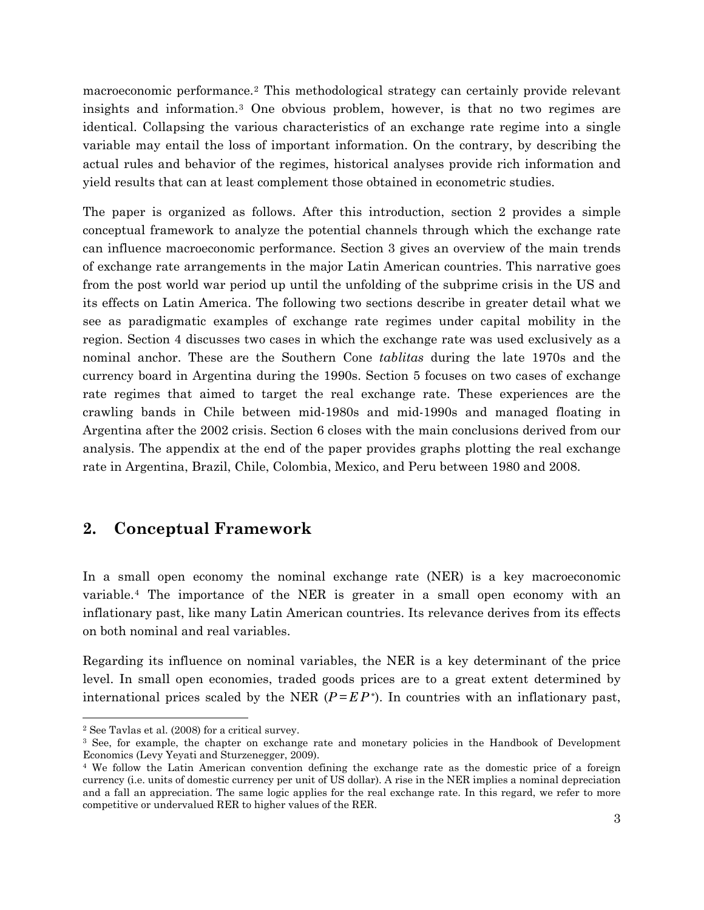macroeconomic performance.[2](#page-4-0) This methodological strategy can certainly provide relevant insights and information.[3](#page-4-1) One obvious problem, however, is that no two regimes are identical. Collapsing the various characteristics of an exchange rate regime into a single variable may entail the loss of important information. On the contrary, by describing the actual rules and behavior of the regimes, historical analyses provide rich information and yield results that can at least complement those obtained in econometric studies.

The paper is organized as follows. After this introduction, section 2 provides a simple conceptual framework to analyze the potential channels through which the exchange rate can influence macroeconomic performance. Section 3 gives an overview of the main trends of exchange rate arrangements in the major Latin American countries. This narrative goes from the post world war period up until the unfolding of the subprime crisis in the US and its effects on Latin America. The following two sections describe in greater detail what we see as paradigmatic examples of exchange rate regimes under capital mobility in the region. Section 4 discusses two cases in which the exchange rate was used exclusively as a nominal anchor. These are the Southern Cone *tablitas* during the late 1970s and the currency board in Argentina during the 1990s. Section 5 focuses on two cases of exchange rate regimes that aimed to target the real exchange rate. These experiences are the crawling bands in Chile between mid-1980s and mid-1990s and managed floating in Argentina after the 2002 crisis. Section 6 closes with the main conclusions derived from our analysis. The appendix at the end of the paper provides graphs plotting the real exchange rate in Argentina, Brazil, Chile, Colombia, Mexico, and Peru between 1980 and 2008.

## **2. Conceptual Framework**

In a small open economy the nominal exchange rate (NER) is a key macroeconomic variable.[4](#page-4-2) The importance of the NER is greater in a small open economy with an inflationary past, like many Latin American countries. Its relevance derives from its effects on both nominal and real variables.

Regarding its influence on nominal variables, the NER is a key determinant of the price level. In small open economies, traded goods prices are to a great extent determined by international prices scaled by the NER  $(P=EP^*)$ . In countries with an inflationary past,

-

<span id="page-4-0"></span><sup>2</sup> See Tavlas et al. (2008) for a critical survey.

<span id="page-4-1"></span><sup>&</sup>lt;sup>3</sup> See, for example, the chapter on exchange rate and monetary policies in the Handbook of Development Economics (Levy Yeyati and Sturzenegger, 2009).

<span id="page-4-2"></span><sup>4</sup> We follow the Latin American convention defining the exchange rate as the domestic price of a foreign currency (i.e. units of domestic currency per unit of US dollar). A rise in the NER implies a nominal depreciation and a fall an appreciation. The same logic applies for the real exchange rate. In this regard, we refer to more competitive or undervalued RER to higher values of the RER.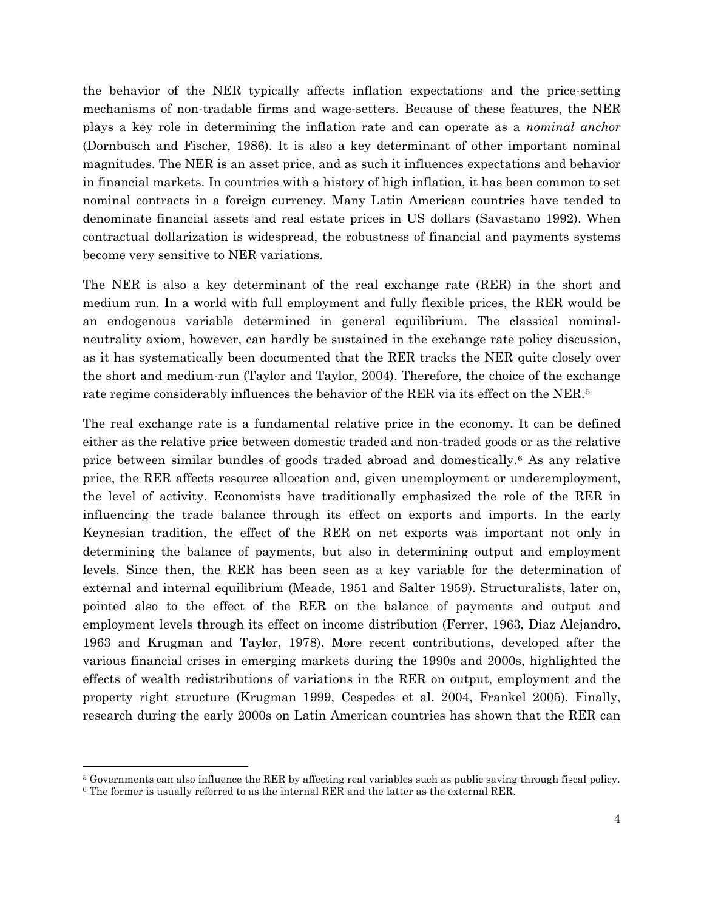the behavior of the NER typically affects inflation expectations and the price-setting mechanisms of non-tradable firms and wage-setters. Because of these features, the NER plays a key role in determining the inflation rate and can operate as a *nominal anchor* (Dornbusch and Fischer, 1986). It is also a key determinant of other important nominal magnitudes. The NER is an asset price, and as such it influences expectations and behavior in financial markets. In countries with a history of high inflation, it has been common to set nominal contracts in a foreign currency. Many Latin American countries have tended to denominate financial assets and real estate prices in US dollars (Savastano 1992). When contractual dollarization is widespread, the robustness of financial and payments systems become very sensitive to NER variations.

The NER is also a key determinant of the real exchange rate (RER) in the short and medium run. In a world with full employment and fully flexible prices, the RER would be an endogenous variable determined in general equilibrium. The classical nominalneutrality axiom, however, can hardly be sustained in the exchange rate policy discussion, as it has systematically been documented that the RER tracks the NER quite closely over the short and medium-run (Taylor and Taylor, 2004). Therefore, the choice of the exchange rate regime considerably influences the behavior of the RER via its effect on the NER.<sup>[5](#page-5-0)</sup>

The real exchange rate is a fundamental relative price in the economy. It can be defined either as the relative price between domestic traded and non-traded goods or as the relative price between similar bundles of goods traded abroad and domestically.[6](#page-5-1) As any relative price, the RER affects resource allocation and, given unemployment or underemployment, the level of activity. Economists have traditionally emphasized the role of the RER in influencing the trade balance through its effect on exports and imports. In the early Keynesian tradition, the effect of the RER on net exports was important not only in determining the balance of payments, but also in determining output and employment levels. Since then, the RER has been seen as a key variable for the determination of external and internal equilibrium (Meade, 1951 and Salter 1959). Structuralists, later on, pointed also to the effect of the RER on the balance of payments and output and employment levels through its effect on income distribution (Ferrer, 1963, Diaz Alejandro, 1963 and Krugman and Taylor, 1978). More recent contributions, developed after the various financial crises in emerging markets during the 1990s and 2000s, highlighted the effects of wealth redistributions of variations in the RER on output, employment and the property right structure (Krugman 1999, Cespedes et al. 2004, Frankel 2005). Finally, research during the early 2000s on Latin American countries has shown that the RER can

 $\overline{a}$ 

<span id="page-5-0"></span><sup>5</sup> Governments can also influence the RER by affecting real variables such as public saving through fiscal policy. 6 The former is usually referred to as the internal RER and the latter as the external RER.

<span id="page-5-1"></span>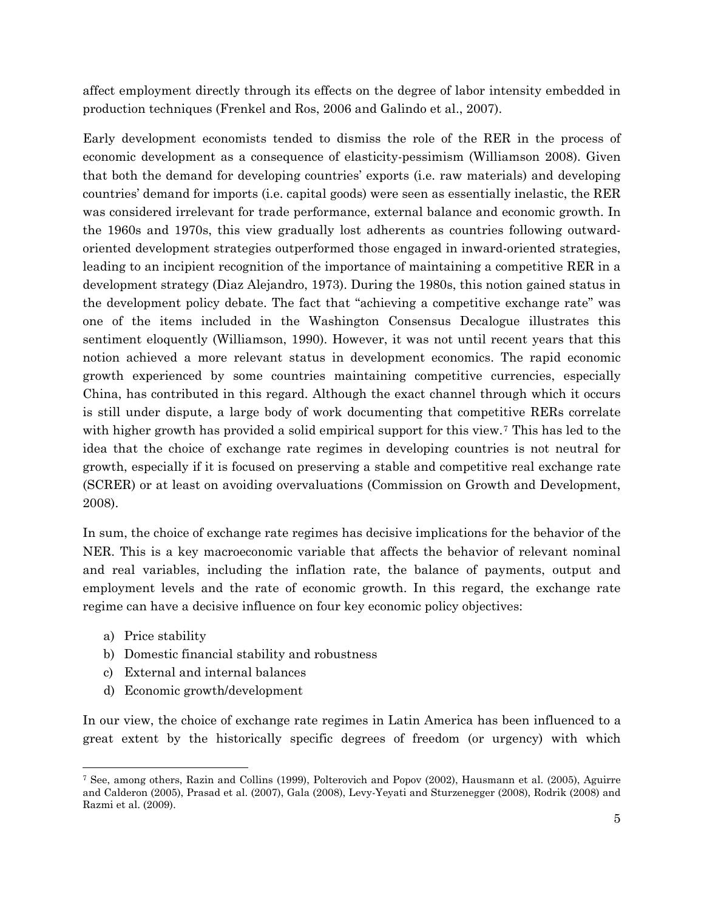affect employment directly through its effects on the degree of labor intensity embedded in production techniques (Frenkel and Ros, 2006 and Galindo et al., 2007).

Early development economists tended to dismiss the role of the RER in the process of economic development as a consequence of elasticity-pessimism (Williamson 2008). Given that both the demand for developing countries' exports (i.e. raw materials) and developing countries' demand for imports (i.e. capital goods) were seen as essentially inelastic, the RER was considered irrelevant for trade performance, external balance and economic growth. In the 1960s and 1970s, this view gradually lost adherents as countries following outwardoriented development strategies outperformed those engaged in inward-oriented strategies, leading to an incipient recognition of the importance of maintaining a competitive RER in a development strategy (Diaz Alejandro, 1973). During the 1980s, this notion gained status in the development policy debate. The fact that "achieving a competitive exchange rate" was one of the items included in the Washington Consensus Decalogue illustrates this sentiment eloquently (Williamson, 1990). However, it was not until recent years that this notion achieved a more relevant status in development economics. The rapid economic growth experienced by some countries maintaining competitive currencies, especially China, has contributed in this regard. Although the exact channel through which it occurs is still under dispute, a large body of work documenting that competitive RERs correlate with higher growth has provided a solid empirical support for this view.<sup>[7](#page-6-0)</sup> This has led to the idea that the choice of exchange rate regimes in developing countries is not neutral for growth, especially if it is focused on preserving a stable and competitive real exchange rate (SCRER) or at least on avoiding overvaluations (Commission on Growth and Development, 2008).

In sum, the choice of exchange rate regimes has decisive implications for the behavior of the NER. This is a key macroeconomic variable that affects the behavior of relevant nominal and real variables, including the inflation rate, the balance of payments, output and employment levels and the rate of economic growth. In this regard, the exchange rate regime can have a decisive influence on four key economic policy objectives:

- a) Price stability
- b) Domestic financial stability and robustness
- c) External and internal balances
- d) Economic growth/development

In our view, the choice of exchange rate regimes in Latin America has been influenced to a great extent by the historically specific degrees of freedom (or urgency) with which

<span id="page-6-0"></span> $\overline{a}$ 7 See, among others, Razin and Collins (1999), Polterovich and Popov (2002), Hausmann et al. (2005), Aguirre and Calderon (2005), Prasad et al. (2007), Gala (2008), Levy-Yeyati and Sturzenegger (2008), Rodrik (2008) and Razmi et al. (2009).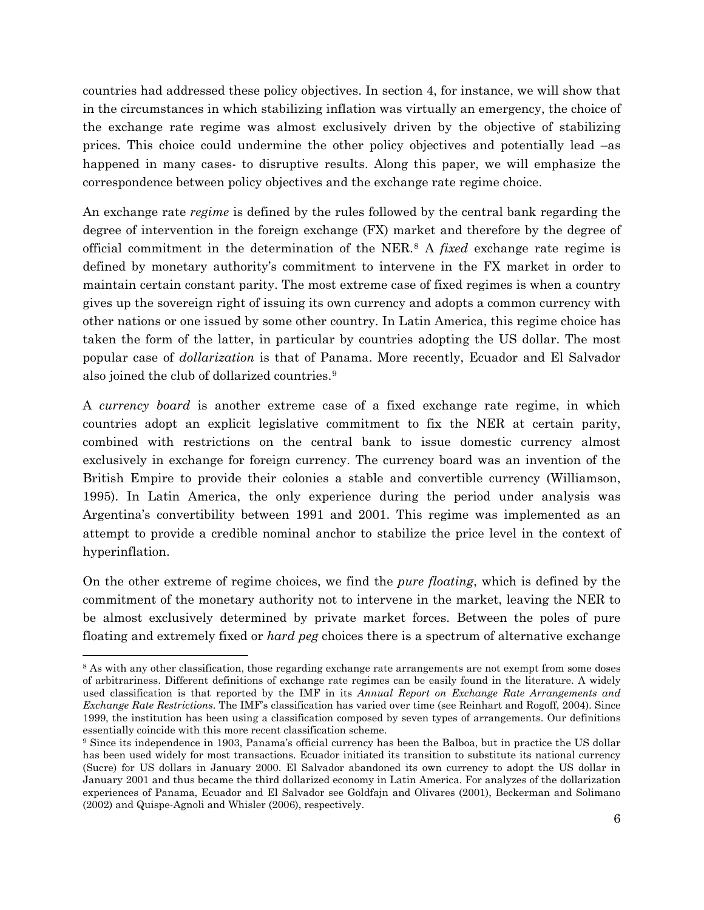countries had addressed these policy objectives. In section 4, for instance, we will show that in the circumstances in which stabilizing inflation was virtually an emergency, the choice of the exchange rate regime was almost exclusively driven by the objective of stabilizing prices. This choice could undermine the other policy objectives and potentially lead –as happened in many cases- to disruptive results. Along this paper, we will emphasize the correspondence between policy objectives and the exchange rate regime choice.

An exchange rate *regime* is defined by the rules followed by the central bank regarding the degree of intervention in the foreign exchange (FX) market and therefore by the degree of official commitment in the determination of the NER.[8](#page-7-0) A *fixed* exchange rate regime is defined by monetary authority's commitment to intervene in the FX market in order to maintain certain constant parity. The most extreme case of fixed regimes is when a country gives up the sovereign right of issuing its own currency and adopts a common currency with other nations or one issued by some other country. In Latin America, this regime choice has taken the form of the latter, in particular by countries adopting the US dollar. The most popular case of *dollarization* is that of Panama. More recently, Ecuador and El Salvador also joined the club of dollarized countries.[9](#page-7-1)

A *currency board* is another extreme case of a fixed exchange rate regime, in which countries adopt an explicit legislative commitment to fix the NER at certain parity, combined with restrictions on the central bank to issue domestic currency almost exclusively in exchange for foreign currency. The currency board was an invention of the British Empire to provide their colonies a stable and convertible currency (Williamson, 1995). In Latin America, the only experience during the period under analysis was Argentina's convertibility between 1991 and 2001. This regime was implemented as an attempt to provide a credible nominal anchor to stabilize the price level in the context of hyperinflation.

On the other extreme of regime choices, we find the *pure floating*, which is defined by the commitment of the monetary authority not to intervene in the market, leaving the NER to be almost exclusively determined by private market forces. Between the poles of pure floating and extremely fixed or *hard peg* choices there is a spectrum of alternative exchange

-

<span id="page-7-0"></span><sup>&</sup>lt;sup>8</sup> As with any other classification, those regarding exchange rate arrangements are not exempt from some doses of arbitrariness. Different definitions of exchange rate regimes can be easily found in the literature. A widely used classification is that reported by the IMF in its *Annual Report on Exchange Rate Arrangements and Exchange Rate Restrictions*. The IMF's classification has varied over time (see Reinhart and Rogoff, 2004). Since 1999, the institution has been using a classification composed by seven types of arrangements. Our definitions essentially coincide with this more recent classification scheme.<br><sup>9</sup> Since its independence in 1903, Panama's official currency has been the Balboa, but in practice the US dollar

<span id="page-7-1"></span>has been used widely for most transactions. Ecuador initiated its transition to substitute its national currency (Sucre) for US dollars in January 2000. El Salvador abandoned its own currency to adopt the US dollar in January 2001 and thus became the third dollarized economy in Latin America. For analyzes of the dollarization experiences of Panama, Ecuador and El Salvador see Goldfajn and Olivares (2001), Beckerman and Solimano (2002) and Quispe-Agnoli and Whisler (2006), respectively.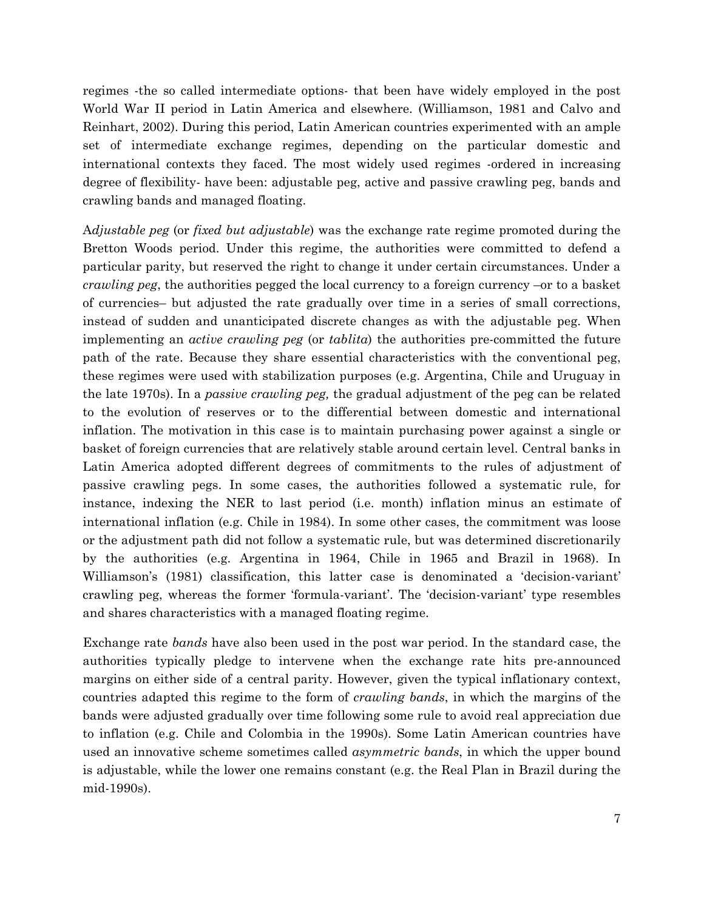regimes -the so called intermediate options- that been have widely employed in the post World War II period in Latin America and elsewhere. (Williamson, 1981 and Calvo and Reinhart, 2002). During this period, Latin American countries experimented with an ample set of intermediate exchange regimes, depending on the particular domestic and international contexts they faced. The most widely used regimes -ordered in increasing degree of flexibility- have been: adjustable peg, active and passive crawling peg, bands and crawling bands and managed floating.

A*djustable peg* (or *fixed but adjustable*) was the exchange rate regime promoted during the Bretton Woods period. Under this regime, the authorities were committed to defend a particular parity, but reserved the right to change it under certain circumstances. Under a *crawling peg*, the authorities pegged the local currency to a foreign currency –or to a basket of currencies– but adjusted the rate gradually over time in a series of small corrections, instead of sudden and unanticipated discrete changes as with the adjustable peg. When implementing an *active crawling peg* (or *tablita*) the authorities pre-committed the future path of the rate. Because they share essential characteristics with the conventional peg, these regimes were used with stabilization purposes (e.g. Argentina, Chile and Uruguay in the late 1970s). In a *passive crawling peg,* the gradual adjustment of the peg can be related to the evolution of reserves or to the differential between domestic and international inflation. The motivation in this case is to maintain purchasing power against a single or basket of foreign currencies that are relatively stable around certain level. Central banks in Latin America adopted different degrees of commitments to the rules of adjustment of passive crawling pegs. In some cases, the authorities followed a systematic rule, for instance, indexing the NER to last period (i.e. month) inflation minus an estimate of international inflation (e.g. Chile in 1984). In some other cases, the commitment was loose or the adjustment path did not follow a systematic rule, but was determined discretionarily by the authorities (e.g. Argentina in 1964, Chile in 1965 and Brazil in 1968). In Williamson's (1981) classification, this latter case is denominated a 'decision-variant' crawling peg, whereas the former 'formula-variant'. The 'decision-variant' type resembles and shares characteristics with a managed floating regime.

Exchange rate *bands* have also been used in the post war period. In the standard case, the authorities typically pledge to intervene when the exchange rate hits pre-announced margins on either side of a central parity. However, given the typical inflationary context, countries adapted this regime to the form of *crawling bands*, in which the margins of the bands were adjusted gradually over time following some rule to avoid real appreciation due to inflation (e.g. Chile and Colombia in the 1990s). Some Latin American countries have used an innovative scheme sometimes called *asymmetric bands*, in which the upper bound is adjustable, while the lower one remains constant (e.g. the Real Plan in Brazil during the mid-1990s).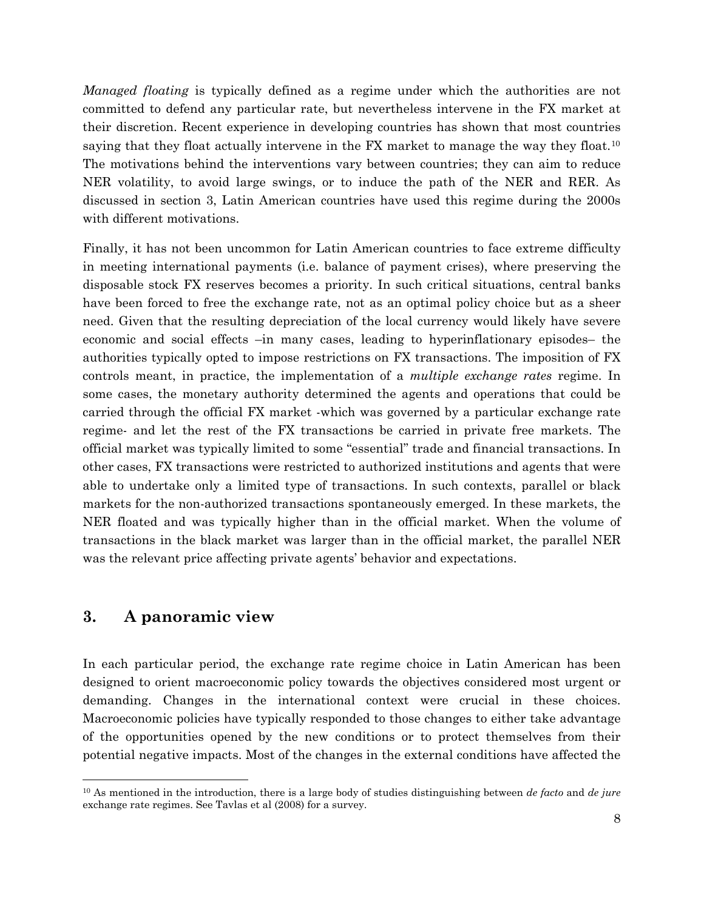*Managed floating* is typically defined as a regime under which the authorities are not committed to defend any particular rate, but nevertheless intervene in the FX market at their discretion. Recent experience in developing countries has shown that most countries saying that they float actually intervene in the FX market to manage the way they float.<sup>[10](#page-9-0)</sup> The motivations behind the interventions vary between countries; they can aim to reduce NER volatility, to avoid large swings, or to induce the path of the NER and RER. As discussed in section 3, Latin American countries have used this regime during the 2000s with different motivations.

Finally, it has not been uncommon for Latin American countries to face extreme difficulty in meeting international payments (i.e. balance of payment crises), where preserving the disposable stock FX reserves becomes a priority. In such critical situations, central banks have been forced to free the exchange rate, not as an optimal policy choice but as a sheer need. Given that the resulting depreciation of the local currency would likely have severe economic and social effects –in many cases, leading to hyperinflationary episodes– the authorities typically opted to impose restrictions on FX transactions. The imposition of FX controls meant, in practice, the implementation of a *multiple exchange rates* regime. In some cases, the monetary authority determined the agents and operations that could be carried through the official FX market -which was governed by a particular exchange rate regime- and let the rest of the FX transactions be carried in private free markets. The official market was typically limited to some "essential" trade and financial transactions. In other cases, FX transactions were restricted to authorized institutions and agents that were able to undertake only a limited type of transactions. In such contexts, parallel or black markets for the non-authorized transactions spontaneously emerged. In these markets, the NER floated and was typically higher than in the official market. When the volume of transactions in the black market was larger than in the official market, the parallel NER was the relevant price affecting private agents' behavior and expectations.

## **3. A panoramic view**

 $\overline{a}$ 

In each particular period, the exchange rate regime choice in Latin American has been designed to orient macroeconomic policy towards the objectives considered most urgent or demanding. Changes in the international context were crucial in these choices. Macroeconomic policies have typically responded to those changes to either take advantage of the opportunities opened by the new conditions or to protect themselves from their potential negative impacts. Most of the changes in the external conditions have affected the

<span id="page-9-0"></span><sup>10</sup> As mentioned in the introduction, there is a large body of studies distinguishing between *de facto* and *de jure* exchange rate regimes. See Tavlas et al (2008) for a survey.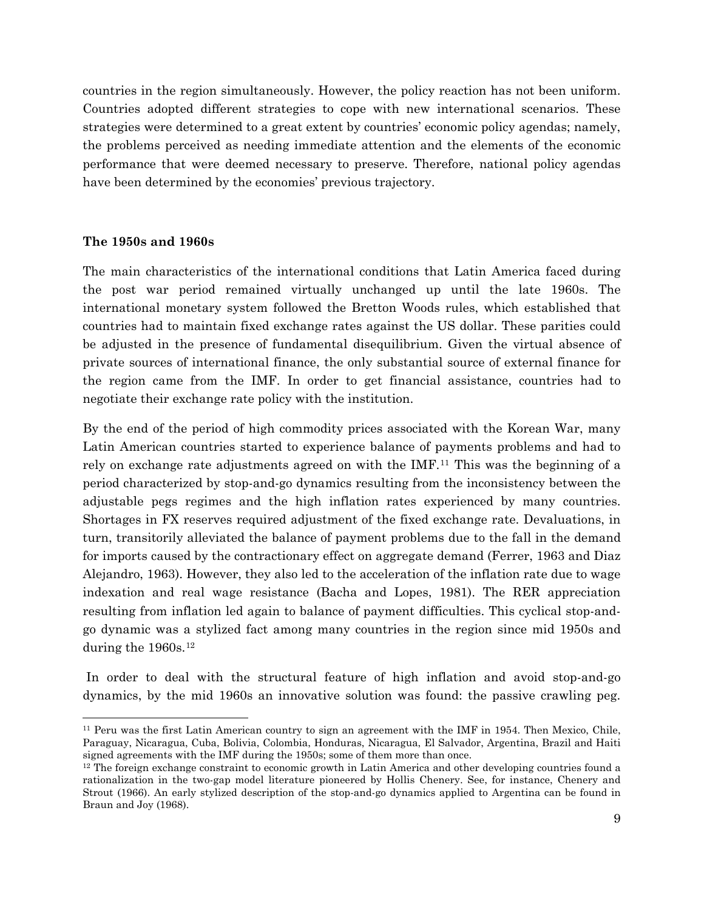countries in the region simultaneously. However, the policy reaction has not been uniform. Countries adopted different strategies to cope with new international scenarios. These strategies were determined to a great extent by countries' economic policy agendas; namely, the problems perceived as needing immediate attention and the elements of the economic performance that were deemed necessary to preserve. Therefore, national policy agendas have been determined by the economies' previous trajectory.

#### **The 1950s and 1960s**

-

The main characteristics of the international conditions that Latin America faced during the post war period remained virtually unchanged up until the late 1960s. The international monetary system followed the Bretton Woods rules, which established that countries had to maintain fixed exchange rates against the US dollar. These parities could be adjusted in the presence of fundamental disequilibrium. Given the virtual absence of private sources of international finance, the only substantial source of external finance for the region came from the IMF. In order to get financial assistance, countries had to negotiate their exchange rate policy with the institution.

By the end of the period of high commodity prices associated with the Korean War, many Latin American countries started to experience balance of payments problems and had to rely on exchange rate adjustments agreed on with the IMF.[11](#page-10-0) This was the beginning of a period characterized by stop-and-go dynamics resulting from the inconsistency between the adjustable pegs regimes and the high inflation rates experienced by many countries. Shortages in FX reserves required adjustment of the fixed exchange rate. Devaluations, in turn, transitorily alleviated the balance of payment problems due to the fall in the demand for imports caused by the contractionary effect on aggregate demand (Ferrer, 1963 and Diaz Alejandro, 1963). However, they also led to the acceleration of the inflation rate due to wage indexation and real wage resistance (Bacha and Lopes, 1981). The RER appreciation resulting from inflation led again to balance of payment difficulties. This cyclical stop-andgo dynamic was a stylized fact among many countries in the region since mid 1950s and during the 1960s.<sup>[12](#page-10-1)</sup>

 In order to deal with the structural feature of high inflation and avoid stop-and-go dynamics, by the mid 1960s an innovative solution was found: the passive crawling peg.

<span id="page-10-0"></span><sup>11</sup> Peru was the first Latin American country to sign an agreement with the IMF in 1954. Then Mexico, Chile, Paraguay, Nicaragua, Cuba, Bolivia, Colombia, Honduras, Nicaragua, El Salvador, Argentina, Brazil and Haiti signed agreements with the IMF during the 1950s; some of them more than once.

<span id="page-10-1"></span><sup>&</sup>lt;sup>12</sup> The foreign exchange constraint to economic growth in Latin America and other developing countries found a rationalization in the two-gap model literature pioneered by Hollis Chenery. See, for instance, Chenery and Strout (1966). An early stylized description of the stop-and-go dynamics applied to Argentina can be found in Braun and Joy (1968).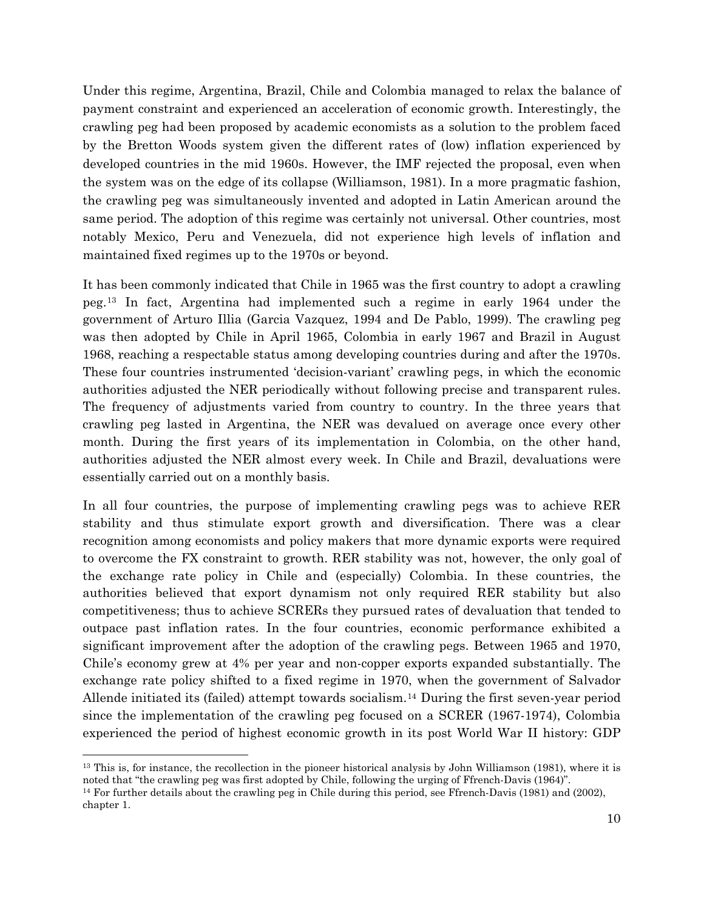Under this regime, Argentina, Brazil, Chile and Colombia managed to relax the balance of payment constraint and experienced an acceleration of economic growth. Interestingly, the crawling peg had been proposed by academic economists as a solution to the problem faced by the Bretton Woods system given the different rates of (low) inflation experienced by developed countries in the mid 1960s. However, the IMF rejected the proposal, even when the system was on the edge of its collapse (Williamson, 1981). In a more pragmatic fashion, the crawling peg was simultaneously invented and adopted in Latin American around the same period. The adoption of this regime was certainly not universal. Other countries, most notably Mexico, Peru and Venezuela, did not experience high levels of inflation and maintained fixed regimes up to the 1970s or beyond.

It has been commonly indicated that Chile in 1965 was the first country to adopt a crawling peg.[13](#page-11-0) In fact, Argentina had implemented such a regime in early 1964 under the government of Arturo Illia (Garcia Vazquez, 1994 and De Pablo, 1999). The crawling peg was then adopted by Chile in April 1965, Colombia in early 1967 and Brazil in August 1968, reaching a respectable status among developing countries during and after the 1970s. These four countries instrumented 'decision-variant' crawling pegs, in which the economic authorities adjusted the NER periodically without following precise and transparent rules. The frequency of adjustments varied from country to country. In the three years that crawling peg lasted in Argentina, the NER was devalued on average once every other month. During the first years of its implementation in Colombia, on the other hand, authorities adjusted the NER almost every week. In Chile and Brazil, devaluations were essentially carried out on a monthly basis.

In all four countries, the purpose of implementing crawling pegs was to achieve RER stability and thus stimulate export growth and diversification. There was a clear recognition among economists and policy makers that more dynamic exports were required to overcome the FX constraint to growth. RER stability was not, however, the only goal of the exchange rate policy in Chile and (especially) Colombia. In these countries, the authorities believed that export dynamism not only required RER stability but also competitiveness; thus to achieve SCRERs they pursued rates of devaluation that tended to outpace past inflation rates. In the four countries, economic performance exhibited a significant improvement after the adoption of the crawling pegs. Between 1965 and 1970, Chile's economy grew at 4% per year and non-copper exports expanded substantially. The exchange rate policy shifted to a fixed regime in 1970, when the government of Salvador Allende initiated its (failed) attempt towards socialism[.14](#page-11-1) During the first seven-year period since the implementation of the crawling peg focused on a SCRER (1967-1974), Colombia experienced the period of highest economic growth in its post World War II history: GDP

<span id="page-11-0"></span> $13$  This is, for instance, the recollection in the pioneer historical analysis by John Williamson (1981), where it is noted that "the crawling peg was first adopted by Chile, following the urging of Ffrench-Davis (1964)".

<span id="page-11-1"></span><sup>14</sup> For further details about the crawling peg in Chile during this period, see Ffrench-Davis (1981) and (2002), chapter 1.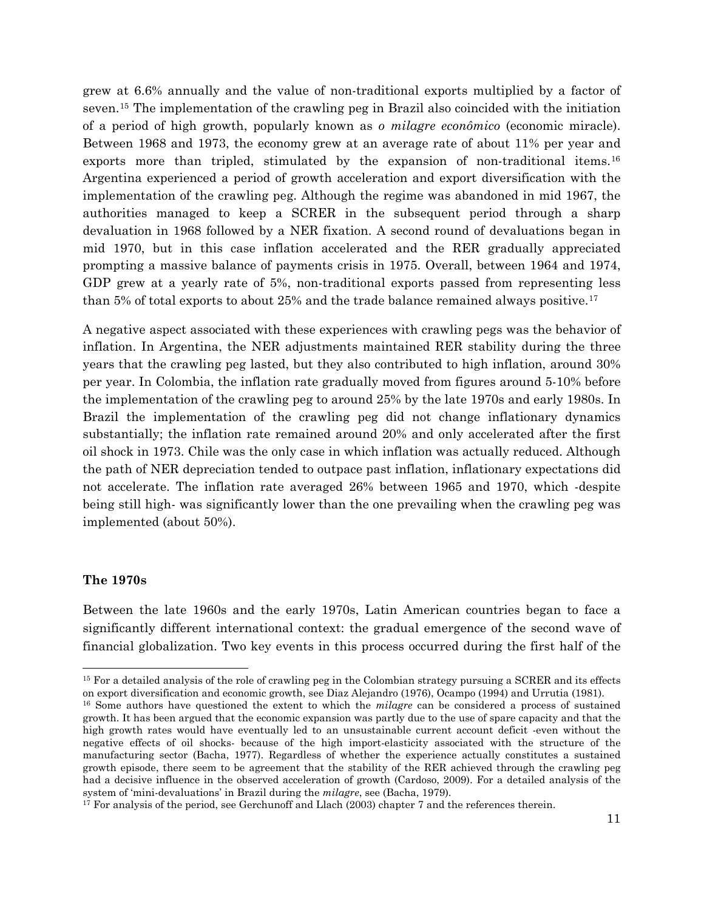grew at 6.6% annually and the value of non-traditional exports multiplied by a factor of seven.[15](#page-12-0) The implementation of the crawling peg in Brazil also coincided with the initiation of a period of high growth, popularly known as *o milagre econômico* (economic miracle). Between 1968 and 1973, the economy grew at an average rate of about 11% per year and exports more than tripled, stimulated by the expansion of non-traditional items.<sup>[16](#page-12-1)</sup> Argentina experienced a period of growth acceleration and export diversification with the implementation of the crawling peg. Although the regime was abandoned in mid 1967, the authorities managed to keep a SCRER in the subsequent period through a sharp devaluation in 1968 followed by a NER fixation. A second round of devaluations began in mid 1970, but in this case inflation accelerated and the RER gradually appreciated prompting a massive balance of payments crisis in 1975. Overall, between 1964 and 1974, GDP grew at a yearly rate of 5%, non-traditional exports passed from representing less than 5% of total exports to about 25% and the trade balance remained always positive.<sup>[17](#page-12-2)</sup>

A negative aspect associated with these experiences with crawling pegs was the behavior of inflation. In Argentina, the NER adjustments maintained RER stability during the three years that the crawling peg lasted, but they also contributed to high inflation, around 30% per year. In Colombia, the inflation rate gradually moved from figures around 5-10% before the implementation of the crawling peg to around 25% by the late 1970s and early 1980s. In Brazil the implementation of the crawling peg did not change inflationary dynamics substantially; the inflation rate remained around 20% and only accelerated after the first oil shock in 1973. Chile was the only case in which inflation was actually reduced. Although the path of NER depreciation tended to outpace past inflation, inflationary expectations did not accelerate. The inflation rate averaged 26% between 1965 and 1970, which -despite being still high- was significantly lower than the one prevailing when the crawling peg was implemented (about 50%).

#### **The 1970s**

 $\overline{a}$ 

Between the late 1960s and the early 1970s, Latin American countries began to face a significantly different international context: the gradual emergence of the second wave of financial globalization. Two key events in this process occurred during the first half of the

<span id="page-12-0"></span><sup>&</sup>lt;sup>15</sup> For a detailed analysis of the role of crawling peg in the Colombian strategy pursuing a SCRER and its effects on export diversification and economic growth, see Diaz Alejandro (1976), Ocampo (1994) and Urrutia (1981).

<span id="page-12-1"></span><sup>16</sup> Some authors have questioned the extent to which the *milagre* can be considered a process of sustained growth. It has been argued that the economic expansion was partly due to the use of spare capacity and that the high growth rates would have eventually led to an unsustainable current account deficit -even without the negative effects of oil shocks- because of the high import-elasticity associated with the structure of the manufacturing sector (Bacha, 1977). Regardless of whether the experience actually constitutes a sustained growth episode, there seem to be agreement that the stability of the RER achieved through the crawling peg had a decisive influence in the observed acceleration of growth (Cardoso, 2009). For a detailed analysis of the system of 'mini-devaluations' in Brazil during the *milagre*, see (Bacha, 1979).

<span id="page-12-2"></span><sup>&</sup>lt;sup>17</sup> For analysis of the period, see Gerchunoff and Llach (2003) chapter 7 and the references therein.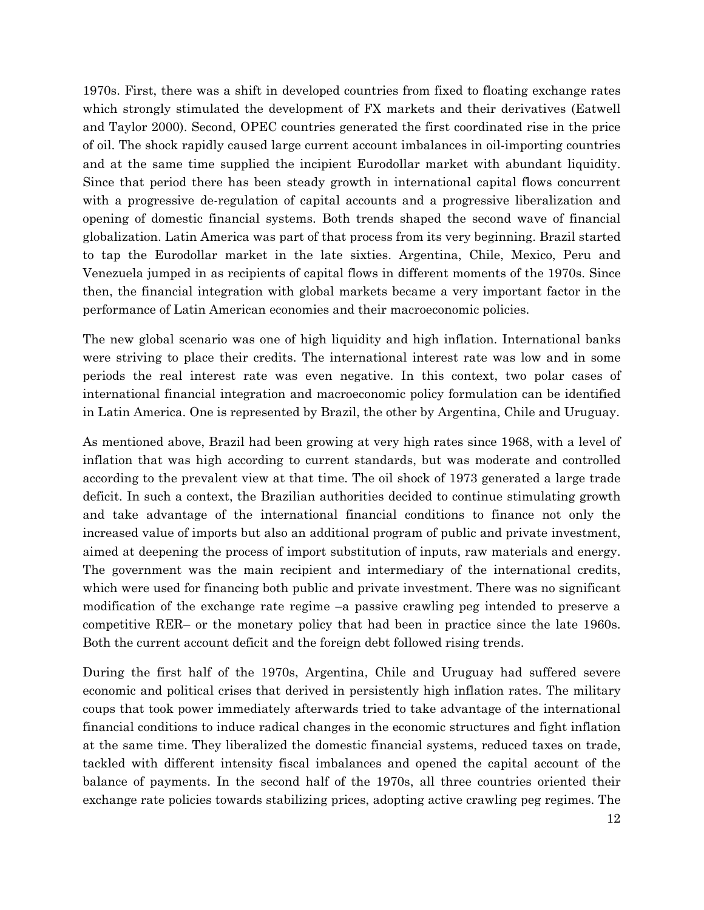1970s. First, there was a shift in developed countries from fixed to floating exchange rates which strongly stimulated the development of FX markets and their derivatives (Eatwell and Taylor 2000). Second, OPEC countries generated the first coordinated rise in the price of oil. The shock rapidly caused large current account imbalances in oil-importing countries and at the same time supplied the incipient Eurodollar market with abundant liquidity. Since that period there has been steady growth in international capital flows concurrent with a progressive de-regulation of capital accounts and a progressive liberalization and opening of domestic financial systems. Both trends shaped the second wave of financial globalization. Latin America was part of that process from its very beginning. Brazil started to tap the Eurodollar market in the late sixties. Argentina, Chile, Mexico, Peru and Venezuela jumped in as recipients of capital flows in different moments of the 1970s. Since then, the financial integration with global markets became a very important factor in the performance of Latin American economies and their macroeconomic policies.

The new global scenario was one of high liquidity and high inflation. International banks were striving to place their credits. The international interest rate was low and in some periods the real interest rate was even negative. In this context, two polar cases of international financial integration and macroeconomic policy formulation can be identified in Latin America. One is represented by Brazil, the other by Argentina, Chile and Uruguay.

As mentioned above, Brazil had been growing at very high rates since 1968, with a level of inflation that was high according to current standards, but was moderate and controlled according to the prevalent view at that time. The oil shock of 1973 generated a large trade deficit. In such a context, the Brazilian authorities decided to continue stimulating growth and take advantage of the international financial conditions to finance not only the increased value of imports but also an additional program of public and private investment, aimed at deepening the process of import substitution of inputs, raw materials and energy. The government was the main recipient and intermediary of the international credits, which were used for financing both public and private investment. There was no significant modification of the exchange rate regime –a passive crawling peg intended to preserve a competitive RER– or the monetary policy that had been in practice since the late 1960s. Both the current account deficit and the foreign debt followed rising trends.

During the first half of the 1970s, Argentina, Chile and Uruguay had suffered severe economic and political crises that derived in persistently high inflation rates. The military coups that took power immediately afterwards tried to take advantage of the international financial conditions to induce radical changes in the economic structures and fight inflation at the same time. They liberalized the domestic financial systems, reduced taxes on trade, tackled with different intensity fiscal imbalances and opened the capital account of the balance of payments. In the second half of the 1970s, all three countries oriented their exchange rate policies towards stabilizing prices, adopting active crawling peg regimes. The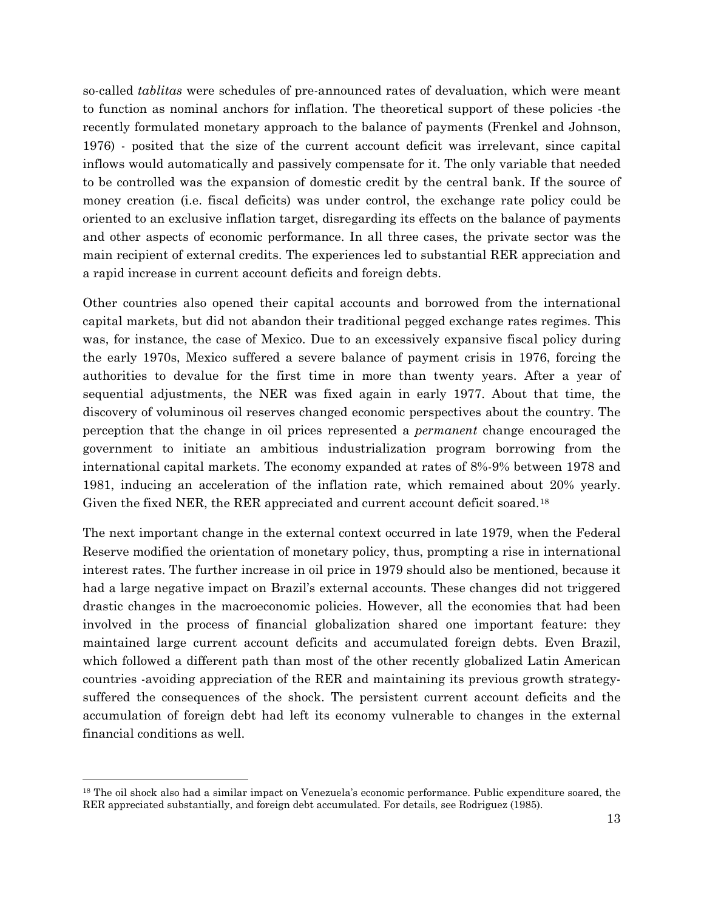so-called *tablitas* were schedules of pre-announced rates of devaluation, which were meant to function as nominal anchors for inflation. The theoretical support of these policies -the recently formulated monetary approach to the balance of payments (Frenkel and Johnson, 1976) - posited that the size of the current account deficit was irrelevant, since capital inflows would automatically and passively compensate for it. The only variable that needed to be controlled was the expansion of domestic credit by the central bank. If the source of money creation (i.e. fiscal deficits) was under control, the exchange rate policy could be oriented to an exclusive inflation target, disregarding its effects on the balance of payments and other aspects of economic performance. In all three cases, the private sector was the main recipient of external credits. The experiences led to substantial RER appreciation and a rapid increase in current account deficits and foreign debts.

Other countries also opened their capital accounts and borrowed from the international capital markets, but did not abandon their traditional pegged exchange rates regimes. This was, for instance, the case of Mexico. Due to an excessively expansive fiscal policy during the early 1970s, Mexico suffered a severe balance of payment crisis in 1976, forcing the authorities to devalue for the first time in more than twenty years. After a year of sequential adjustments, the NER was fixed again in early 1977. About that time, the discovery of voluminous oil reserves changed economic perspectives about the country. The perception that the change in oil prices represented a *permanent* change encouraged the government to initiate an ambitious industrialization program borrowing from the international capital markets. The economy expanded at rates of 8%-9% between 1978 and 1981, inducing an acceleration of the inflation rate, which remained about 20% yearly. Given the fixed NER, the RER appreciated and current account deficit soared.<sup>[18](#page-14-0)</sup>

The next important change in the external context occurred in late 1979, when the Federal Reserve modified the orientation of monetary policy, thus, prompting a rise in international interest rates. The further increase in oil price in 1979 should also be mentioned, because it had a large negative impact on Brazil's external accounts. These changes did not triggered drastic changes in the macroeconomic policies. However, all the economies that had been involved in the process of financial globalization shared one important feature: they maintained large current account deficits and accumulated foreign debts. Even Brazil, which followed a different path than most of the other recently globalized Latin American countries -avoiding appreciation of the RER and maintaining its previous growth strategysuffered the consequences of the shock. The persistent current account deficits and the accumulation of foreign debt had left its economy vulnerable to changes in the external financial conditions as well.

<span id="page-14-0"></span><sup>&</sup>lt;sup>18</sup> The oil shock also had a similar impact on Venezuela's economic performance. Public expenditure soared, the RER appreciated substantially, and foreign debt accumulated. For details, see Rodriguez (1985).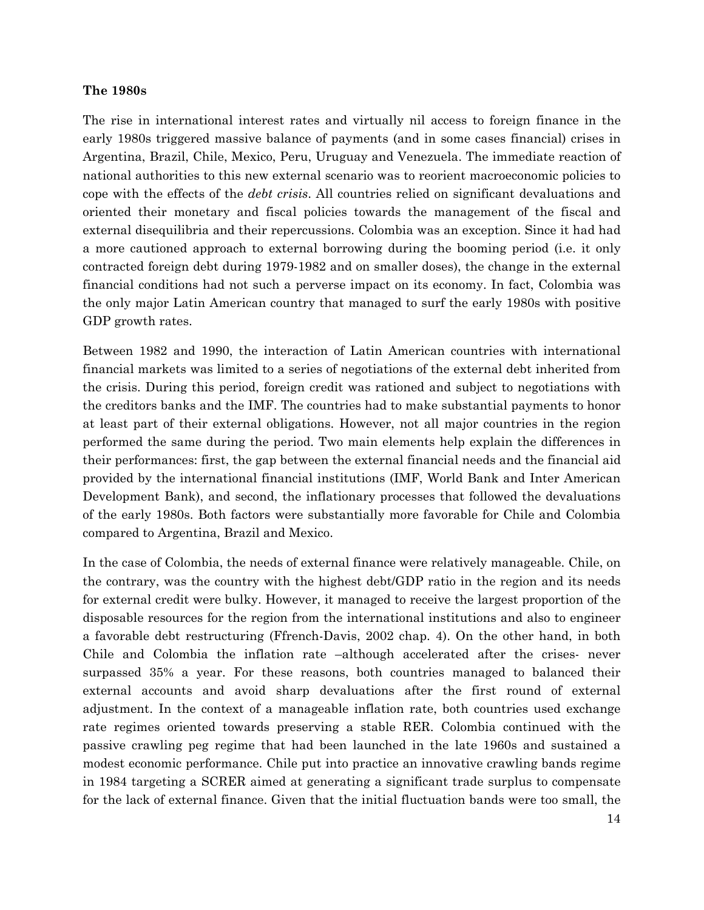#### **The 1980s**

The rise in international interest rates and virtually nil access to foreign finance in the early 1980s triggered massive balance of payments (and in some cases financial) crises in Argentina, Brazil, Chile, Mexico, Peru, Uruguay and Venezuela. The immediate reaction of national authorities to this new external scenario was to reorient macroeconomic policies to cope with the effects of the *debt crisis*. All countries relied on significant devaluations and oriented their monetary and fiscal policies towards the management of the fiscal and external disequilibria and their repercussions. Colombia was an exception. Since it had had a more cautioned approach to external borrowing during the booming period (i.e. it only contracted foreign debt during 1979-1982 and on smaller doses), the change in the external financial conditions had not such a perverse impact on its economy. In fact, Colombia was the only major Latin American country that managed to surf the early 1980s with positive GDP growth rates.

Between 1982 and 1990, the interaction of Latin American countries with international financial markets was limited to a series of negotiations of the external debt inherited from the crisis. During this period, foreign credit was rationed and subject to negotiations with the creditors banks and the IMF. The countries had to make substantial payments to honor at least part of their external obligations. However, not all major countries in the region performed the same during the period. Two main elements help explain the differences in their performances: first, the gap between the external financial needs and the financial aid provided by the international financial institutions (IMF, World Bank and Inter American Development Bank), and second, the inflationary processes that followed the devaluations of the early 1980s. Both factors were substantially more favorable for Chile and Colombia compared to Argentina, Brazil and Mexico.

In the case of Colombia, the needs of external finance were relatively manageable. Chile, on the contrary, was the country with the highest debt/GDP ratio in the region and its needs for external credit were bulky. However, it managed to receive the largest proportion of the disposable resources for the region from the international institutions and also to engineer a favorable debt restructuring (Ffrench-Davis, 2002 chap. 4). On the other hand, in both Chile and Colombia the inflation rate –although accelerated after the crises- never surpassed 35% a year. For these reasons, both countries managed to balanced their external accounts and avoid sharp devaluations after the first round of external adjustment. In the context of a manageable inflation rate, both countries used exchange rate regimes oriented towards preserving a stable RER. Colombia continued with the passive crawling peg regime that had been launched in the late 1960s and sustained a modest economic performance. Chile put into practice an innovative crawling bands regime in 1984 targeting a SCRER aimed at generating a significant trade surplus to compensate for the lack of external finance. Given that the initial fluctuation bands were too small, the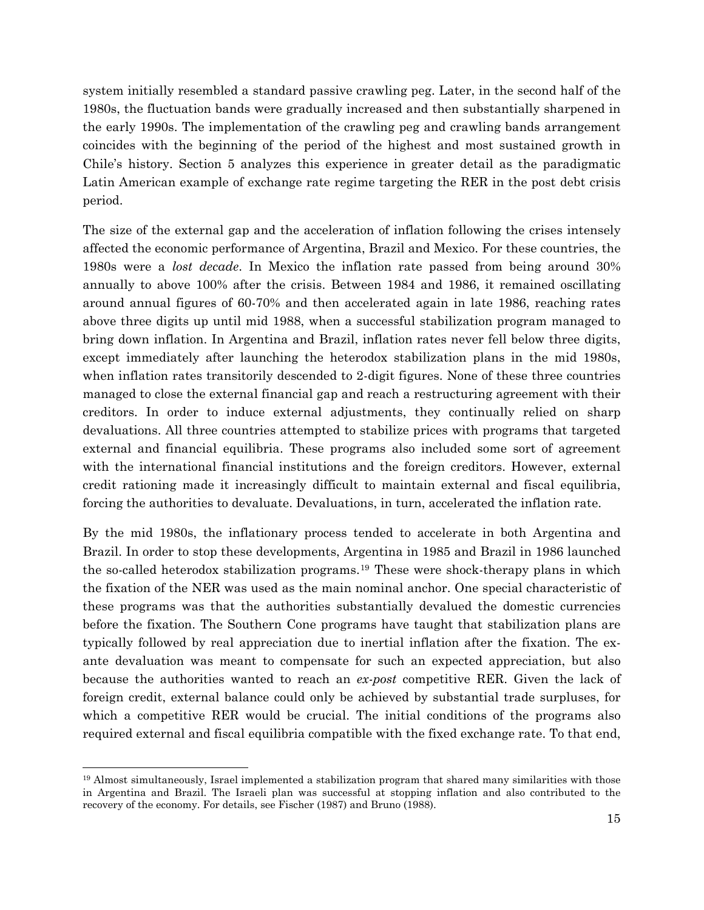system initially resembled a standard passive crawling peg. Later, in the second half of the 1980s, the fluctuation bands were gradually increased and then substantially sharpened in the early 1990s. The implementation of the crawling peg and crawling bands arrangement coincides with the beginning of the period of the highest and most sustained growth in Chile's history. Section 5 analyzes this experience in greater detail as the paradigmatic Latin American example of exchange rate regime targeting the RER in the post debt crisis period.

The size of the external gap and the acceleration of inflation following the crises intensely affected the economic performance of Argentina, Brazil and Mexico. For these countries, the 1980s were a *lost decade*. In Mexico the inflation rate passed from being around 30% annually to above 100% after the crisis. Between 1984 and 1986, it remained oscillating around annual figures of 60-70% and then accelerated again in late 1986, reaching rates above three digits up until mid 1988, when a successful stabilization program managed to bring down inflation. In Argentina and Brazil, inflation rates never fell below three digits, except immediately after launching the heterodox stabilization plans in the mid 1980s, when inflation rates transitorily descended to 2-digit figures. None of these three countries managed to close the external financial gap and reach a restructuring agreement with their creditors. In order to induce external adjustments, they continually relied on sharp devaluations. All three countries attempted to stabilize prices with programs that targeted external and financial equilibria. These programs also included some sort of agreement with the international financial institutions and the foreign creditors. However, external credit rationing made it increasingly difficult to maintain external and fiscal equilibria, forcing the authorities to devaluate. Devaluations, in turn, accelerated the inflation rate.

By the mid 1980s, the inflationary process tended to accelerate in both Argentina and Brazil. In order to stop these developments, Argentina in 1985 and Brazil in 1986 launched the so-called heterodox stabilization programs.[19](#page-16-0) These were shock-therapy plans in which the fixation of the NER was used as the main nominal anchor. One special characteristic of these programs was that the authorities substantially devalued the domestic currencies before the fixation. The Southern Cone programs have taught that stabilization plans are typically followed by real appreciation due to inertial inflation after the fixation. The exante devaluation was meant to compensate for such an expected appreciation, but also because the authorities wanted to reach an *ex-post* competitive RER. Given the lack of foreign credit, external balance could only be achieved by substantial trade surpluses, for which a competitive RER would be crucial. The initial conditions of the programs also required external and fiscal equilibria compatible with the fixed exchange rate. To that end,

<span id="page-16-0"></span><sup>19</sup> Almost simultaneously, Israel implemented a stabilization program that shared many similarities with those in Argentina and Brazil. The Israeli plan was successful at stopping inflation and also contributed to the recovery of the economy. For details, see Fischer (1987) and Bruno (1988).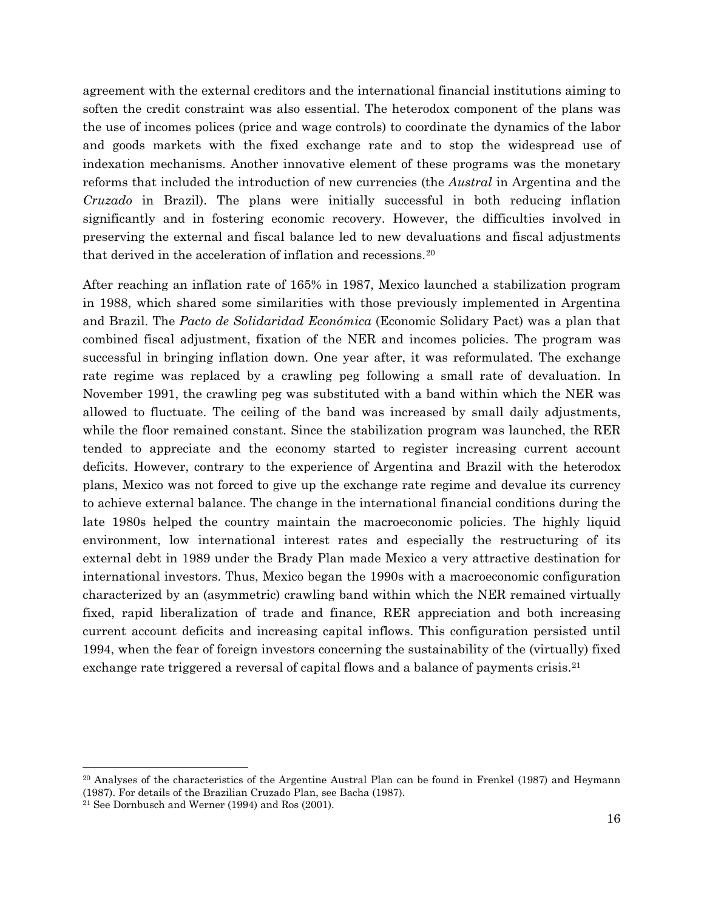agreement with the external creditors and the international financial institutions aiming to soften the credit constraint was also essential. The heterodox component of the plans was the use of incomes polices (price and wage controls) to coordinate the dynamics of the labor and goods markets with the fixed exchange rate and to stop the widespread use of indexation mechanisms. Another innovative element of these programs was the monetary reforms that included the introduction of new currencies (the *Austral* in Argentina and the *Cruzado* in Brazil). The plans were initially successful in both reducing inflation significantly and in fostering economic recovery. However, the difficulties involved in preserving the external and fiscal balance led to new devaluations and fiscal adjustments that derived in the acceleration of inflation and recessions.[20](#page-17-0)

After reaching an inflation rate of 165% in 1987, Mexico launched a stabilization program in 1988, which shared some similarities with those previously implemented in Argentina and Brazil. The *Pacto de Solidaridad Económica* (Economic Solidary Pact) was a plan that combined fiscal adjustment, fixation of the NER and incomes policies. The program was successful in bringing inflation down. One year after, it was reformulated. The exchange rate regime was replaced by a crawling peg following a small rate of devaluation. In November 1991, the crawling peg was substituted with a band within which the NER was allowed to fluctuate. The ceiling of the band was increased by small daily adjustments, while the floor remained constant. Since the stabilization program was launched, the RER tended to appreciate and the economy started to register increasing current account deficits. However, contrary to the experience of Argentina and Brazil with the heterodox plans, Mexico was not forced to give up the exchange rate regime and devalue its currency to achieve external balance. The change in the international financial conditions during the late 1980s helped the country maintain the macroeconomic policies. The highly liquid environment, low international interest rates and especially the restructuring of its external debt in 1989 under the Brady Plan made Mexico a very attractive destination for international investors. Thus, Mexico began the 1990s with a macroeconomic configuration characterized by an (asymmetric) crawling band within which the NER remained virtually fixed, rapid liberalization of trade and finance, RER appreciation and both increasing current account deficits and increasing capital inflows. This configuration persisted until 1994, when the fear of foreign investors concerning the sustainability of the (virtually) fixed exchange rate triggered a reversal of capital flows and a balance of payments crisis.<sup>21</sup>

<span id="page-17-0"></span><sup>20</sup> Analyses of the characteristics of the Argentine Austral Plan can be found in Frenkel (1987) and Heymann (1987). For details of the Brazilian Cruzado Plan, see Bacha (1987).

<span id="page-17-1"></span><sup>21</sup> See Dornbusch and Werner (1994) and Ros (2001).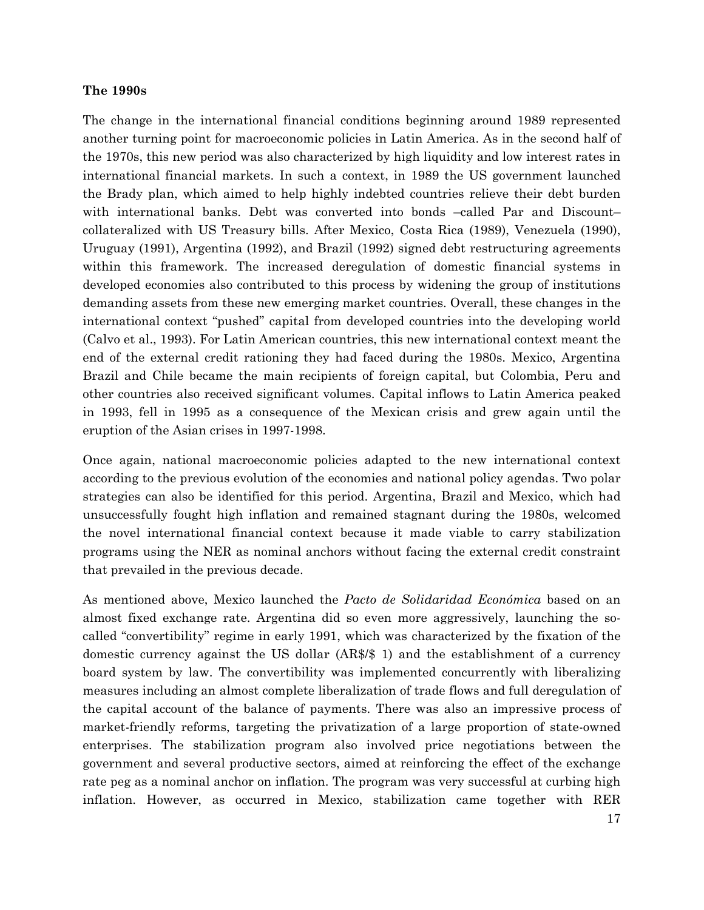#### **The 1990s**

The change in the international financial conditions beginning around 1989 represented another turning point for macroeconomic policies in Latin America. As in the second half of the 1970s, this new period was also characterized by high liquidity and low interest rates in international financial markets. In such a context, in 1989 the US government launched the Brady plan, which aimed to help highly indebted countries relieve their debt burden with international banks. Debt was converted into bonds –called Par and Discount– collateralized with US Treasury bills. After Mexico, Costa Rica (1989), Venezuela (1990), Uruguay (1991), Argentina (1992), and Brazil (1992) signed debt restructuring agreements within this framework. The increased deregulation of domestic financial systems in developed economies also contributed to this process by widening the group of institutions demanding assets from these new emerging market countries. Overall, these changes in the international context "pushed" capital from developed countries into the developing world (Calvo et al., 1993). For Latin American countries, this new international context meant the end of the external credit rationing they had faced during the 1980s. Mexico, Argentina Brazil and Chile became the main recipients of foreign capital, but Colombia, Peru and other countries also received significant volumes. Capital inflows to Latin America peaked in 1993, fell in 1995 as a consequence of the Mexican crisis and grew again until the eruption of the Asian crises in 1997-1998.

Once again, national macroeconomic policies adapted to the new international context according to the previous evolution of the economies and national policy agendas. Two polar strategies can also be identified for this period. Argentina, Brazil and Mexico, which had unsuccessfully fought high inflation and remained stagnant during the 1980s, welcomed the novel international financial context because it made viable to carry stabilization programs using the NER as nominal anchors without facing the external credit constraint that prevailed in the previous decade.

As mentioned above, Mexico launched the *Pacto de Solidaridad Económica* based on an almost fixed exchange rate. Argentina did so even more aggressively, launching the socalled "convertibility" regime in early 1991, which was characterized by the fixation of the domestic currency against the US dollar (AR\$/\$ 1) and the establishment of a currency board system by law. The convertibility was implemented concurrently with liberalizing measures including an almost complete liberalization of trade flows and full deregulation of the capital account of the balance of payments. There was also an impressive process of market-friendly reforms, targeting the privatization of a large proportion of state-owned enterprises. The stabilization program also involved price negotiations between the government and several productive sectors, aimed at reinforcing the effect of the exchange rate peg as a nominal anchor on inflation. The program was very successful at curbing high inflation. However, as occurred in Mexico, stabilization came together with RER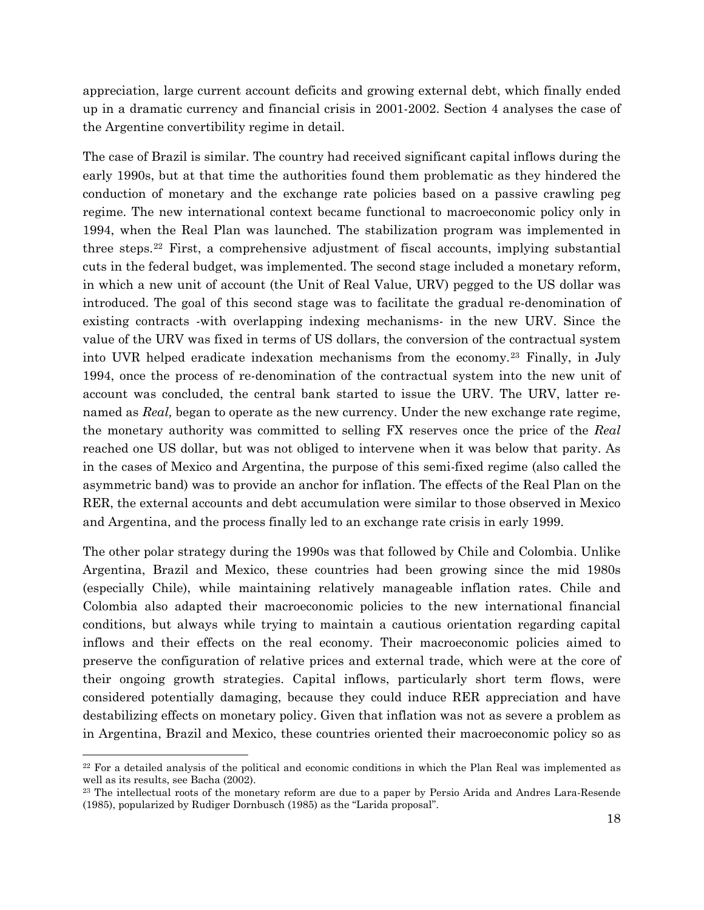appreciation, large current account deficits and growing external debt, which finally ended up in a dramatic currency and financial crisis in 2001-2002. Section 4 analyses the case of the Argentine convertibility regime in detail.

The case of Brazil is similar. The country had received significant capital inflows during the early 1990s, but at that time the authorities found them problematic as they hindered the conduction of monetary and the exchange rate policies based on a passive crawling peg regime. The new international context became functional to macroeconomic policy only in 1994, when the Real Plan was launched. The stabilization program was implemented in three steps.[22](#page-19-0) First, a comprehensive adjustment of fiscal accounts, implying substantial cuts in the federal budget, was implemented. The second stage included a monetary reform, in which a new unit of account (the Unit of Real Value, URV) pegged to the US dollar was introduced. The goal of this second stage was to facilitate the gradual re-denomination of existing contracts -with overlapping indexing mechanisms- in the new URV. Since the value of the URV was fixed in terms of US dollars, the conversion of the contractual system into UVR helped eradicate indexation mechanisms from the economy.[23](#page-19-1) Finally, in July 1994, once the process of re-denomination of the contractual system into the new unit of account was concluded, the central bank started to issue the URV. The URV, latter renamed as *Real,* began to operate as the new currency. Under the new exchange rate regime, the monetary authority was committed to selling FX reserves once the price of the *Real* reached one US dollar, but was not obliged to intervene when it was below that parity. As in the cases of Mexico and Argentina, the purpose of this semi-fixed regime (also called the asymmetric band) was to provide an anchor for inflation. The effects of the Real Plan on the RER, the external accounts and debt accumulation were similar to those observed in Mexico and Argentina, and the process finally led to an exchange rate crisis in early 1999.

The other polar strategy during the 1990s was that followed by Chile and Colombia. Unlike Argentina, Brazil and Mexico, these countries had been growing since the mid 1980s (especially Chile), while maintaining relatively manageable inflation rates. Chile and Colombia also adapted their macroeconomic policies to the new international financial conditions, but always while trying to maintain a cautious orientation regarding capital inflows and their effects on the real economy. Their macroeconomic policies aimed to preserve the configuration of relative prices and external trade, which were at the core of their ongoing growth strategies. Capital inflows, particularly short term flows, were considered potentially damaging, because they could induce RER appreciation and have destabilizing effects on monetary policy. Given that inflation was not as severe a problem as in Argentina, Brazil and Mexico, these countries oriented their macroeconomic policy so as

<span id="page-19-0"></span><sup>&</sup>lt;sup>22</sup> For a detailed analysis of the political and economic conditions in which the Plan Real was implemented as well as its results, see Bacha (2002).

<span id="page-19-1"></span><sup>&</sup>lt;sup>23</sup> The intellectual roots of the monetary reform are due to a paper by Persio Arida and Andres Lara-Resende (1985), popularized by Rudiger Dornbusch (1985) as the "Larida proposal".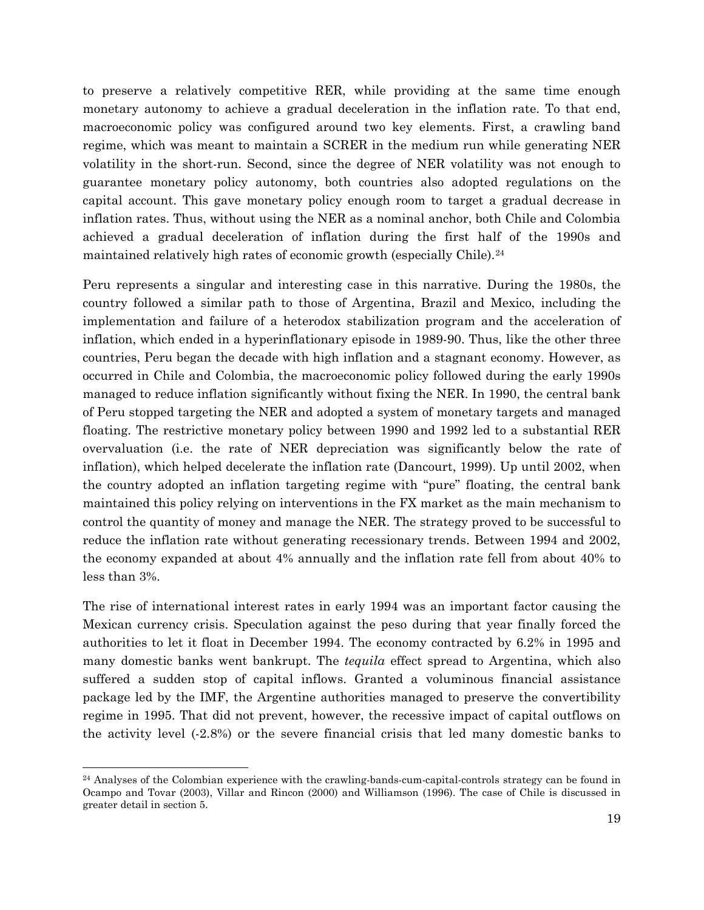to preserve a relatively competitive RER, while providing at the same time enough monetary autonomy to achieve a gradual deceleration in the inflation rate. To that end, macroeconomic policy was configured around two key elements. First, a crawling band regime, which was meant to maintain a SCRER in the medium run while generating NER volatility in the short-run. Second, since the degree of NER volatility was not enough to guarantee monetary policy autonomy, both countries also adopted regulations on the capital account. This gave monetary policy enough room to target a gradual decrease in inflation rates. Thus, without using the NER as a nominal anchor, both Chile and Colombia achieved a gradual deceleration of inflation during the first half of the 1990s and maintained relatively high rates of economic growth (especially Chile).<sup>[24](#page-20-0)</sup>

Peru represents a singular and interesting case in this narrative. During the 1980s, the country followed a similar path to those of Argentina, Brazil and Mexico, including the implementation and failure of a heterodox stabilization program and the acceleration of inflation, which ended in a hyperinflationary episode in 1989-90. Thus, like the other three countries, Peru began the decade with high inflation and a stagnant economy. However, as occurred in Chile and Colombia, the macroeconomic policy followed during the early 1990s managed to reduce inflation significantly without fixing the NER. In 1990, the central bank of Peru stopped targeting the NER and adopted a system of monetary targets and managed floating. The restrictive monetary policy between 1990 and 1992 led to a substantial RER overvaluation (i.e. the rate of NER depreciation was significantly below the rate of inflation), which helped decelerate the inflation rate (Dancourt, 1999). Up until 2002, when the country adopted an inflation targeting regime with "pure" floating, the central bank maintained this policy relying on interventions in the FX market as the main mechanism to control the quantity of money and manage the NER. The strategy proved to be successful to reduce the inflation rate without generating recessionary trends. Between 1994 and 2002, the economy expanded at about 4% annually and the inflation rate fell from about 40% to less than 3%.

The rise of international interest rates in early 1994 was an important factor causing the Mexican currency crisis. Speculation against the peso during that year finally forced the authorities to let it float in December 1994. The economy contracted by 6.2% in 1995 and many domestic banks went bankrupt. The *tequila* effect spread to Argentina, which also suffered a sudden stop of capital inflows. Granted a voluminous financial assistance package led by the IMF, the Argentine authorities managed to preserve the convertibility regime in 1995. That did not prevent, however, the recessive impact of capital outflows on the activity level (-2.8%) or the severe financial crisis that led many domestic banks to

<span id="page-20-0"></span><sup>24</sup> Analyses of the Colombian experience with the crawling-bands-cum-capital-controls strategy can be found in Ocampo and Tovar (2003), Villar and Rincon (2000) and Williamson (1996). The case of Chile is discussed in greater detail in section 5.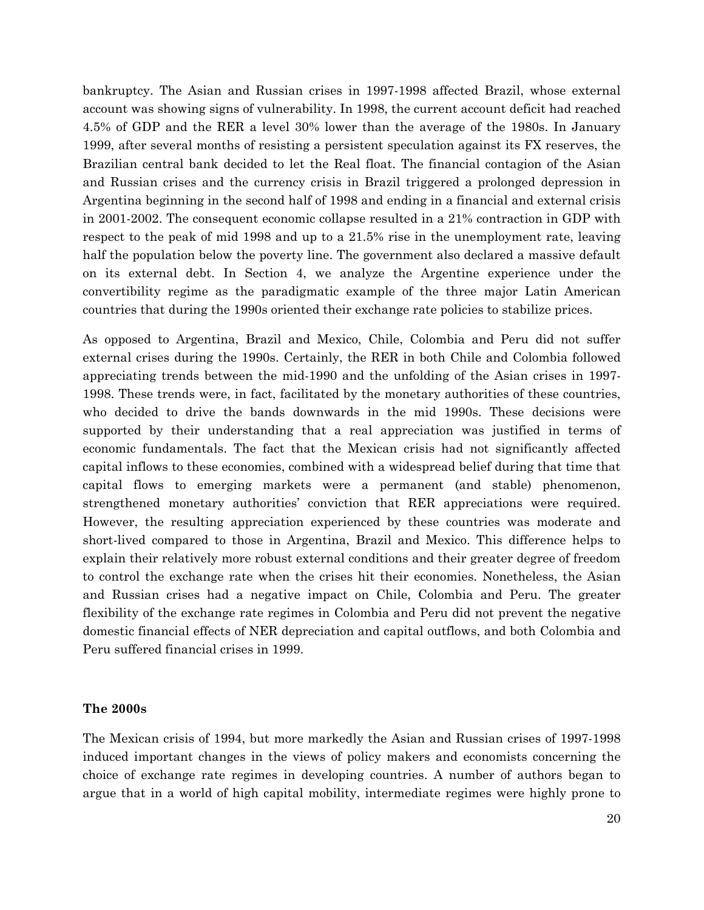bankruptcy. The Asian and Russian crises in 1997-1998 affected Brazil, whose external account was showing signs of vulnerability. In 1998, the current account deficit had reached 4.5% of GDP and the RER a level 30% lower than the average of the 1980s. In January 1999, after several months of resisting a persistent speculation against its FX reserves, the Brazilian central bank decided to let the Real float. The financial contagion of the Asian and Russian crises and the currency crisis in Brazil triggered a prolonged depression in Argentina beginning in the second half of 1998 and ending in a financial and external crisis in 2001-2002. The consequent economic collapse resulted in a 21% contraction in GDP with respect to the peak of mid 1998 and up to a 21.5% rise in the unemployment rate, leaving half the population below the poverty line. The government also declared a massive default on its external debt. In Section 4, we analyze the Argentine experience under the convertibility regime as the paradigmatic example of the three major Latin American countries that during the 1990s oriented their exchange rate policies to stabilize prices.

As opposed to Argentina, Brazil and Mexico, Chile, Colombia and Peru did not suffer external crises during the 1990s. Certainly, the RER in both Chile and Colombia followed appreciating trends between the mid-1990 and the unfolding of the Asian crises in 1997- 1998. These trends were, in fact, facilitated by the monetary authorities of these countries, who decided to drive the bands downwards in the mid 1990s. These decisions were supported by their understanding that a real appreciation was justified in terms of economic fundamentals. The fact that the Mexican crisis had not significantly affected capital inflows to these economies, combined with a widespread belief during that time that capital flows to emerging markets were a permanent (and stable) phenomenon, strengthened monetary authorities' conviction that RER appreciations were required. However, the resulting appreciation experienced by these countries was moderate and short-lived compared to those in Argentina, Brazil and Mexico. This difference helps to explain their relatively more robust external conditions and their greater degree of freedom to control the exchange rate when the crises hit their economies. Nonetheless, the Asian and Russian crises had a negative impact on Chile, Colombia and Peru. The greater flexibility of the exchange rate regimes in Colombia and Peru did not prevent the negative domestic financial effects of NER depreciation and capital outflows, and both Colombia and Peru suffered financial crises in 1999.

#### **The 2000s**

The Mexican crisis of 1994, but more markedly the Asian and Russian crises of 1997-1998 induced important changes in the views of policy makers and economists concerning the choice of exchange rate regimes in developing countries. A number of authors began to argue that in a world of high capital mobility, intermediate regimes were highly prone to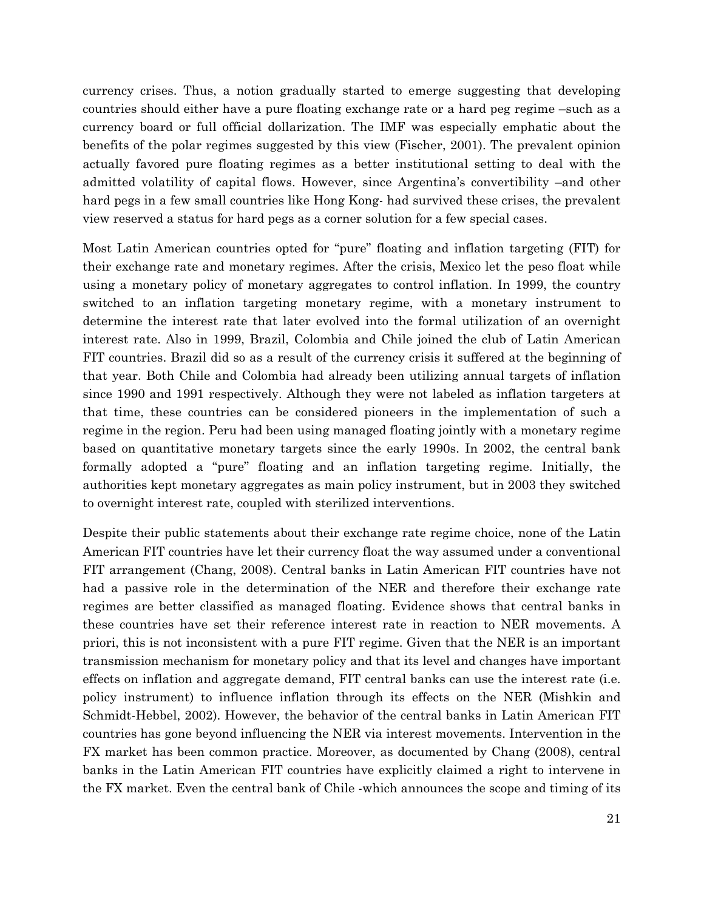currency crises. Thus, a notion gradually started to emerge suggesting that developing countries should either have a pure floating exchange rate or a hard peg regime –such as a currency board or full official dollarization. The IMF was especially emphatic about the benefits of the polar regimes suggested by this view (Fischer, 2001). The prevalent opinion actually favored pure floating regimes as a better institutional setting to deal with the admitted volatility of capital flows. However, since Argentina's convertibility –and other hard pegs in a few small countries like Hong Kong- had survived these crises, the prevalent view reserved a status for hard pegs as a corner solution for a few special cases.

Most Latin American countries opted for "pure" floating and inflation targeting (FIT) for their exchange rate and monetary regimes. After the crisis, Mexico let the peso float while using a monetary policy of monetary aggregates to control inflation. In 1999, the country switched to an inflation targeting monetary regime, with a monetary instrument to determine the interest rate that later evolved into the formal utilization of an overnight interest rate. Also in 1999, Brazil, Colombia and Chile joined the club of Latin American FIT countries. Brazil did so as a result of the currency crisis it suffered at the beginning of that year. Both Chile and Colombia had already been utilizing annual targets of inflation since 1990 and 1991 respectively. Although they were not labeled as inflation targeters at that time, these countries can be considered pioneers in the implementation of such a regime in the region. Peru had been using managed floating jointly with a monetary regime based on quantitative monetary targets since the early 1990s. In 2002, the central bank formally adopted a "pure" floating and an inflation targeting regime. Initially, the authorities kept monetary aggregates as main policy instrument, but in 2003 they switched to overnight interest rate, coupled with sterilized interventions.

Despite their public statements about their exchange rate regime choice, none of the Latin American FIT countries have let their currency float the way assumed under a conventional FIT arrangement (Chang, 2008). Central banks in Latin American FIT countries have not had a passive role in the determination of the NER and therefore their exchange rate regimes are better classified as managed floating. Evidence shows that central banks in these countries have set their reference interest rate in reaction to NER movements. A priori, this is not inconsistent with a pure FIT regime. Given that the NER is an important transmission mechanism for monetary policy and that its level and changes have important effects on inflation and aggregate demand, FIT central banks can use the interest rate (i.e. policy instrument) to influence inflation through its effects on the NER (Mishkin and Schmidt-Hebbel, 2002). However, the behavior of the central banks in Latin American FIT countries has gone beyond influencing the NER via interest movements. Intervention in the FX market has been common practice. Moreover, as documented by Chang (2008), central banks in the Latin American FIT countries have explicitly claimed a right to intervene in the FX market. Even the central bank of Chile -which announces the scope and timing of its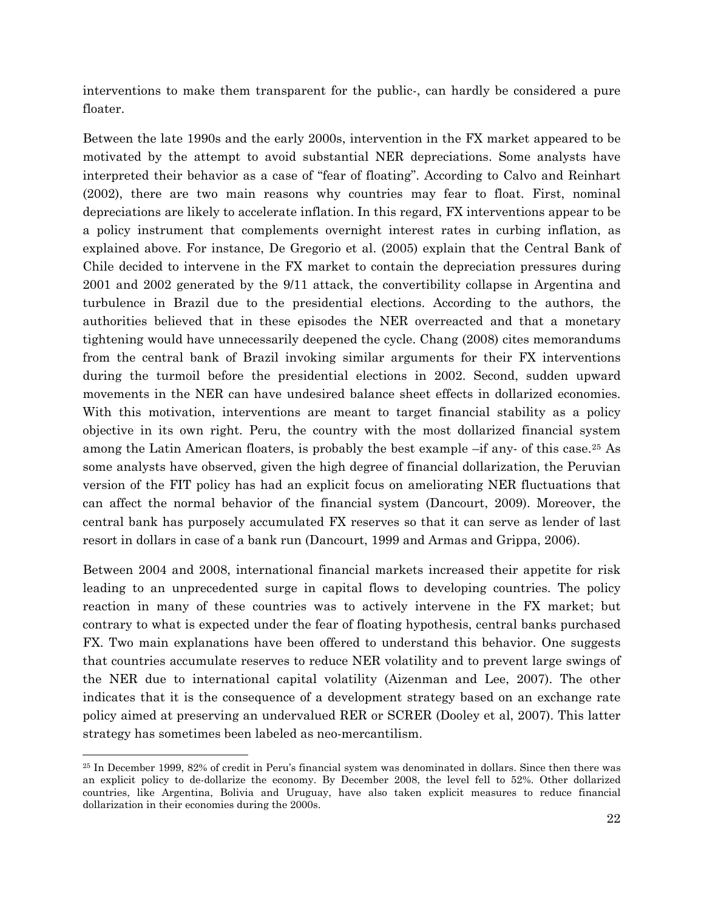interventions to make them transparent for the public-, can hardly be considered a pure floater.

Between the late 1990s and the early 2000s, intervention in the FX market appeared to be motivated by the attempt to avoid substantial NER depreciations. Some analysts have interpreted their behavior as a case of "fear of floating". According to Calvo and Reinhart (2002), there are two main reasons why countries may fear to float. First, nominal depreciations are likely to accelerate inflation. In this regard, FX interventions appear to be a policy instrument that complements overnight interest rates in curbing inflation, as explained above. For instance, De Gregorio et al. (2005) explain that the Central Bank of Chile decided to intervene in the FX market to contain the depreciation pressures during 2001 and 2002 generated by the 9/11 attack, the convertibility collapse in Argentina and turbulence in Brazil due to the presidential elections. According to the authors, the authorities believed that in these episodes the NER overreacted and that a monetary tightening would have unnecessarily deepened the cycle. Chang (2008) cites memorandums from the central bank of Brazil invoking similar arguments for their FX interventions during the turmoil before the presidential elections in 2002. Second, sudden upward movements in the NER can have undesired balance sheet effects in dollarized economies. With this motivation, interventions are meant to target financial stability as a policy objective in its own right. Peru, the country with the most dollarized financial system among the Latin American floaters, is probably the best example –if any- of this case.[25](#page-23-0) As some analysts have observed, given the high degree of financial dollarization, the Peruvian version of the FIT policy has had an explicit focus on ameliorating NER fluctuations that can affect the normal behavior of the financial system (Dancourt, 2009). Moreover, the central bank has purposely accumulated FX reserves so that it can serve as lender of last resort in dollars in case of a bank run (Dancourt, 1999 and Armas and Grippa, 2006).

Between 2004 and 2008, international financial markets increased their appetite for risk leading to an unprecedented surge in capital flows to developing countries. The policy reaction in many of these countries was to actively intervene in the FX market; but contrary to what is expected under the fear of floating hypothesis, central banks purchased FX. Two main explanations have been offered to understand this behavior. One suggests that countries accumulate reserves to reduce NER volatility and to prevent large swings of the NER due to international capital volatility (Aizenman and Lee, 2007). The other indicates that it is the consequence of a development strategy based on an exchange rate policy aimed at preserving an undervalued RER or SCRER (Dooley et al, 2007). This latter strategy has sometimes been labeled as neo-mercantilism.

<span id="page-23-0"></span><sup>25</sup> In December 1999, 82% of credit in Peru's financial system was denominated in dollars. Since then there was an explicit policy to de-dollarize the economy. By December 2008, the level fell to 52%. Other dollarized countries, like Argentina, Bolivia and Uruguay, have also taken explicit measures to reduce financial dollarization in their economies during the 2000s.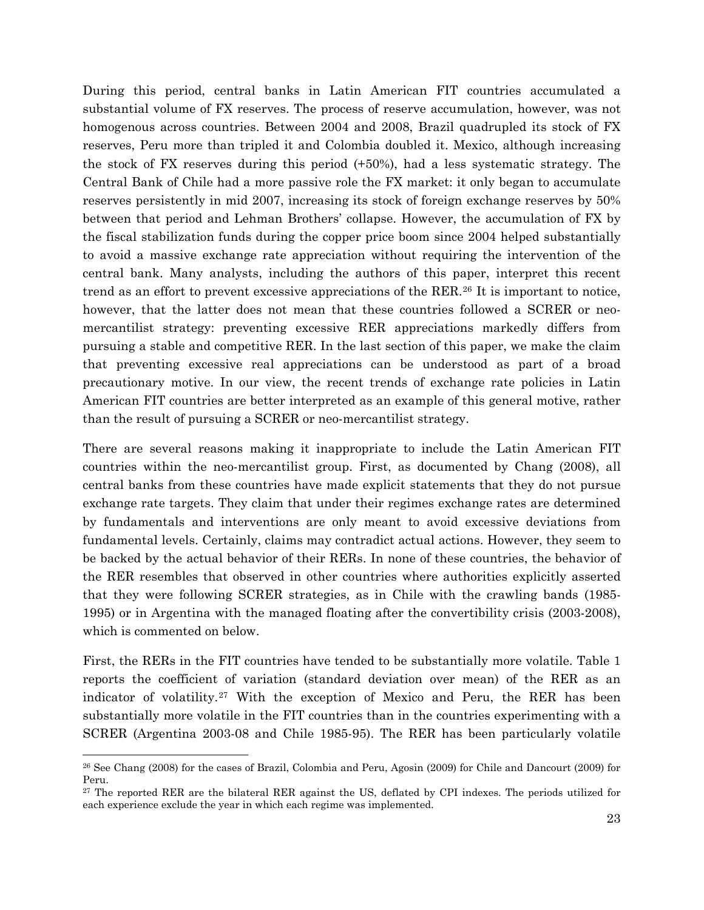During this period, central banks in Latin American FIT countries accumulated a substantial volume of FX reserves. The process of reserve accumulation, however, was not homogenous across countries. Between 2004 and 2008, Brazil quadrupled its stock of FX reserves, Peru more than tripled it and Colombia doubled it. Mexico, although increasing the stock of FX reserves during this period (+50%), had a less systematic strategy. The Central Bank of Chile had a more passive role the FX market: it only began to accumulate reserves persistently in mid 2007, increasing its stock of foreign exchange reserves by 50% between that period and Lehman Brothers' collapse. However, the accumulation of FX by the fiscal stabilization funds during the copper price boom since 2004 helped substantially to avoid a massive exchange rate appreciation without requiring the intervention of the central bank. Many analysts, including the authors of this paper, interpret this recent trend as an effort to prevent excessive appreciations of the RER.[26](#page-24-0) It is important to notice, however, that the latter does not mean that these countries followed a SCRER or neomercantilist strategy: preventing excessive RER appreciations markedly differs from pursuing a stable and competitive RER. In the last section of this paper, we make the claim that preventing excessive real appreciations can be understood as part of a broad precautionary motive. In our view, the recent trends of exchange rate policies in Latin American FIT countries are better interpreted as an example of this general motive, rather than the result of pursuing a SCRER or neo-mercantilist strategy.

There are several reasons making it inappropriate to include the Latin American FIT countries within the neo-mercantilist group. First, as documented by Chang (2008), all central banks from these countries have made explicit statements that they do not pursue exchange rate targets. They claim that under their regimes exchange rates are determined by fundamentals and interventions are only meant to avoid excessive deviations from fundamental levels. Certainly, claims may contradict actual actions. However, they seem to be backed by the actual behavior of their RERs. In none of these countries, the behavior of the RER resembles that observed in other countries where authorities explicitly asserted that they were following SCRER strategies, as in Chile with the crawling bands (1985- 1995) or in Argentina with the managed floating after the convertibility crisis (2003-2008), which is commented on below.

First, the RERs in the FIT countries have tended to be substantially more volatile. Table 1 reports the coefficient of variation (standard deviation over mean) of the RER as an indicator of volatility.[27](#page-24-1) With the exception of Mexico and Peru, the RER has been substantially more volatile in the FIT countries than in the countries experimenting with a SCRER (Argentina 2003-08 and Chile 1985-95). The RER has been particularly volatile

<span id="page-24-0"></span><sup>26</sup> See Chang (2008) for the cases of Brazil, Colombia and Peru, Agosin (2009) for Chile and Dancourt (2009) for Peru.

<span id="page-24-1"></span><sup>&</sup>lt;sup>27</sup> The reported RER are the bilateral RER against the US, deflated by CPI indexes. The periods utilized for each experience exclude the year in which each regime was implemented.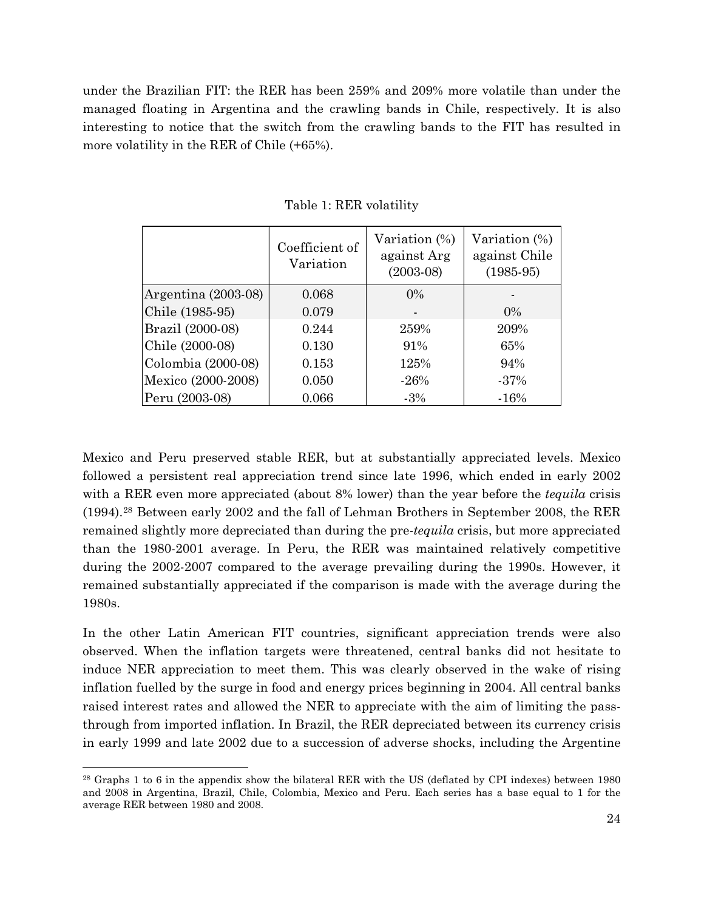under the Brazilian FIT: the RER has been 259% and 209% more volatile than under the managed floating in Argentina and the crawling bands in Chile, respectively. It is also interesting to notice that the switch from the crawling bands to the FIT has resulted in more volatility in the RER of Chile (+65%).

|                       | Coefficient of<br>Variation | Variation (%)<br>against Arg<br>$(2003-08)$ | Variation (%)<br>against Chile<br>$(1985-95)$ |
|-----------------------|-----------------------------|---------------------------------------------|-----------------------------------------------|
| Argentina $(2003-08)$ | 0.068                       | $0\%$                                       |                                               |
| Chile (1985-95)       | 0.079                       |                                             | $0\%$                                         |
| Brazil (2000-08)      | 0.244                       | 259%                                        | 209%                                          |
| Chile (2000-08)       | 0.130                       | 91%                                         | 65%                                           |
| Colombia (2000-08)    | 0.153                       | 125%                                        | 94%                                           |
| Mexico (2000-2008)    | 0.050                       | $-26%$                                      | $-37\%$                                       |
| Peru (2003-08)        | 0.066                       | $-3\%$                                      | $-16%$                                        |

Table 1: RER volatility

Mexico and Peru preserved stable RER, but at substantially appreciated levels. Mexico followed a persistent real appreciation trend since late 1996, which ended in early 2002 with a RER even more appreciated (about 8% lower) than the year before the *tequila* crisis (1994).[28](#page-25-0) Between early 2002 and the fall of Lehman Brothers in September 2008, the RER remained slightly more depreciated than during the pre-*tequila* crisis, but more appreciated than the 1980-2001 average. In Peru, the RER was maintained relatively competitive during the 2002-2007 compared to the average prevailing during the 1990s. However, it remained substantially appreciated if the comparison is made with the average during the 1980s.

In the other Latin American FIT countries, significant appreciation trends were also observed. When the inflation targets were threatened, central banks did not hesitate to induce NER appreciation to meet them. This was clearly observed in the wake of rising inflation fuelled by the surge in food and energy prices beginning in 2004. All central banks raised interest rates and allowed the NER to appreciate with the aim of limiting the passthrough from imported inflation. In Brazil, the RER depreciated between its currency crisis in early 1999 and late 2002 due to a succession of adverse shocks, including the Argentine

<span id="page-25-0"></span> 28 Graphs 1 to 6 in the appendix show the bilateral RER with the US (deflated by CPI indexes) between 1980 and 2008 in Argentina, Brazil, Chile, Colombia, Mexico and Peru. Each series has a base equal to 1 for the average RER between 1980 and 2008.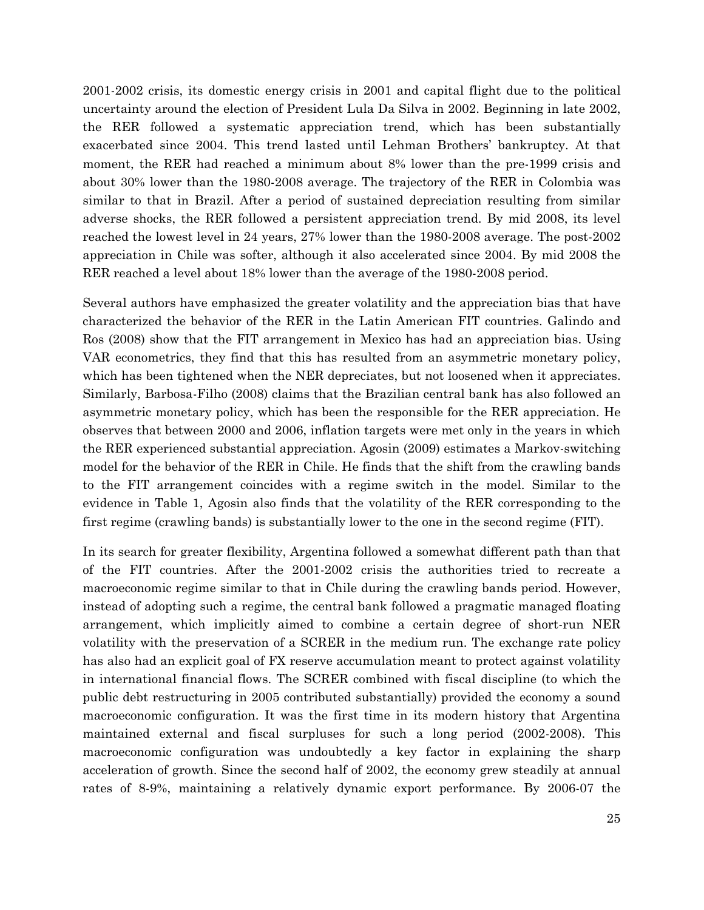2001-2002 crisis, its domestic energy crisis in 2001 and capital flight due to the political uncertainty around the election of President Lula Da Silva in 2002. Beginning in late 2002, the RER followed a systematic appreciation trend, which has been substantially exacerbated since 2004. This trend lasted until Lehman Brothers' bankruptcy. At that moment, the RER had reached a minimum about 8% lower than the pre-1999 crisis and about 30% lower than the 1980-2008 average. The trajectory of the RER in Colombia was similar to that in Brazil. After a period of sustained depreciation resulting from similar adverse shocks, the RER followed a persistent appreciation trend. By mid 2008, its level reached the lowest level in 24 years, 27% lower than the 1980-2008 average. The post-2002 appreciation in Chile was softer, although it also accelerated since 2004. By mid 2008 the RER reached a level about 18% lower than the average of the 1980-2008 period.

Several authors have emphasized the greater volatility and the appreciation bias that have characterized the behavior of the RER in the Latin American FIT countries. Galindo and Ros (2008) show that the FIT arrangement in Mexico has had an appreciation bias. Using VAR econometrics, they find that this has resulted from an asymmetric monetary policy, which has been tightened when the NER depreciates, but not loosened when it appreciates. Similarly, Barbosa-Filho (2008) claims that the Brazilian central bank has also followed an asymmetric monetary policy, which has been the responsible for the RER appreciation. He observes that between 2000 and 2006, inflation targets were met only in the years in which the RER experienced substantial appreciation. Agosin (2009) estimates a Markov-switching model for the behavior of the RER in Chile. He finds that the shift from the crawling bands to the FIT arrangement coincides with a regime switch in the model. Similar to the evidence in Table 1, Agosin also finds that the volatility of the RER corresponding to the first regime (crawling bands) is substantially lower to the one in the second regime (FIT).

In its search for greater flexibility, Argentina followed a somewhat different path than that of the FIT countries. After the 2001-2002 crisis the authorities tried to recreate a macroeconomic regime similar to that in Chile during the crawling bands period. However, instead of adopting such a regime, the central bank followed a pragmatic managed floating arrangement, which implicitly aimed to combine a certain degree of short-run NER volatility with the preservation of a SCRER in the medium run. The exchange rate policy has also had an explicit goal of FX reserve accumulation meant to protect against volatility in international financial flows. The SCRER combined with fiscal discipline (to which the public debt restructuring in 2005 contributed substantially) provided the economy a sound macroeconomic configuration. It was the first time in its modern history that Argentina maintained external and fiscal surpluses for such a long period (2002-2008). This macroeconomic configuration was undoubtedly a key factor in explaining the sharp acceleration of growth. Since the second half of 2002, the economy grew steadily at annual rates of 8-9%, maintaining a relatively dynamic export performance. By 2006-07 the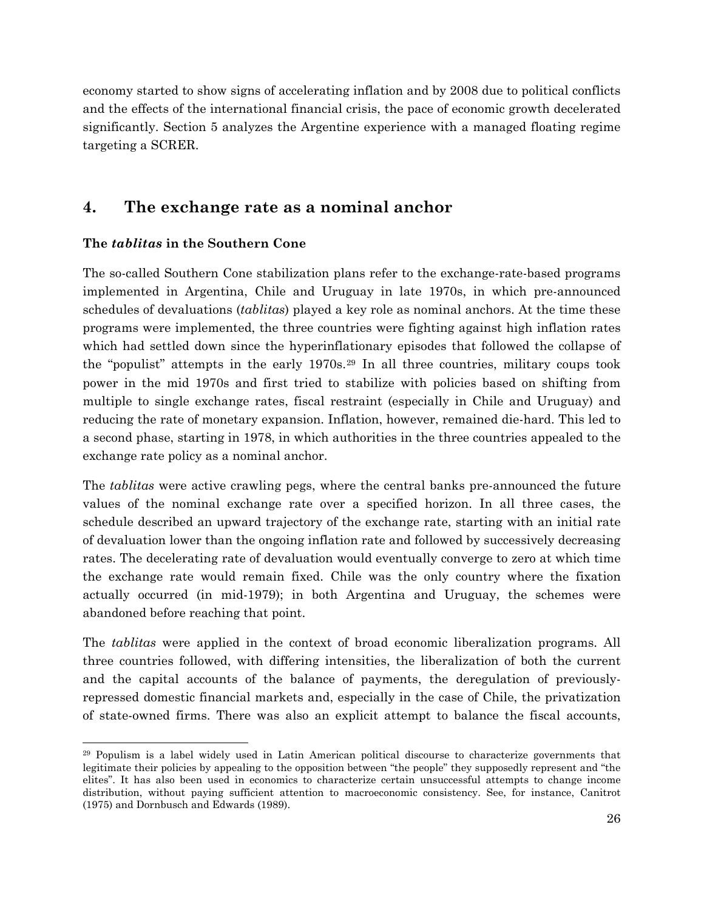economy started to show signs of accelerating inflation and by 2008 due to political conflicts and the effects of the international financial crisis, the pace of economic growth decelerated significantly. Section 5 analyzes the Argentine experience with a managed floating regime targeting a SCRER.

## **4. The exchange rate as a nominal anchor**

### **The** *tablitas* **in the Southern Cone**

 $\overline{a}$ 

The so-called Southern Cone stabilization plans refer to the exchange-rate-based programs implemented in Argentina, Chile and Uruguay in late 1970s, in which pre-announced schedules of devaluations (*tablitas*) played a key role as nominal anchors. At the time these programs were implemented, the three countries were fighting against high inflation rates which had settled down since the hyperinflationary episodes that followed the collapse of the "populist" attempts in the early 1970s.[29](#page-27-0) In all three countries, military coups took power in the mid 1970s and first tried to stabilize with policies based on shifting from multiple to single exchange rates, fiscal restraint (especially in Chile and Uruguay) and reducing the rate of monetary expansion. Inflation, however, remained die-hard. This led to a second phase, starting in 1978, in which authorities in the three countries appealed to the exchange rate policy as a nominal anchor.

The *tablitas* were active crawling pegs, where the central banks pre-announced the future values of the nominal exchange rate over a specified horizon. In all three cases, the schedule described an upward trajectory of the exchange rate, starting with an initial rate of devaluation lower than the ongoing inflation rate and followed by successively decreasing rates. The decelerating rate of devaluation would eventually converge to zero at which time the exchange rate would remain fixed. Chile was the only country where the fixation actually occurred (in mid-1979); in both Argentina and Uruguay, the schemes were abandoned before reaching that point.

The *tablitas* were applied in the context of broad economic liberalization programs. All three countries followed, with differing intensities, the liberalization of both the current and the capital accounts of the balance of payments, the deregulation of previouslyrepressed domestic financial markets and, especially in the case of Chile, the privatization of state-owned firms. There was also an explicit attempt to balance the fiscal accounts,

<span id="page-27-0"></span><sup>29</sup> Populism is a label widely used in Latin American political discourse to characterize governments that legitimate their policies by appealing to the opposition between "the people" they supposedly represent and "the elites". It has also been used in economics to characterize certain unsuccessful attempts to change income distribution, without paying sufficient attention to macroeconomic consistency. See, for instance, Canitrot (1975) and Dornbusch and Edwards (1989).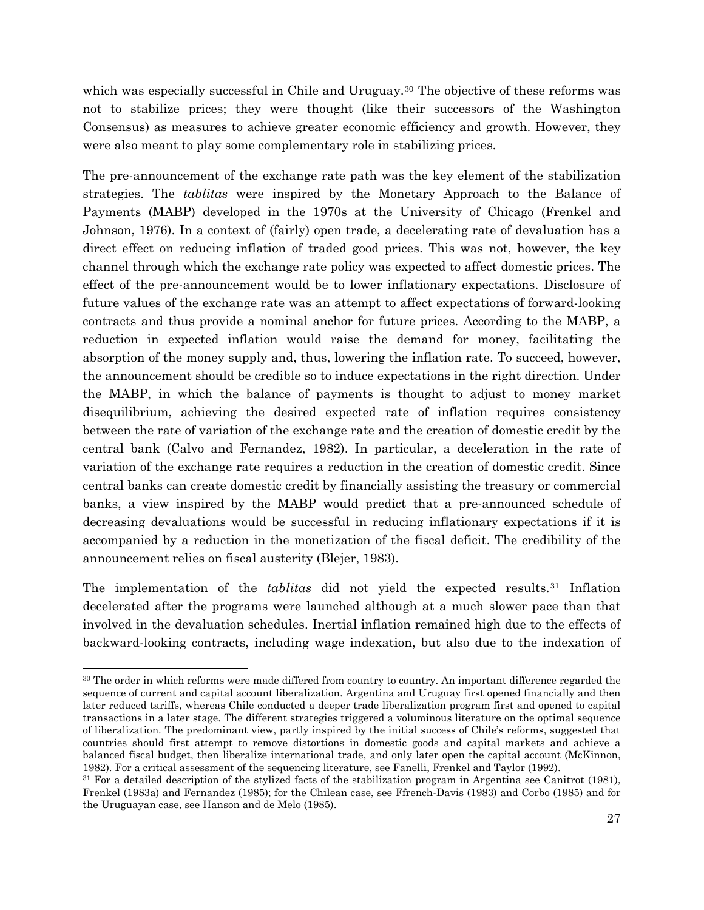which was especially successful in Chile and Uruguay.<sup>[30](#page-28-0)</sup> The objective of these reforms was not to stabilize prices; they were thought (like their successors of the Washington Consensus) as measures to achieve greater economic efficiency and growth. However, they were also meant to play some complementary role in stabilizing prices.

The pre-announcement of the exchange rate path was the key element of the stabilization strategies. The *tablitas* were inspired by the Monetary Approach to the Balance of Payments (MABP) developed in the 1970s at the University of Chicago (Frenkel and Johnson, 1976). In a context of (fairly) open trade, a decelerating rate of devaluation has a direct effect on reducing inflation of traded good prices. This was not, however, the key channel through which the exchange rate policy was expected to affect domestic prices. The effect of the pre-announcement would be to lower inflationary expectations. Disclosure of future values of the exchange rate was an attempt to affect expectations of forward-looking contracts and thus provide a nominal anchor for future prices. According to the MABP, a reduction in expected inflation would raise the demand for money, facilitating the absorption of the money supply and, thus, lowering the inflation rate. To succeed, however, the announcement should be credible so to induce expectations in the right direction. Under the MABP, in which the balance of payments is thought to adjust to money market disequilibrium, achieving the desired expected rate of inflation requires consistency between the rate of variation of the exchange rate and the creation of domestic credit by the central bank (Calvo and Fernandez, 1982). In particular, a deceleration in the rate of variation of the exchange rate requires a reduction in the creation of domestic credit. Since central banks can create domestic credit by financially assisting the treasury or commercial banks, a view inspired by the MABP would predict that a pre-announced schedule of decreasing devaluations would be successful in reducing inflationary expectations if it is accompanied by a reduction in the monetization of the fiscal deficit. The credibility of the announcement relies on fiscal austerity (Blejer, 1983).

The implementation of the *tablitas* did not yield the expected results.[31](#page-28-1) Inflation decelerated after the programs were launched although at a much slower pace than that involved in the devaluation schedules. Inertial inflation remained high due to the effects of backward-looking contracts, including wage indexation, but also due to the indexation of

 $\overline{a}$ 

<span id="page-28-0"></span><sup>&</sup>lt;sup>30</sup> The order in which reforms were made differed from country to country. An important difference regarded the sequence of current and capital account liberalization. Argentina and Uruguay first opened financially and then later reduced tariffs, whereas Chile conducted a deeper trade liberalization program first and opened to capital transactions in a later stage. The different strategies triggered a voluminous literature on the optimal sequence of liberalization. The predominant view, partly inspired by the initial success of Chile's reforms, suggested that countries should first attempt to remove distortions in domestic goods and capital markets and achieve a balanced fiscal budget, then liberalize international trade, and only later open the capital account (McKinnon, 1982). For a critical assessment of the sequencing literature, see Fanelli, Frenkel and Taylor (1992).<br><sup>31</sup> For a detailed description of the stylized facts of the stabilization program in Argentina see Canitrot (1981),

<span id="page-28-1"></span>Frenkel (1983a) and Fernandez (1985); for the Chilean case, see Ffrench-Davis (1983) and Corbo (1985) and for the Uruguayan case, see Hanson and de Melo (1985).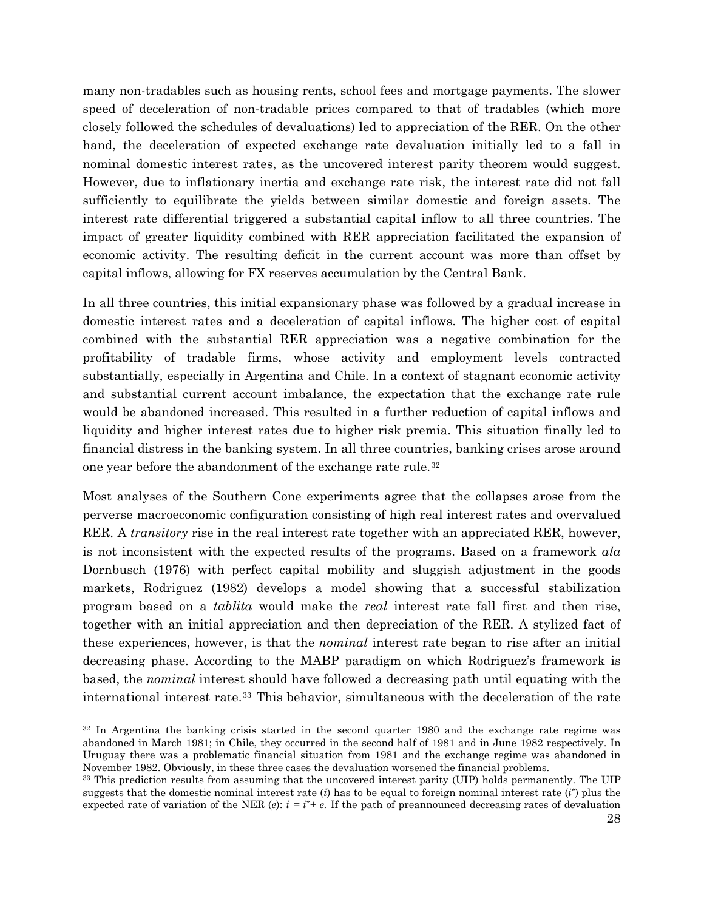capital inflows, allowing for FX reserves accumulation by the Central Bank. many non-tradables such as housing rents, school fees and mortgage payments. The slower speed of deceleration of non-tradable prices compared to that of tradables (which more closely followed the schedules of devaluations) led to appreciation of the RER. On the other hand, the deceleration of expected exchange rate devaluation initially led to a fall in nominal domestic interest rates, as the uncovered interest parity theorem would suggest. However, due to inflationary inertia and exchange rate risk, the interest rate did not fall sufficiently to equilibrate the yields between similar domestic and foreign assets. The interest rate differential triggered a substantial capital inflow to all three countries. The impact of greater liquidity combined with RER appreciation facilitated the expansion of economic activity. The resulting deficit in the current account was more than offset by

In all three countries, this initial expansionary phase was followed by a gradual increase in domestic interest rates and a deceleration of capital inflows. The higher cost of capital combined with the substantial RER appreciation was a negative combination for the profitability of tradable firms, whose activity and employment levels contracted substantially, especially in Argentina and Chile. In a context of stagnant economic activity and substantial current account imbalance, the expectation that the exchange rate rule would be abandoned increased. This resulted in a further reduction of capital inflows and liquidity and higher interest rates due to higher risk premia. This situation finally led to financial distress in the banking system. In all three countries, banking crises arose around one year before the abandonment of the exchange rate rule.[32](#page-29-0)

Most analyses of the Southern Cone experiments agree that the collapses arose from the perverse macroeconomic configuration consisting of high real interest rates and overvalued RER. A *transitory* rise in the real interest rate together with an appreciated RER, however, is not inconsistent with the expected results of the programs. Based on a framework *ala* Dornbusch (1976) with perfect capital mobility and sluggish adjustment in the goods markets, Rodriguez (1982) develops a model showing that a successful stabilization program based on a *tablita* would make the *real* interest rate fall first and then rise, together with an initial appreciation and then depreciation of the RER. A stylized fact of these experiences, however, is that the *nominal* interest rate began to rise after an initial decreasing phase. According to the MABP paradigm on which Rodriguez's framework is based, the *nominal* interest should have followed a decreasing path until equating with the international interest rate.[33](#page-29-1) This behavior, simultaneous with the deceleration of the rate

<span id="page-29-0"></span><sup>&</sup>lt;sup>32</sup> In Argentina the banking crisis started in the second quarter 1980 and the exchange rate regime was abandoned in March 1981; in Chile, they occurred in the second half of 1981 and in June 1982 respectively. In Uruguay there was a problematic financial situation from 1981 and the exchange regime was abandoned in November 1982. Obviously, in these three cases the devaluation worsened the financial problems.<br><sup>33</sup> This prediction results from assuming that the uncovered interest parity (UIP) holds permanently. The UIP

<span id="page-29-1"></span>suggests that the domestic nominal interest rate  $(i)$  has to be equal to foreign nominal interest rate  $(i^*)$  plus the expected rate of variation of the NER  $(e)$ :  $i = i^* + e$ . If the path of preannounced decreasing rates of devaluation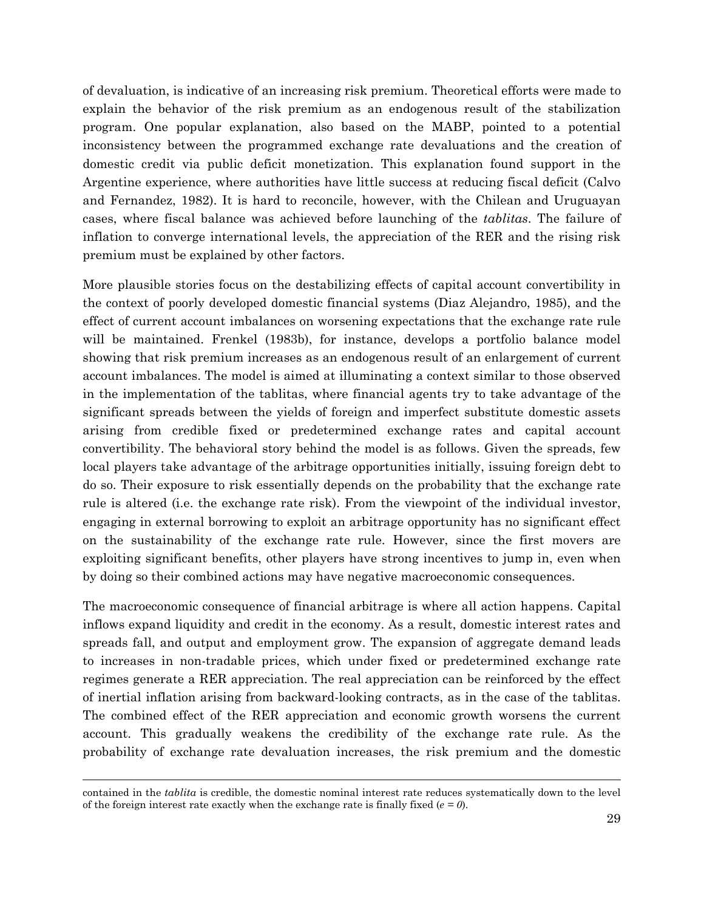of devaluation, is indicative of an increasing risk premium. Theoretical efforts were made to explain the behavior of the risk premium as an endogenous result of the stabilization program. One popular explanation, also based on the MABP, pointed to a potential inconsistency between the programmed exchange rate devaluations and the creation of domestic credit via public deficit monetization. This explanation found support in the Argentine experience, where authorities have little success at reducing fiscal deficit (Calvo and Fernandez, 1982). It is hard to reconcile, however, with the Chilean and Uruguayan cases, where fiscal balance was achieved before launching of the *tablitas*. The failure of inflation to converge international levels, the appreciation of the RER and the rising risk premium must be explained by other factors.

More plausible stories focus on the destabilizing effects of capital account convertibility in the context of poorly developed domestic financial systems (Diaz Alejandro, 1985), and the effect of current account imbalances on worsening expectations that the exchange rate rule will be maintained. Frenkel (1983b), for instance, develops a portfolio balance model showing that risk premium increases as an endogenous result of an enlargement of current account imbalances. The model is aimed at illuminating a context similar to those observed in the implementation of the tablitas, where financial agents try to take advantage of the significant spreads between the yields of foreign and imperfect substitute domestic assets arising from credible fixed or predetermined exchange rates and capital account convertibility. The behavioral story behind the model is as follows. Given the spreads, few local players take advantage of the arbitrage opportunities initially, issuing foreign debt to do so. Their exposure to risk essentially depends on the probability that the exchange rate rule is altered (i.e. the exchange rate risk). From the viewpoint of the individual investor, engaging in external borrowing to exploit an arbitrage opportunity has no significant effect on the sustainability of the exchange rate rule. However, since the first movers are exploiting significant benefits, other players have strong incentives to jump in, even when by doing so their combined actions may have negative macroeconomic consequences.

The macroeconomic consequence of financial arbitrage is where all action happens. Capital inflows expand liquidity and credit in the economy. As a result, domestic interest rates and spreads fall, and output and employment grow. The expansion of aggregate demand leads to increases in non-tradable prices, which under fixed or predetermined exchange rate regimes generate a RER appreciation. The real appreciation can be reinforced by the effect of inertial inflation arising from backward-looking contracts, as in the case of the tablitas. The combined effect of the RER appreciation and economic growth worsens the current account. This gradually weakens the credibility of the exchange rate rule. As the probability of exchange rate devaluation increases, the risk premium and the domestic

contained in the *tablita* is credible, the domestic nominal interest rate reduces systematically down to the level of the foreign interest rate exactly when the exchange rate is finally fixed  $(e = 0)$ .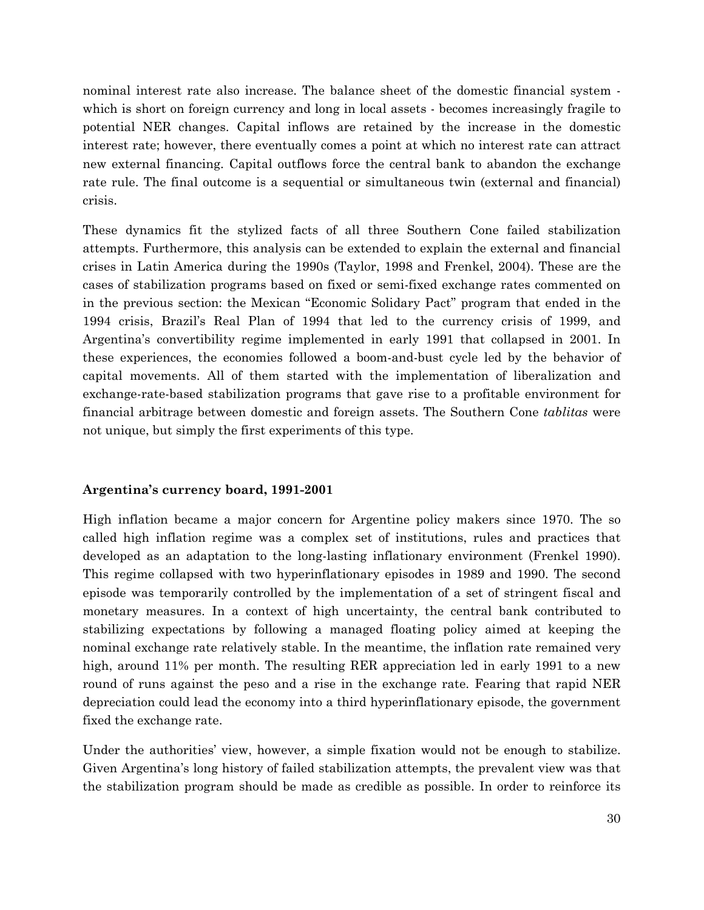nominal interest rate also increase. The balance sheet of the domestic financial system which is short on foreign currency and long in local assets - becomes increasingly fragile to potential NER changes. Capital inflows are retained by the increase in the domestic interest rate; however, there eventually comes a point at which no interest rate can attract new external financing. Capital outflows force the central bank to abandon the exchange rate rule. The final outcome is a sequential or simultaneous twin (external and financial) crisis.

These dynamics fit the stylized facts of all three Southern Cone failed stabilization attempts. Furthermore, this analysis can be extended to explain the external and financial crises in Latin America during the 1990s (Taylor, 1998 and Frenkel, 2004). These are the cases of stabilization programs based on fixed or semi-fixed exchange rates commented on in the previous section: the Mexican "Economic Solidary Pact" program that ended in the 1994 crisis, Brazil's Real Plan of 1994 that led to the currency crisis of 1999, and Argentina's convertibility regime implemented in early 1991 that collapsed in 2001. In these experiences, the economies followed a boom-and-bust cycle led by the behavior of capital movements. All of them started with the implementation of liberalization and exchange-rate-based stabilization programs that gave rise to a profitable environment for financial arbitrage between domestic and foreign assets. The Southern Cone *tablitas* were not unique, but simply the first experiments of this type.

#### **Argentina's currency board, 1991-2001**

High inflation became a major concern for Argentine policy makers since 1970. The so called high inflation regime was a complex set of institutions, rules and practices that developed as an adaptation to the long-lasting inflationary environment (Frenkel 1990). This regime collapsed with two hyperinflationary episodes in 1989 and 1990. The second episode was temporarily controlled by the implementation of a set of stringent fiscal and monetary measures. In a context of high uncertainty, the central bank contributed to stabilizing expectations by following a managed floating policy aimed at keeping the nominal exchange rate relatively stable. In the meantime, the inflation rate remained very high, around 11% per month. The resulting RER appreciation led in early 1991 to a new round of runs against the peso and a rise in the exchange rate. Fearing that rapid NER depreciation could lead the economy into a third hyperinflationary episode, the government fixed the exchange rate.

Under the authorities' view, however, a simple fixation would not be enough to stabilize. Given Argentina's long history of failed stabilization attempts, the prevalent view was that the stabilization program should be made as credible as possible. In order to reinforce its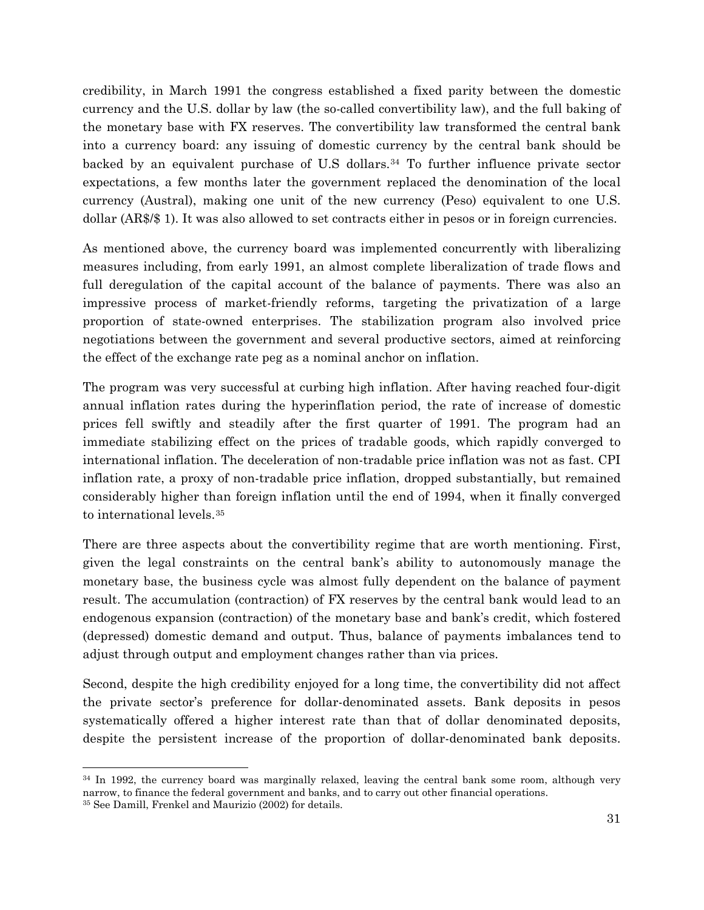credibility, in March 1991 the congress established a fixed parity between the domestic currency and the U.S. dollar by law (the so-called convertibility law), and the full baking of the monetary base with FX reserves. The convertibility law transformed the central bank into a currency board: any issuing of domestic currency by the central bank should be backed by an equivalent purchase of U.S dollars.<sup>[34](#page-32-0)</sup> To further influence private sector expectations, a few months later the government replaced the denomination of the local currency (Austral), making one unit of the new currency (Peso) equivalent to one U.S. dollar (AR\$/\$ 1). It was also allowed to set contracts either in pesos or in foreign currencies.

As mentioned above, the currency board was implemented concurrently with liberalizing measures including, from early 1991, an almost complete liberalization of trade flows and full deregulation of the capital account of the balance of payments. There was also an impressive process of market-friendly reforms, targeting the privatization of a large proportion of state-owned enterprises. The stabilization program also involved price negotiations between the government and several productive sectors, aimed at reinforcing the effect of the exchange rate peg as a nominal anchor on inflation.

The program was very successful at curbing high inflation. After having reached four-digit annual inflation rates during the hyperinflation period, the rate of increase of domestic prices fell swiftly and steadily after the first quarter of 1991. The program had an immediate stabilizing effect on the prices of tradable goods, which rapidly converged to international inflation. The deceleration of non-tradable price inflation was not as fast. CPI inflation rate, a proxy of non-tradable price inflation, dropped substantially, but remained considerably higher than foreign inflation until the end of 1994, when it finally converged to international levels.[35](#page-32-1)

There are three aspects about the convertibility regime that are worth mentioning. First, given the legal constraints on the central bank's ability to autonomously manage the monetary base, the business cycle was almost fully dependent on the balance of payment result. The accumulation (contraction) of FX reserves by the central bank would lead to an endogenous expansion (contraction) of the monetary base and bank's credit, which fostered (depressed) domestic demand and output. Thus, balance of payments imbalances tend to adjust through output and employment changes rather than via prices.

Second, despite the high credibility enjoyed for a long time, the convertibility did not affect the private sector's preference for dollar-denominated assets. Bank deposits in pesos systematically offered a higher interest rate than that of dollar denominated deposits, despite the persistent increase of the proportion of dollar-denominated bank deposits.

<span id="page-32-1"></span><span id="page-32-0"></span> $34$  In 1992, the currency board was marginally relaxed, leaving the central bank some room, although very narrow, to finance the federal government and banks, and to carry out other financial operations. 35 See Damill, Frenkel and Maurizio (2002) for details.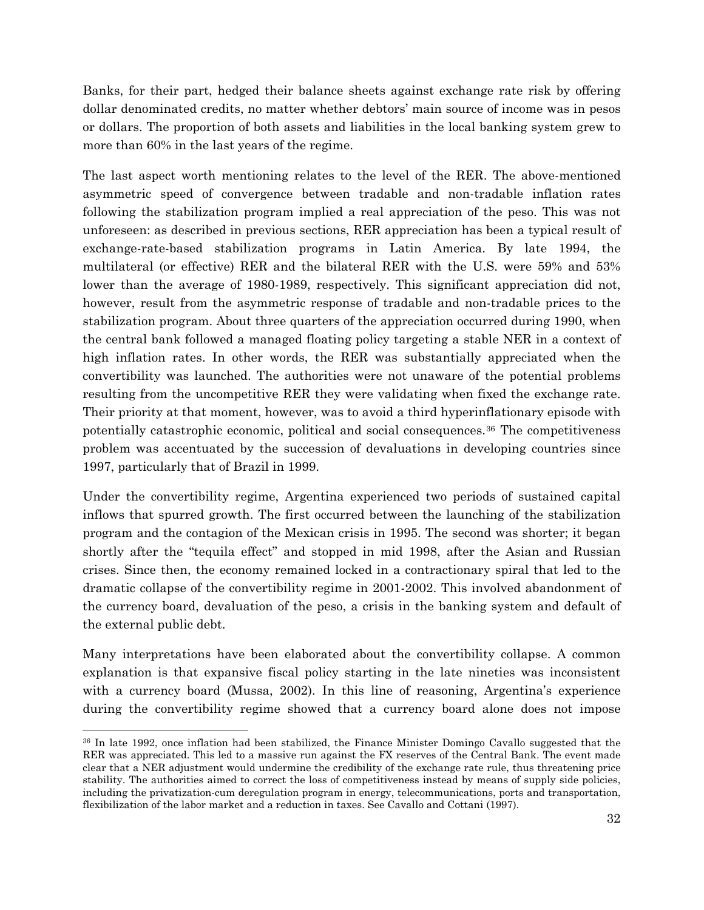Banks, for their part, hedged their balance sheets against exchange rate risk by offering dollar denominated credits, no matter whether debtors' main source of income was in pesos or dollars. The proportion of both assets and liabilities in the local banking system grew to more than 60% in the last years of the regime.

The last aspect worth mentioning relates to the level of the RER. The above-mentioned asymmetric speed of convergence between tradable and non-tradable inflation rates following the stabilization program implied a real appreciation of the peso. This was not unforeseen: as described in previous sections, RER appreciation has been a typical result of exchange-rate-based stabilization programs in Latin America. By late 1994, the multilateral (or effective) RER and the bilateral RER with the U.S. were 59% and 53% lower than the average of 1980-1989, respectively. This significant appreciation did not, however, result from the asymmetric response of tradable and non-tradable prices to the stabilization program. About three quarters of the appreciation occurred during 1990, when the central bank followed a managed floating policy targeting a stable NER in a context of high inflation rates. In other words, the RER was substantially appreciated when the convertibility was launched. The authorities were not unaware of the potential problems resulting from the uncompetitive RER they were validating when fixed the exchange rate. Their priority at that moment, however, was to avoid a third hyperinflationary episode with potentially catastrophic economic, political and social consequences.[36](#page-33-0) The competitiveness problem was accentuated by the succession of devaluations in developing countries since 1997, particularly that of Brazil in 1999.

Under the convertibility regime, Argentina experienced two periods of sustained capital inflows that spurred growth. The first occurred between the launching of the stabilization program and the contagion of the Mexican crisis in 1995. The second was shorter; it began shortly after the "tequila effect" and stopped in mid 1998, after the Asian and Russian crises. Since then, the economy remained locked in a contractionary spiral that led to the dramatic collapse of the convertibility regime in 2001-2002. This involved abandonment of the currency board, devaluation of the peso, a crisis in the banking system and default of the external public debt.

Many interpretations have been elaborated about the convertibility collapse. A common explanation is that expansive fiscal policy starting in the late nineties was inconsistent with a currency board (Mussa, 2002). In this line of reasoning, Argentina's experience during the convertibility regime showed that a currency board alone does not impose

 $\overline{a}$ 

<span id="page-33-0"></span><sup>36</sup> In late 1992, once inflation had been stabilized, the Finance Minister Domingo Cavallo suggested that the RER was appreciated. This led to a massive run against the FX reserves of the Central Bank. The event made clear that a NER adjustment would undermine the credibility of the exchange rate rule, thus threatening price stability. The authorities aimed to correct the loss of competitiveness instead by means of supply side policies, including the privatization-cum deregulation program in energy, telecommunications, ports and transportation, flexibilization of the labor market and a reduction in taxes. See Cavallo and Cottani (1997).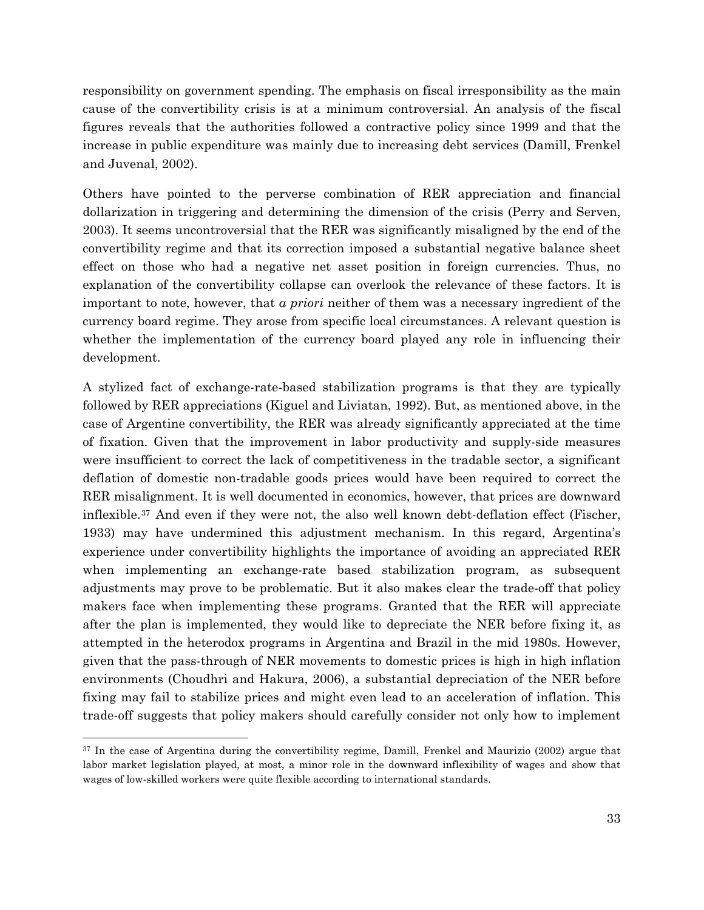responsibility on government spending. The emphasis on fiscal irresponsibility as the main cause of the convertibility crisis is at a minimum controversial. An analysis of the fiscal figures reveals that the authorities followed a contractive policy since 1999 and that the increase in public expenditure was mainly due to increasing debt services (Damill, Frenkel and Juvenal, 2002).

Others have pointed to the perverse combination of RER appreciation and financial dollarization in triggering and determining the dimension of the crisis (Perry and Serven, 2003). It seems uncontroversial that the RER was significantly misaligned by the end of the convertibility regime and that its correction imposed a substantial negative balance sheet effect on those who had a negative net asset position in foreign currencies. Thus, no explanation of the convertibility collapse can overlook the relevance of these factors. It is important to note, however, that *a priori* neither of them was a necessary ingredient of the currency board regime. They arose from specific local circumstances. A relevant question is whether the implementation of the currency board played any role in influencing their development.

A stylized fact of exchange-rate-based stabilization programs is that they are typically followed by RER appreciations (Kiguel and Liviatan, 1992). But, as mentioned above, in the case of Argentine convertibility, the RER was already significantly appreciated at the time of fixation. Given that the improvement in labor productivity and supply-side measures were insufficient to correct the lack of competitiveness in the tradable sector, a significant deflation of domestic non-tradable goods prices would have been required to correct the RER misalignment. It is well documented in economics, however, that prices are downward inflexible.[37](#page-34-0) And even if they were not, the also well known debt-deflation effect (Fischer, 1933) may have undermined this adjustment mechanism. In this regard, Argentina's experience under convertibility highlights the importance of avoiding an appreciated RER when implementing an exchange-rate based stabilization program, as subsequent adjustments may prove to be problematic. But it also makes clear the trade-off that policy makers face when implementing these programs. Granted that the RER will appreciate after the plan is implemented, they would like to depreciate the NER before fixing it, as attempted in the heterodox programs in Argentina and Brazil in the mid 1980s. However, given that the pass-through of NER movements to domestic prices is high in high inflation environments (Choudhri and Hakura, 2006), a substantial depreciation of the NER before fixing may fail to stabilize prices and might even lead to an acceleration of inflation. This trade-off suggests that policy makers should carefully consider not only how to implement

 $\overline{a}$ 

<span id="page-34-0"></span><sup>&</sup>lt;sup>37</sup> In the case of Argentina during the convertibility regime, Damill, Frenkel and Maurizio (2002) argue that labor market legislation played, at most, a minor role in the downward inflexibility of wages and show that wages of low-skilled workers were quite flexible according to international standards.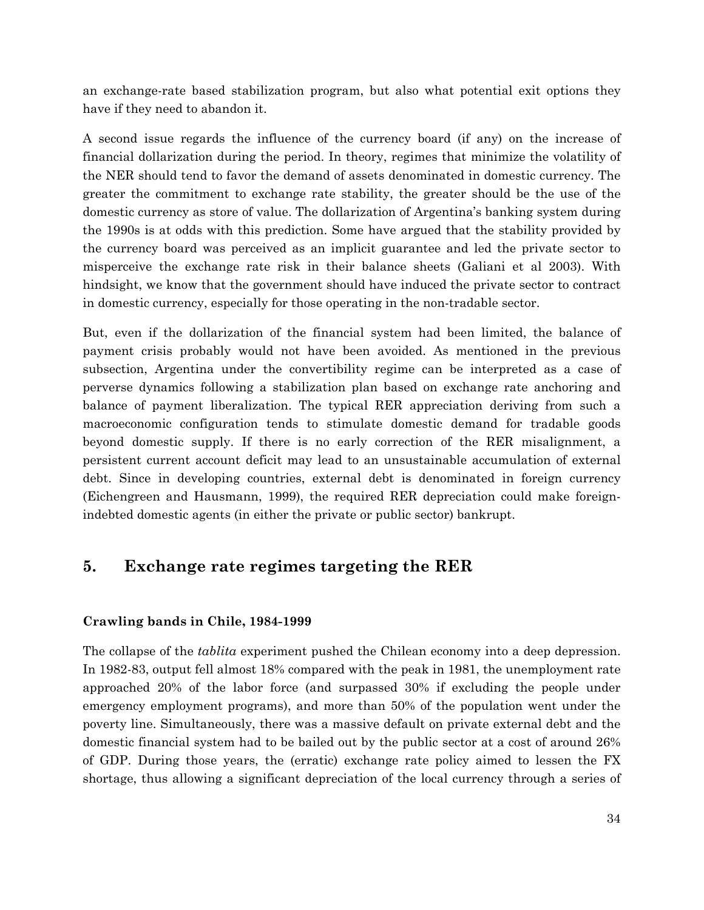an exchange-rate based stabilization program, but also what potential exit options they have if they need to abandon it.

A second issue regards the influence of the currency board (if any) on the increase of financial dollarization during the period. In theory, regimes that minimize the volatility of the NER should tend to favor the demand of assets denominated in domestic currency. The greater the commitment to exchange rate stability, the greater should be the use of the domestic currency as store of value. The dollarization of Argentina's banking system during the 1990s is at odds with this prediction. Some have argued that the stability provided by the currency board was perceived as an implicit guarantee and led the private sector to misperceive the exchange rate risk in their balance sheets (Galiani et al 2003). With hindsight, we know that the government should have induced the private sector to contract in domestic currency, especially for those operating in the non-tradable sector.

But, even if the dollarization of the financial system had been limited, the balance of payment crisis probably would not have been avoided. As mentioned in the previous subsection, Argentina under the convertibility regime can be interpreted as a case of perverse dynamics following a stabilization plan based on exchange rate anchoring and balance of payment liberalization. The typical RER appreciation deriving from such a macroeconomic configuration tends to stimulate domestic demand for tradable goods beyond domestic supply. If there is no early correction of the RER misalignment, a persistent current account deficit may lead to an unsustainable accumulation of external debt. Since in developing countries, external debt is denominated in foreign currency (Eichengreen and Hausmann, 1999), the required RER depreciation could make foreignindebted domestic agents (in either the private or public sector) bankrupt.

## **5. Exchange rate regimes targeting the RER**

### **Crawling bands in Chile, 1984-1999**

The collapse of the *tablita* experiment pushed the Chilean economy into a deep depression. In 1982-83, output fell almost 18% compared with the peak in 1981, the unemployment rate approached 20% of the labor force (and surpassed 30% if excluding the people under emergency employment programs), and more than 50% of the population went under the poverty line. Simultaneously, there was a massive default on private external debt and the domestic financial system had to be bailed out by the public sector at a cost of around 26% of GDP. During those years, the (erratic) exchange rate policy aimed to lessen the FX shortage, thus allowing a significant depreciation of the local currency through a series of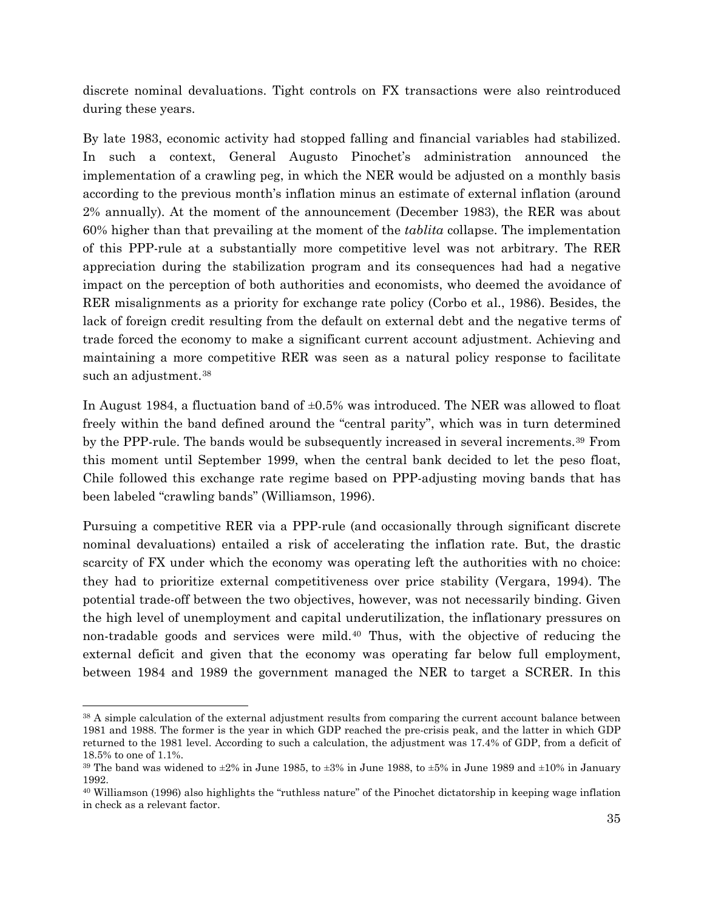discrete nominal devaluations. Tight controls on FX transactions were also reintroduced during these years.

By late 1983, economic activity had stopped falling and financial variables had stabilized. In such a context, General Augusto Pinochet's administration announced the implementation of a crawling peg, in which the NER would be adjusted on a monthly basis according to the previous month's inflation minus an estimate of external inflation (around 2% annually). At the moment of the announcement (December 1983), the RER was about 60% higher than that prevailing at the moment of the *tablita* collapse. The implementation of this PPP-rule at a substantially more competitive level was not arbitrary. The RER appreciation during the stabilization program and its consequences had had a negative impact on the perception of both authorities and economists, who deemed the avoidance of RER misalignments as a priority for exchange rate policy (Corbo et al., 1986). Besides, the lack of foreign credit resulting from the default on external debt and the negative terms of trade forced the economy to make a significant current account adjustment. Achieving and maintaining a more competitive RER was seen as a natural policy response to facilitate such an adjustment.<sup>[38](#page-36-0)</sup>

In August 1984, a fluctuation band of  $\pm 0.5\%$  was introduced. The NER was allowed to float freely within the band defined around the "central parity", which was in turn determined by the PPP-rule. The bands would be subsequently increased in several increments.[39](#page-36-1) From this moment until September 1999, when the central bank decided to let the peso float, Chile followed this exchange rate regime based on PPP-adjusting moving bands that has been labeled "crawling bands" (Williamson, 1996).

Pursuing a competitive RER via a PPP-rule (and occasionally through significant discrete nominal devaluations) entailed a risk of accelerating the inflation rate. But, the drastic scarcity of FX under which the economy was operating left the authorities with no choice: they had to prioritize external competitiveness over price stability (Vergara, 1994). The potential trade-off between the two objectives, however, was not necessarily binding. Given the high level of unemployment and capital underutilization, the inflationary pressures on non-tradable goods and services were mild. $40$  Thus, with the objective of reducing the external deficit and given that the economy was operating far below full employment, between 1984 and 1989 the government managed the NER to target a SCRER. In this

<span id="page-36-0"></span><sup>38</sup> A simple calculation of the external adjustment results from comparing the current account balance between 1981 and 1988. The former is the year in which GDP reached the pre-crisis peak, and the latter in which GDP returned to the 1981 level. According to such a calculation, the adjustment was 17.4% of GDP, from a deficit of 18.5% to one of 1.1%.

<span id="page-36-1"></span><sup>&</sup>lt;sup>39</sup> The band was widened to  $\pm 2\%$  in June 1985, to  $\pm 3\%$  in June 1988, to  $\pm 5\%$  in June 1989 and  $\pm 10\%$  in January 1992.

<span id="page-36-2"></span><sup>40</sup> Williamson (1996) also highlights the "ruthless nature" of the Pinochet dictatorship in keeping wage inflation in check as a relevant factor.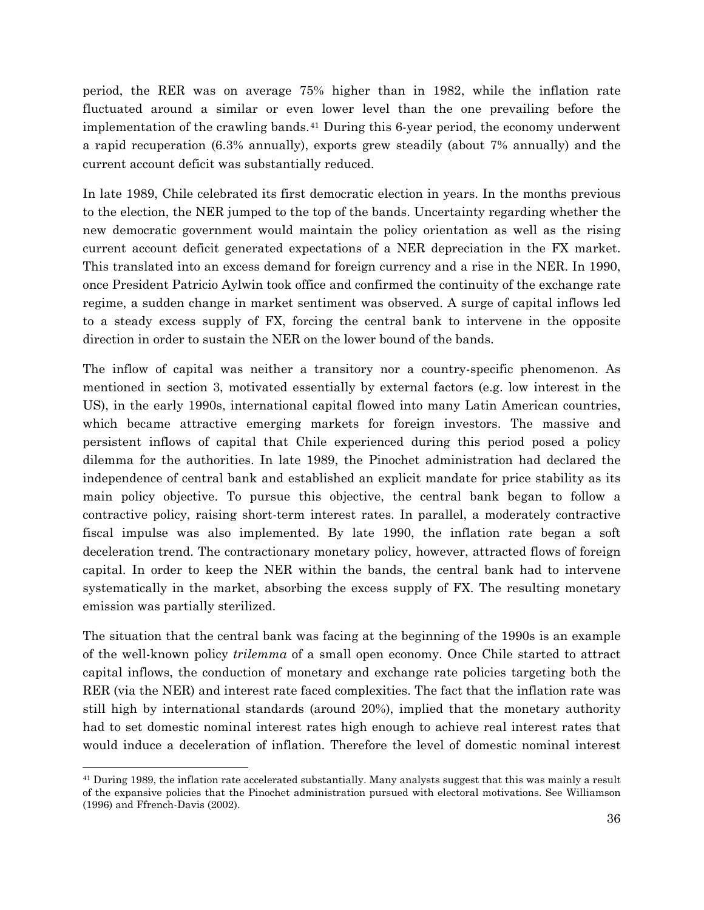period, the RER was on average 75% higher than in 1982, while the inflation rate fluctuated around a similar or even lower level than the one prevailing before the implementation of the crawling bands.<sup>[41](#page-37-0)</sup> During this 6-year period, the economy underwent a rapid recuperation (6.3% annually), exports grew steadily (about 7% annually) and the current account deficit was substantially reduced.

In late 1989, Chile celebrated its first democratic election in years. In the months previous to the election, the NER jumped to the top of the bands. Uncertainty regarding whether the new democratic government would maintain the policy orientation as well as the rising current account deficit generated expectations of a NER depreciation in the FX market. This translated into an excess demand for foreign currency and a rise in the NER. In 1990, once President Patricio Aylwin took office and confirmed the continuity of the exchange rate regime, a sudden change in market sentiment was observed. A surge of capital inflows led to a steady excess supply of FX, forcing the central bank to intervene in the opposite direction in order to sustain the NER on the lower bound of the bands.

The inflow of capital was neither a transitory nor a country-specific phenomenon. As mentioned in section 3, motivated essentially by external factors (e.g. low interest in the US), in the early 1990s, international capital flowed into many Latin American countries, which became attractive emerging markets for foreign investors. The massive and persistent inflows of capital that Chile experienced during this period posed a policy dilemma for the authorities. In late 1989, the Pinochet administration had declared the independence of central bank and established an explicit mandate for price stability as its main policy objective. To pursue this objective, the central bank began to follow a contractive policy, raising short-term interest rates. In parallel, a moderately contractive fiscal impulse was also implemented. By late 1990, the inflation rate began a soft deceleration trend. The contractionary monetary policy, however, attracted flows of foreign capital. In order to keep the NER within the bands, the central bank had to intervene systematically in the market, absorbing the excess supply of FX. The resulting monetary emission was partially sterilized.

The situation that the central bank was facing at the beginning of the 1990s is an example of the well-known policy *trilemma* of a small open economy. Once Chile started to attract capital inflows, the conduction of monetary and exchange rate policies targeting both the RER (via the NER) and interest rate faced complexities. The fact that the inflation rate was still high by international standards (around 20%), implied that the monetary authority had to set domestic nominal interest rates high enough to achieve real interest rates that would induce a deceleration of inflation. Therefore the level of domestic nominal interest

<span id="page-37-0"></span> $41$  During 1989, the inflation rate accelerated substantially. Many analysts suggest that this was mainly a result of the expansive policies that the Pinochet administration pursued with electoral motivations. See Williamson (1996) and Ffrench-Davis (2002).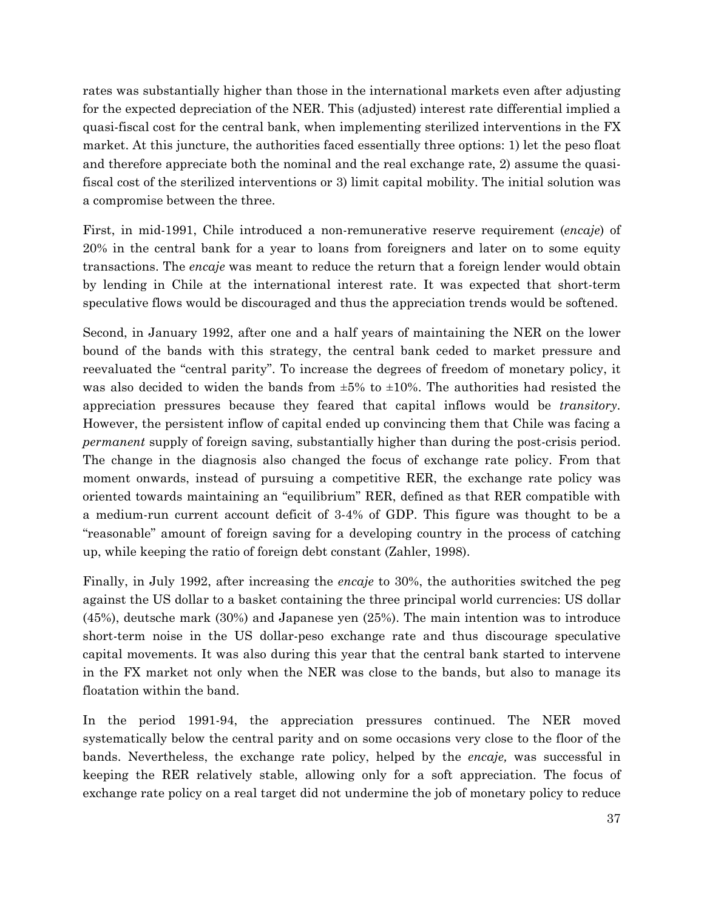rates was substantially higher than those in the international markets even after adjusting for the expected depreciation of the NER. This (adjusted) interest rate differential implied a quasi-fiscal cost for the central bank, when implementing sterilized interventions in the FX market. At this juncture, the authorities faced essentially three options: 1) let the peso float and therefore appreciate both the nominal and the real exchange rate, 2) assume the quasifiscal cost of the sterilized interventions or 3) limit capital mobility. The initial solution was a compromise between the three.

First, in mid-1991, Chile introduced a non-remunerative reserve requirement (*encaje*) of 20% in the central bank for a year to loans from foreigners and later on to some equity transactions. The *encaje* was meant to reduce the return that a foreign lender would obtain by lending in Chile at the international interest rate. It was expected that short-term speculative flows would be discouraged and thus the appreciation trends would be softened.

Second, in January 1992, after one and a half years of maintaining the NER on the lower bound of the bands with this strategy, the central bank ceded to market pressure and reevaluated the "central parity". To increase the degrees of freedom of monetary policy, it was also decided to widen the bands from  $\pm 5\%$  to  $\pm 10\%$ . The authorities had resisted the appreciation pressures because they feared that capital inflows would be *transitory*. However, the persistent inflow of capital ended up convincing them that Chile was facing a *permanent* supply of foreign saving, substantially higher than during the post-crisis period. The change in the diagnosis also changed the focus of exchange rate policy. From that moment onwards, instead of pursuing a competitive RER, the exchange rate policy was oriented towards maintaining an "equilibrium" RER, defined as that RER compatible with a medium-run current account deficit of 3-4% of GDP. This figure was thought to be a "reasonable" amount of foreign saving for a developing country in the process of catching up, while keeping the ratio of foreign debt constant (Zahler, 1998).

Finally, in July 1992, after increasing the *encaje* to 30%, the authorities switched the peg against the US dollar to a basket containing the three principal world currencies: US dollar (45%), deutsche mark (30%) and Japanese yen (25%). The main intention was to introduce short-term noise in the US dollar-peso exchange rate and thus discourage speculative capital movements. It was also during this year that the central bank started to intervene in the FX market not only when the NER was close to the bands, but also to manage its floatation within the band.

In the period 1991-94, the appreciation pressures continued. The NER moved systematically below the central parity and on some occasions very close to the floor of the bands. Nevertheless, the exchange rate policy, helped by the *encaje,* was successful in keeping the RER relatively stable, allowing only for a soft appreciation. The focus of exchange rate policy on a real target did not undermine the job of monetary policy to reduce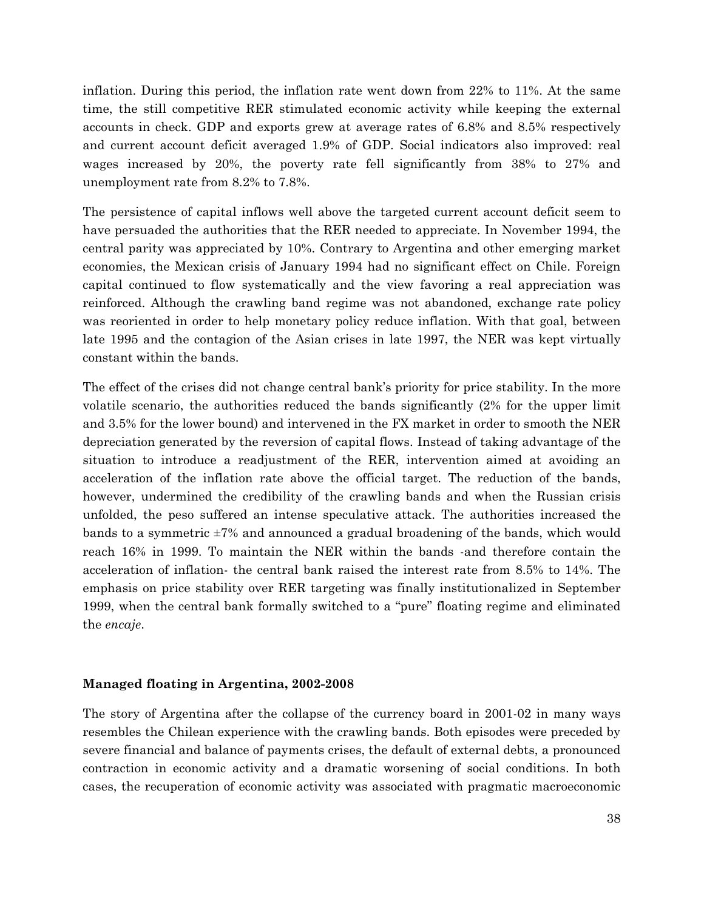inflation. During this period, the inflation rate went down from 22% to 11%. At the same time, the still competitive RER stimulated economic activity while keeping the external accounts in check. GDP and exports grew at average rates of 6.8% and 8.5% respectively and current account deficit averaged 1.9% of GDP. Social indicators also improved: real wages increased by 20%, the poverty rate fell significantly from 38% to 27% and unemployment rate from 8.2% to 7.8%.

The persistence of capital inflows well above the targeted current account deficit seem to have persuaded the authorities that the RER needed to appreciate. In November 1994, the central parity was appreciated by 10%. Contrary to Argentina and other emerging market economies, the Mexican crisis of January 1994 had no significant effect on Chile. Foreign capital continued to flow systematically and the view favoring a real appreciation was reinforced. Although the crawling band regime was not abandoned, exchange rate policy was reoriented in order to help monetary policy reduce inflation. With that goal, between late 1995 and the contagion of the Asian crises in late 1997, the NER was kept virtually constant within the bands.

The effect of the crises did not change central bank's priority for price stability. In the more volatile scenario, the authorities reduced the bands significantly (2% for the upper limit and 3.5% for the lower bound) and intervened in the FX market in order to smooth the NER depreciation generated by the reversion of capital flows. Instead of taking advantage of the situation to introduce a readjustment of the RER, intervention aimed at avoiding an acceleration of the inflation rate above the official target. The reduction of the bands, however, undermined the credibility of the crawling bands and when the Russian crisis unfolded, the peso suffered an intense speculative attack. The authorities increased the bands to a symmetric ±7% and announced a gradual broadening of the bands, which would reach 16% in 1999. To maintain the NER within the bands -and therefore contain the acceleration of inflation- the central bank raised the interest rate from 8.5% to 14%. The emphasis on price stability over RER targeting was finally institutionalized in September 1999, when the central bank formally switched to a "pure" floating regime and eliminated the *encaje*.

#### **Managed floating in Argentina, 2002-2008**

The story of Argentina after the collapse of the currency board in 2001-02 in many ways resembles the Chilean experience with the crawling bands. Both episodes were preceded by severe financial and balance of payments crises, the default of external debts, a pronounced contraction in economic activity and a dramatic worsening of social conditions. In both cases, the recuperation of economic activity was associated with pragmatic macroeconomic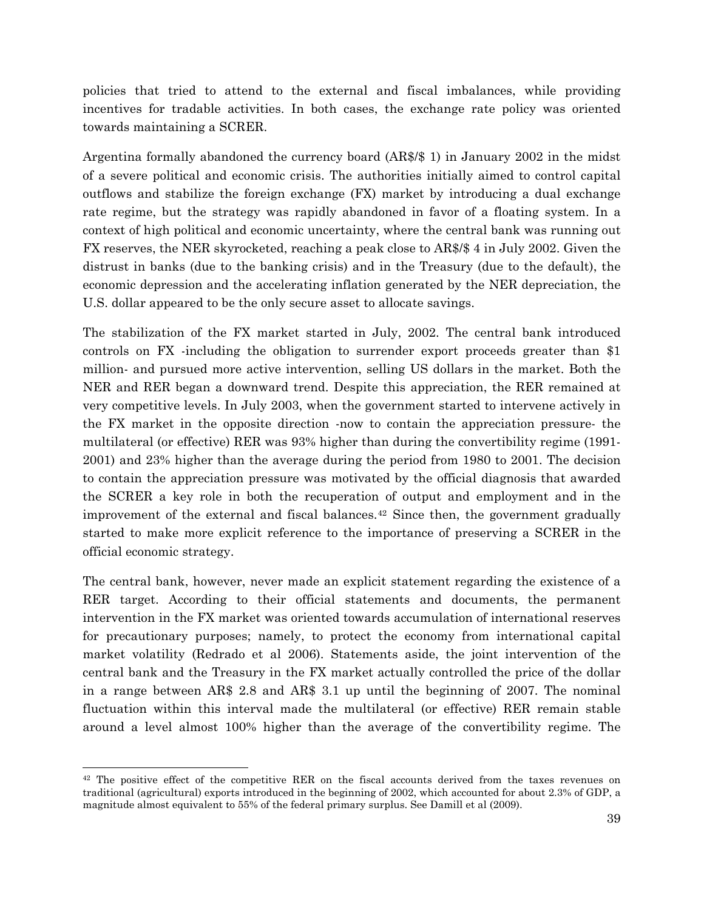policies that tried to attend to the external and fiscal imbalances, while providing incentives for tradable activities. In both cases, the exchange rate policy was oriented towards maintaining a SCRER.

Argentina formally abandoned the currency board (AR\$/\$ 1) in January 2002 in the midst of a severe political and economic crisis. The authorities initially aimed to control capital outflows and stabilize the foreign exchange (FX) market by introducing a dual exchange rate regime, but the strategy was rapidly abandoned in favor of a floating system. In a context of high political and economic uncertainty, where the central bank was running out FX reserves, the NER skyrocketed, reaching a peak close to AR\$/\$ 4 in July 2002. Given the distrust in banks (due to the banking crisis) and in the Treasury (due to the default), the economic depression and the accelerating inflation generated by the NER depreciation, the U.S. dollar appeared to be the only secure asset to allocate savings.

The stabilization of the FX market started in July, 2002. The central bank introduced controls on FX -including the obligation to surrender export proceeds greater than \$1 million- and pursued more active intervention, selling US dollars in the market. Both the NER and RER began a downward trend. Despite this appreciation, the RER remained at very competitive levels. In July 2003, when the government started to intervene actively in the FX market in the opposite direction -now to contain the appreciation pressure- the multilateral (or effective) RER was 93% higher than during the convertibility regime (1991- 2001) and 23% higher than the average during the period from 1980 to 2001. The decision to contain the appreciation pressure was motivated by the official diagnosis that awarded the SCRER a key role in both the recuperation of output and employment and in the improvement of the external and fiscal balances.[42](#page-40-0) Since then, the government gradually started to make more explicit reference to the importance of preserving a SCRER in the official economic strategy.

The central bank, however, never made an explicit statement regarding the existence of a RER target. According to their official statements and documents, the permanent intervention in the FX market was oriented towards accumulation of international reserves for precautionary purposes; namely, to protect the economy from international capital market volatility (Redrado et al 2006). Statements aside, the joint intervention of the central bank and the Treasury in the FX market actually controlled the price of the dollar in a range between AR\$ 2.8 and AR\$ 3.1 up until the beginning of 2007. The nominal fluctuation within this interval made the multilateral (or effective) RER remain stable around a level almost 100% higher than the average of the convertibility regime. The

<span id="page-40-0"></span> $42$  The positive effect of the competitive RER on the fiscal accounts derived from the taxes revenues on traditional (agricultural) exports introduced in the beginning of 2002, which accounted for about 2.3% of GDP, a magnitude almost equivalent to 55% of the federal primary surplus. See Damill et al (2009).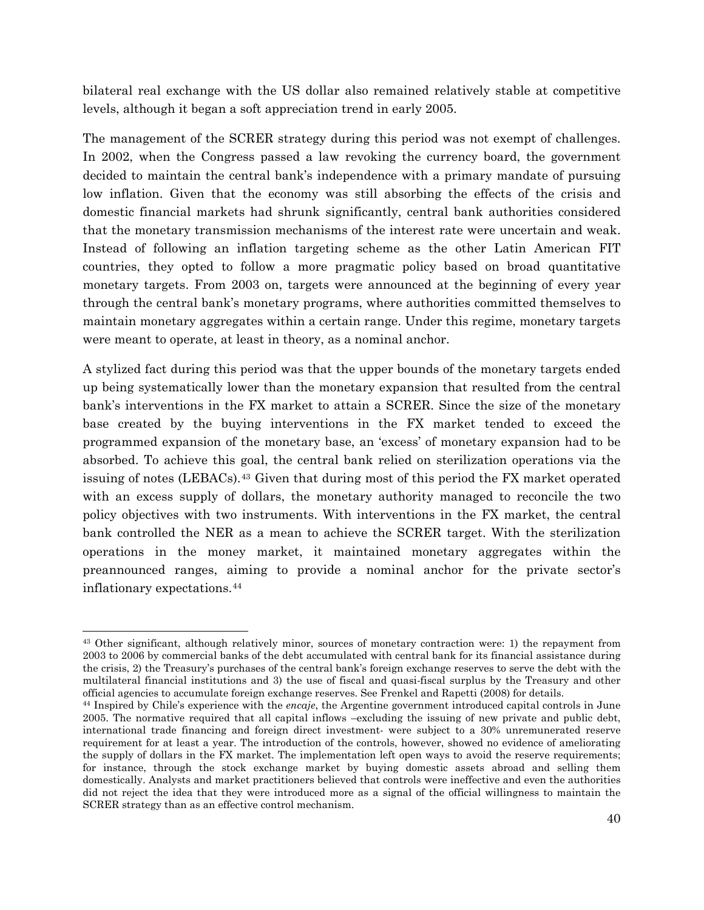bilateral real exchange with the US dollar also remained relatively stable at competitive levels, although it began a soft appreciation trend in early 2005.

The management of the SCRER strategy during this period was not exempt of challenges. In 2002, when the Congress passed a law revoking the currency board, the government decided to maintain the central bank's independence with a primary mandate of pursuing low inflation. Given that the economy was still absorbing the effects of the crisis and domestic financial markets had shrunk significantly, central bank authorities considered that the monetary transmission mechanisms of the interest rate were uncertain and weak. Instead of following an inflation targeting scheme as the other Latin American FIT countries, they opted to follow a more pragmatic policy based on broad quantitative monetary targets. From 2003 on, targets were announced at the beginning of every year through the central bank's monetary programs, where authorities committed themselves to maintain monetary aggregates within a certain range. Under this regime, monetary targets were meant to operate, at least in theory, as a nominal anchor.

A stylized fact during this period was that the upper bounds of the monetary targets ended up being systematically lower than the monetary expansion that resulted from the central bank's interventions in the FX market to attain a SCRER. Since the size of the monetary base created by the buying interventions in the FX market tended to exceed the programmed expansion of the monetary base, an 'excess' of monetary expansion had to be absorbed. To achieve this goal, the central bank relied on sterilization operations via the issuing of notes (LEBACs).[43](#page-41-0) Given that during most of this period the FX market operated with an excess supply of dollars, the monetary authority managed to reconcile the two policy objectives with two instruments. With interventions in the FX market, the central bank controlled the NER as a mean to achieve the SCRER target. With the sterilization operations in the money market, it maintained monetary aggregates within the preannounced ranges, aiming to provide a nominal anchor for the private sector's inflationary expectations.[44](#page-41-1)

<span id="page-41-0"></span><sup>43</sup> Other significant, although relatively minor, sources of monetary contraction were: 1) the repayment from 2003 to 2006 by commercial banks of the debt accumulated with central bank for its financial assistance during the crisis, 2) the Treasury's purchases of the central bank's foreign exchange reserves to serve the debt with the multilateral financial institutions and 3) the use of fiscal and quasi-fiscal surplus by the Treasury and other official agencies to accumulate foreign exchange reserves. See Frenkel and Rapetti (2008) for details. 44 Inspired by Chile's experience with the *encaje*, the Argentine government introduced capital controls in June

<span id="page-41-1"></span><sup>2005.</sup> The normative required that all capital inflows –excluding the issuing of new private and public debt, international trade financing and foreign direct investment- were subject to a 30% unremunerated reserve requirement for at least a year. The introduction of the controls, however, showed no evidence of ameliorating the supply of dollars in the FX market. The implementation left open ways to avoid the reserve requirements; for instance, through the stock exchange market by buying domestic assets abroad and selling them domestically. Analysts and market practitioners believed that controls were ineffective and even the authorities did not reject the idea that they were introduced more as a signal of the official willingness to maintain the SCRER strategy than as an effective control mechanism.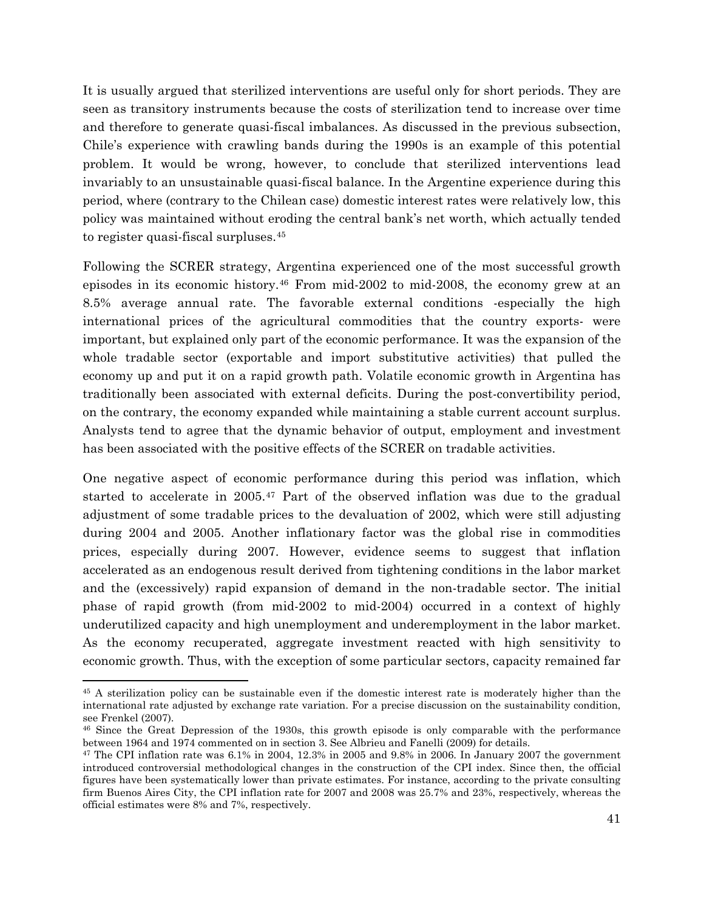It is usually argued that sterilized interventions are useful only for short periods. They are seen as transitory instruments because the costs of sterilization tend to increase over time and therefore to generate quasi-fiscal imbalances. As discussed in the previous subsection, Chile's experience with crawling bands during the 1990s is an example of this potential problem. It would be wrong, however, to conclude that sterilized interventions lead invariably to an unsustainable quasi-fiscal balance. In the Argentine experience during this period, where (contrary to the Chilean case) domestic interest rates were relatively low, this policy was maintained without eroding the central bank's net worth, which actually tended to register quasi-fiscal surpluses.[45](#page-42-0)

Following the SCRER strategy, Argentina experienced one of the most successful growth episodes in its economic history.[46](#page-42-1) From mid-2002 to mid-2008, the economy grew at an 8.5% average annual rate. The favorable external conditions -especially the high international prices of the agricultural commodities that the country exports- were important, but explained only part of the economic performance. It was the expansion of the whole tradable sector (exportable and import substitutive activities) that pulled the economy up and put it on a rapid growth path. Volatile economic growth in Argentina has traditionally been associated with external deficits. During the post-convertibility period, on the contrary, the economy expanded while maintaining a stable current account surplus. Analysts tend to agree that the dynamic behavior of output, employment and investment has been associated with the positive effects of the SCRER on tradable activities.

One negative aspect of economic performance during this period was inflation, which started to accelerate in 2005.[47](#page-42-2) Part of the observed inflation was due to the gradual adjustment of some tradable prices to the devaluation of 2002, which were still adjusting during 2004 and 2005. Another inflationary factor was the global rise in commodities prices, especially during 2007. However, evidence seems to suggest that inflation accelerated as an endogenous result derived from tightening conditions in the labor market and the (excessively) rapid expansion of demand in the non-tradable sector. The initial phase of rapid growth (from mid-2002 to mid-2004) occurred in a context of highly underutilized capacity and high unemployment and underemployment in the labor market. As the economy recuperated, aggregate investment reacted with high sensitivity to economic growth. Thus, with the exception of some particular sectors, capacity remained far

<span id="page-42-0"></span><sup>45</sup> A sterilization policy can be sustainable even if the domestic interest rate is moderately higher than the international rate adjusted by exchange rate variation. For a precise discussion on the sustainability condition, see Frenkel (2007).

<span id="page-42-1"></span><sup>46</sup> Since the Great Depression of the 1930s, this growth episode is only comparable with the performance between 1964 and 1974 commented on in section 3. See Albrieu and Fanelli (2009) for details.<br><sup>47</sup> The CPI inflation rate was 6.1% in 2004, 12.3% in 2005 and 9.8% in 2006. In January 2007 the government

<span id="page-42-2"></span>introduced controversial methodological changes in the construction of the CPI index. Since then, the official figures have been systematically lower than private estimates. For instance, according to the private consulting firm Buenos Aires City, the CPI inflation rate for 2007 and 2008 was 25.7% and 23%, respectively, whereas the official estimates were 8% and 7%, respectively.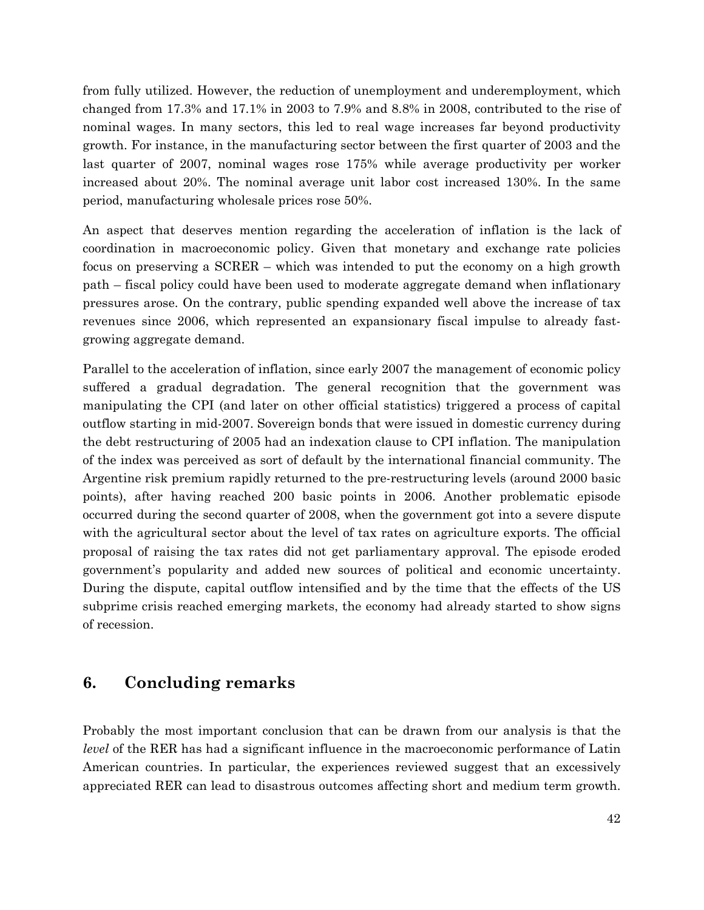from fully utilized. However, the reduction of unemployment and underemployment, which changed from 17.3% and 17.1% in 2003 to 7.9% and 8.8% in 2008, contributed to the rise of nominal wages. In many sectors, this led to real wage increases far beyond productivity growth. For instance, in the manufacturing sector between the first quarter of 2003 and the last quarter of 2007, nominal wages rose 175% while average productivity per worker increased about 20%. The nominal average unit labor cost increased 130%. In the same period, manufacturing wholesale prices rose 50%.

An aspect that deserves mention regarding the acceleration of inflation is the lack of coordination in macroeconomic policy. Given that monetary and exchange rate policies focus on preserving a SCRER – which was intended to put the economy on a high growth path – fiscal policy could have been used to moderate aggregate demand when inflationary pressures arose. On the contrary, public spending expanded well above the increase of tax revenues since 2006, which represented an expansionary fiscal impulse to already fastgrowing aggregate demand.

Parallel to the acceleration of inflation, since early 2007 the management of economic policy suffered a gradual degradation. The general recognition that the government was manipulating the CPI (and later on other official statistics) triggered a process of capital outflow starting in mid-2007. Sovereign bonds that were issued in domestic currency during the debt restructuring of 2005 had an indexation clause to CPI inflation. The manipulation of the index was perceived as sort of default by the international financial community. The Argentine risk premium rapidly returned to the pre-restructuring levels (around 2000 basic points), after having reached 200 basic points in 2006. Another problematic episode occurred during the second quarter of 2008, when the government got into a severe dispute with the agricultural sector about the level of tax rates on agriculture exports. The official proposal of raising the tax rates did not get parliamentary approval. The episode eroded government's popularity and added new sources of political and economic uncertainty. During the dispute, capital outflow intensified and by the time that the effects of the US subprime crisis reached emerging markets, the economy had already started to show signs of recession.

## **6. Concluding remarks**

Probably the most important conclusion that can be drawn from our analysis is that the *level* of the RER has had a significant influence in the macroeconomic performance of Latin American countries. In particular, the experiences reviewed suggest that an excessively appreciated RER can lead to disastrous outcomes affecting short and medium term growth.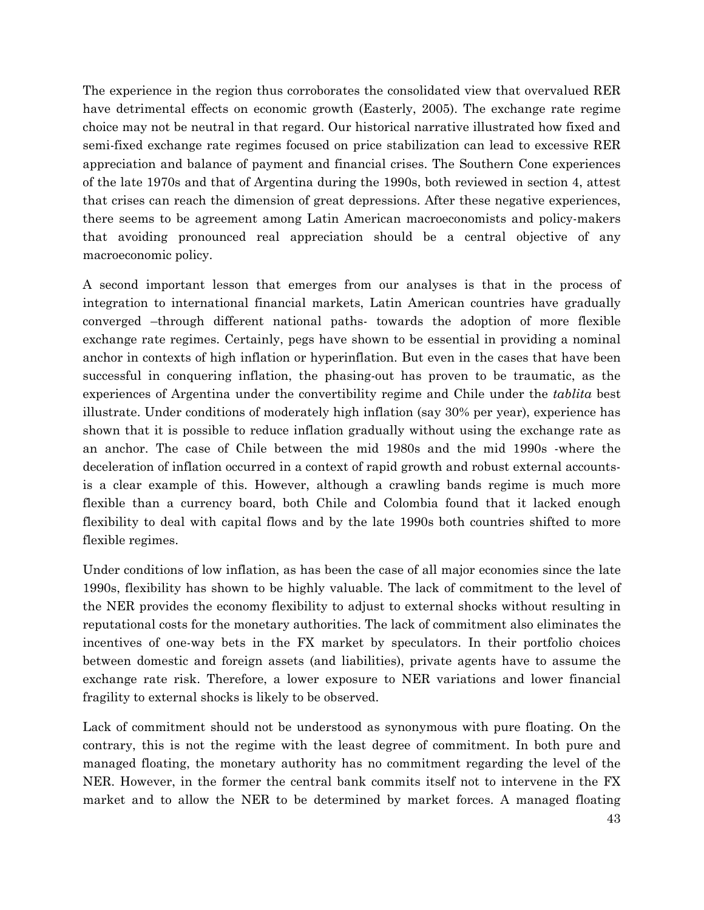The experience in the region thus corroborates the consolidated view that overvalued RER have detrimental effects on economic growth (Easterly, 2005). The exchange rate regime choice may not be neutral in that regard. Our historical narrative illustrated how fixed and semi-fixed exchange rate regimes focused on price stabilization can lead to excessive RER appreciation and balance of payment and financial crises. The Southern Cone experiences of the late 1970s and that of Argentina during the 1990s, both reviewed in section 4, attest that crises can reach the dimension of great depressions. After these negative experiences, there seems to be agreement among Latin American macroeconomists and policy-makers that avoiding pronounced real appreciation should be a central objective of any macroeconomic policy.

A second important lesson that emerges from our analyses is that in the process of integration to international financial markets, Latin American countries have gradually converged –through different national paths- towards the adoption of more flexible exchange rate regimes. Certainly, pegs have shown to be essential in providing a nominal anchor in contexts of high inflation or hyperinflation. But even in the cases that have been successful in conquering inflation, the phasing-out has proven to be traumatic, as the experiences of Argentina under the convertibility regime and Chile under the *tablita* best illustrate. Under conditions of moderately high inflation (say 30% per year), experience has shown that it is possible to reduce inflation gradually without using the exchange rate as an anchor. The case of Chile between the mid 1980s and the mid 1990s -where the deceleration of inflation occurred in a context of rapid growth and robust external accountsis a clear example of this. However, although a crawling bands regime is much more flexible than a currency board, both Chile and Colombia found that it lacked enough flexibility to deal with capital flows and by the late 1990s both countries shifted to more flexible regimes.

Under conditions of low inflation, as has been the case of all major economies since the late 1990s, flexibility has shown to be highly valuable. The lack of commitment to the level of the NER provides the economy flexibility to adjust to external shocks without resulting in reputational costs for the monetary authorities. The lack of commitment also eliminates the incentives of one-way bets in the FX market by speculators. In their portfolio choices between domestic and foreign assets (and liabilities), private agents have to assume the exchange rate risk. Therefore, a lower exposure to NER variations and lower financial fragility to external shocks is likely to be observed.

Lack of commitment should not be understood as synonymous with pure floating. On the contrary, this is not the regime with the least degree of commitment. In both pure and managed floating, the monetary authority has no commitment regarding the level of the NER. However, in the former the central bank commits itself not to intervene in the FX market and to allow the NER to be determined by market forces. A managed floating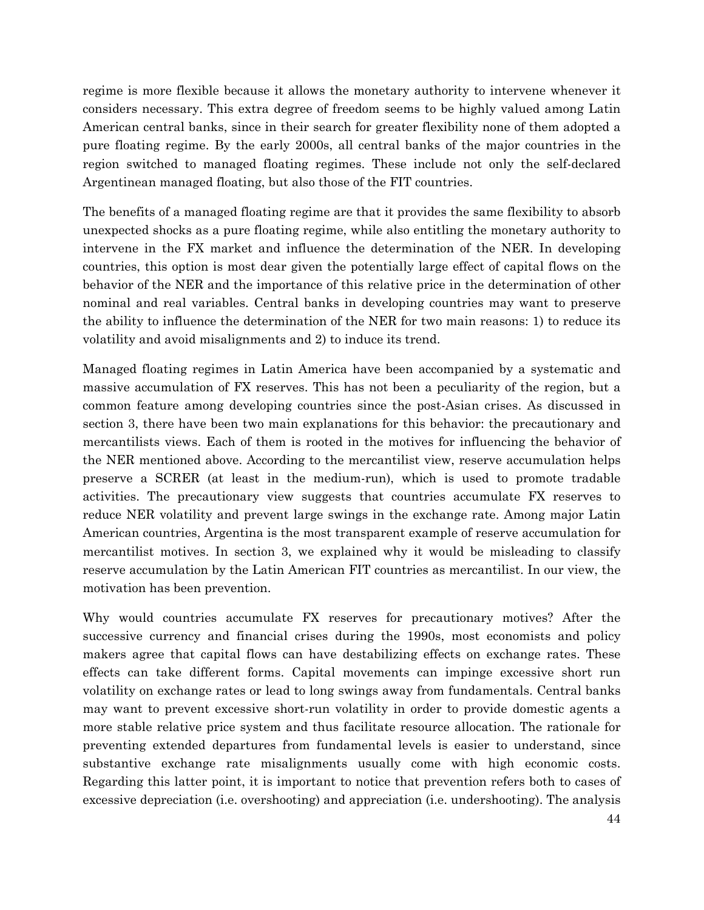regime is more flexible because it allows the monetary authority to intervene whenever it considers necessary. This extra degree of freedom seems to be highly valued among Latin American central banks, since in their search for greater flexibility none of them adopted a pure floating regime. By the early 2000s, all central banks of the major countries in the region switched to managed floating regimes. These include not only the self-declared Argentinean managed floating, but also those of the FIT countries.

The benefits of a managed floating regime are that it provides the same flexibility to absorb unexpected shocks as a pure floating regime, while also entitling the monetary authority to intervene in the FX market and influence the determination of the NER. In developing countries, this option is most dear given the potentially large effect of capital flows on the behavior of the NER and the importance of this relative price in the determination of other nominal and real variables. Central banks in developing countries may want to preserve the ability to influence the determination of the NER for two main reasons: 1) to reduce its volatility and avoid misalignments and 2) to induce its trend.

Managed floating regimes in Latin America have been accompanied by a systematic and massive accumulation of FX reserves. This has not been a peculiarity of the region, but a common feature among developing countries since the post-Asian crises. As discussed in section 3, there have been two main explanations for this behavior: the precautionary and mercantilists views. Each of them is rooted in the motives for influencing the behavior of the NER mentioned above. According to the mercantilist view, reserve accumulation helps preserve a SCRER (at least in the medium-run), which is used to promote tradable activities. The precautionary view suggests that countries accumulate FX reserves to reduce NER volatility and prevent large swings in the exchange rate. Among major Latin American countries, Argentina is the most transparent example of reserve accumulation for mercantilist motives. In section 3, we explained why it would be misleading to classify reserve accumulation by the Latin American FIT countries as mercantilist. In our view, the motivation has been prevention.

Why would countries accumulate FX reserves for precautionary motives? After the successive currency and financial crises during the 1990s, most economists and policy makers agree that capital flows can have destabilizing effects on exchange rates. These effects can take different forms. Capital movements can impinge excessive short run volatility on exchange rates or lead to long swings away from fundamentals. Central banks may want to prevent excessive short-run volatility in order to provide domestic agents a more stable relative price system and thus facilitate resource allocation. The rationale for preventing extended departures from fundamental levels is easier to understand, since substantive exchange rate misalignments usually come with high economic costs. Regarding this latter point, it is important to notice that prevention refers both to cases of excessive depreciation (i.e. overshooting) and appreciation (i.e. undershooting). The analysis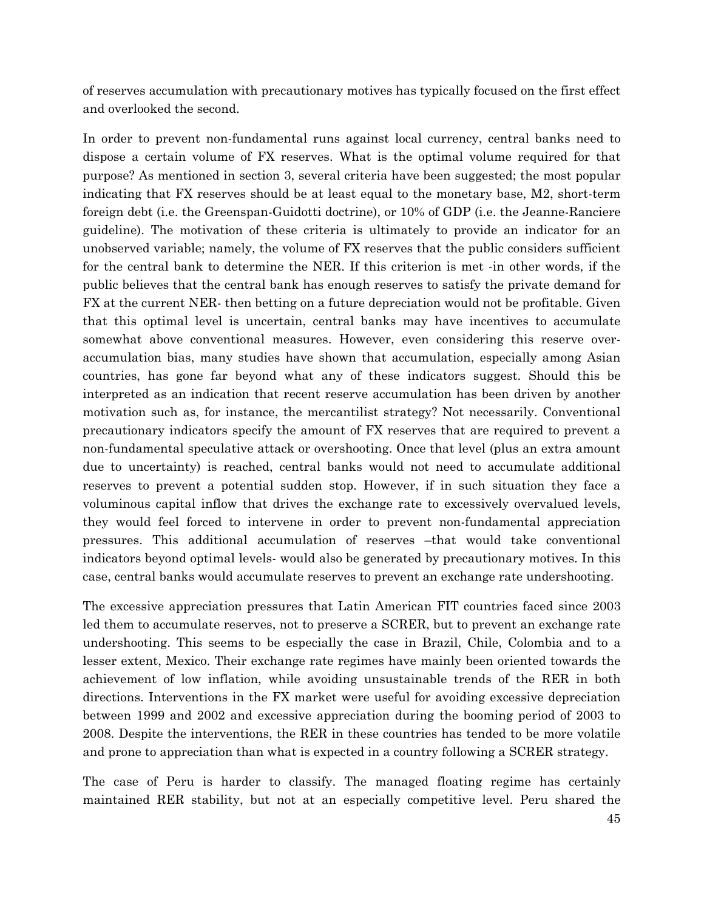of reserves accumulation with precautionary motives has typically focused on the first effect and overlooked the second.

In order to prevent non-fundamental runs against local currency, central banks need to dispose a certain volume of FX reserves. What is the optimal volume required for that purpose? As mentioned in section 3, several criteria have been suggested; the most popular indicating that FX reserves should be at least equal to the monetary base, M2, short-term foreign debt (i.e. the Greenspan-Guidotti doctrine), or 10% of GDP (i.e. the Jeanne-Ranciere guideline). The motivation of these criteria is ultimately to provide an indicator for an unobserved variable; namely, the volume of FX reserves that the public considers sufficient for the central bank to determine the NER. If this criterion is met -in other words, if the public believes that the central bank has enough reserves to satisfy the private demand for FX at the current NER- then betting on a future depreciation would not be profitable. Given that this optimal level is uncertain, central banks may have incentives to accumulate somewhat above conventional measures. However, even considering this reserve overaccumulation bias, many studies have shown that accumulation, especially among Asian countries, has gone far beyond what any of these indicators suggest. Should this be interpreted as an indication that recent reserve accumulation has been driven by another motivation such as, for instance, the mercantilist strategy? Not necessarily. Conventional precautionary indicators specify the amount of FX reserves that are required to prevent a non-fundamental speculative attack or overshooting. Once that level (plus an extra amount due to uncertainty) is reached, central banks would not need to accumulate additional reserves to prevent a potential sudden stop. However, if in such situation they face a voluminous capital inflow that drives the exchange rate to excessively overvalued levels, they would feel forced to intervene in order to prevent non-fundamental appreciation pressures. This additional accumulation of reserves –that would take conventional indicators beyond optimal levels- would also be generated by precautionary motives. In this case, central banks would accumulate reserves to prevent an exchange rate undershooting.

The excessive appreciation pressures that Latin American FIT countries faced since 2003 led them to accumulate reserves, not to preserve a SCRER, but to prevent an exchange rate undershooting. This seems to be especially the case in Brazil, Chile, Colombia and to a lesser extent, Mexico. Their exchange rate regimes have mainly been oriented towards the achievement of low inflation, while avoiding unsustainable trends of the RER in both directions. Interventions in the FX market were useful for avoiding excessive depreciation between 1999 and 2002 and excessive appreciation during the booming period of 2003 to 2008. Despite the interventions, the RER in these countries has tended to be more volatile and prone to appreciation than what is expected in a country following a SCRER strategy.

The case of Peru is harder to classify. The managed floating regime has certainly maintained RER stability, but not at an especially competitive level. Peru shared the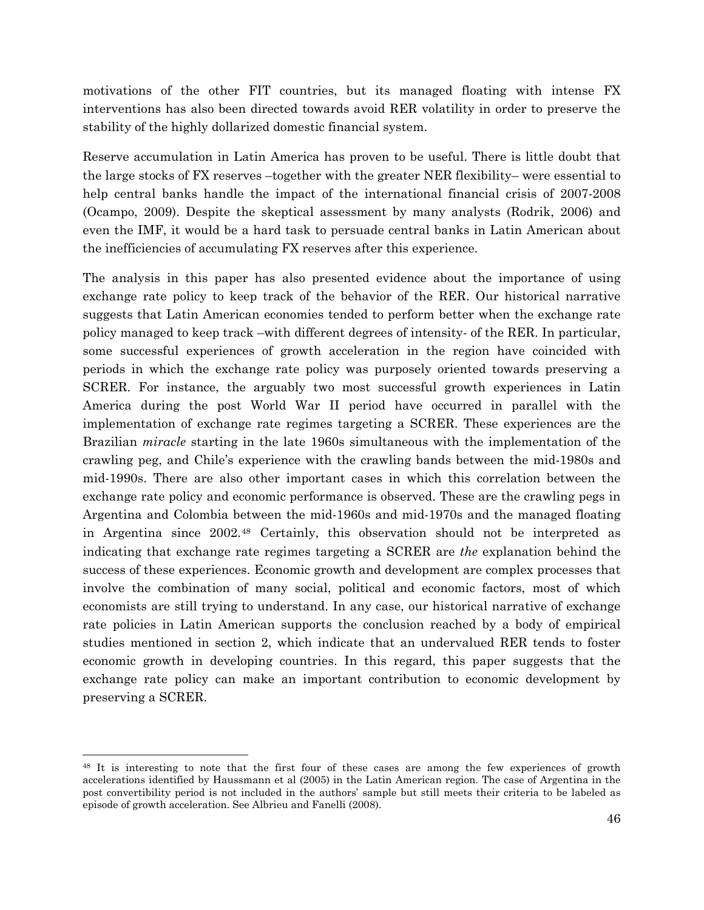motivations of the other FIT countries, but its managed floating with intense FX interventions has also been directed towards avoid RER volatility in order to preserve the stability of the highly dollarized domestic financial system.

Reserve accumulation in Latin America has proven to be useful. There is little doubt that the large stocks of FX reserves –together with the greater NER flexibility– were essential to help central banks handle the impact of the international financial crisis of 2007-2008 (Ocampo, 2009). Despite the skeptical assessment by many analysts (Rodrik, 2006) and even the IMF, it would be a hard task to persuade central banks in Latin American about the inefficiencies of accumulating FX reserves after this experience.

The analysis in this paper has also presented evidence about the importance of using exchange rate policy to keep track of the behavior of the RER. Our historical narrative suggests that Latin American economies tended to perform better when the exchange rate policy managed to keep track –with different degrees of intensity- of the RER. In particular, some successful experiences of growth acceleration in the region have coincided with periods in which the exchange rate policy was purposely oriented towards preserving a SCRER. For instance, the arguably two most successful growth experiences in Latin America during the post World War II period have occurred in parallel with the implementation of exchange rate regimes targeting a SCRER. These experiences are the Brazilian *miracle* starting in the late 1960s simultaneous with the implementation of the crawling peg, and Chile's experience with the crawling bands between the mid-1980s and mid-1990s. There are also other important cases in which this correlation between the exchange rate policy and economic performance is observed. These are the crawling pegs in Argentina and Colombia between the mid-1960s and mid-1970s and the managed floating in Argentina since 2002.[48](#page-47-0) Certainly, this observation should not be interpreted as indicating that exchange rate regimes targeting a SCRER are *the* explanation behind the success of these experiences. Economic growth and development are complex processes that involve the combination of many social, political and economic factors, most of which economists are still trying to understand. In any case, our historical narrative of exchange rate policies in Latin American supports the conclusion reached by a body of empirical studies mentioned in section 2, which indicate that an undervalued RER tends to foster economic growth in developing countries. In this regard, this paper suggests that the exchange rate policy can make an important contribution to economic development by preserving a SCRER.

<span id="page-47-0"></span> <sup>48</sup> It is interesting to note that the first four of these cases are among the few experiences of growth accelerations identified by Haussmann et al (2005) in the Latin American region. The case of Argentina in the post convertibility period is not included in the authors' sample but still meets their criteria to be labeled as episode of growth acceleration. See Albrieu and Fanelli (2008).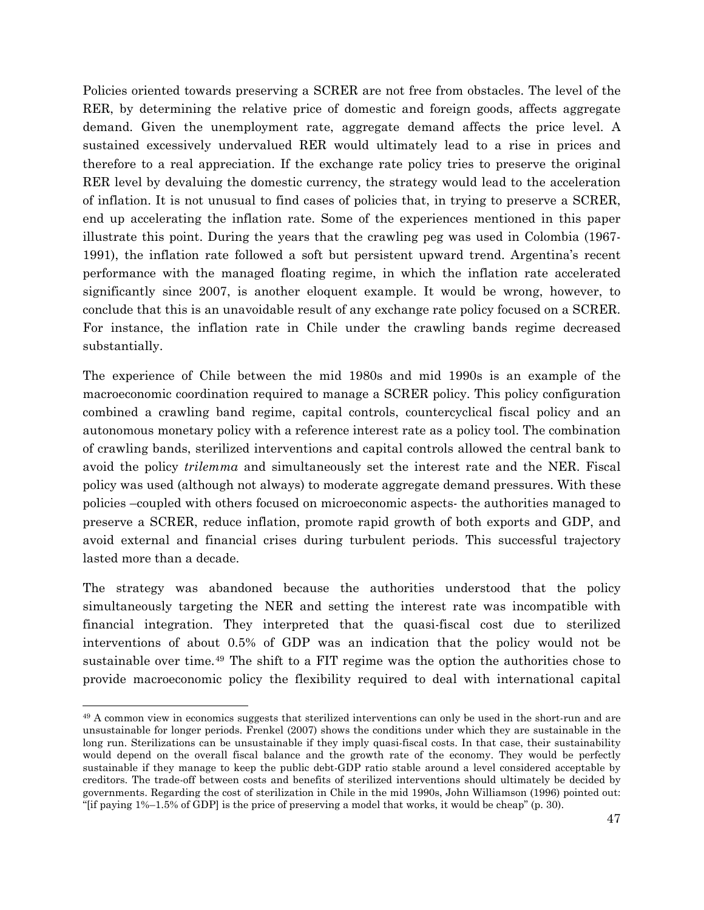Policies oriented towards preserving a SCRER are not free from obstacles. The level of the RER, by determining the relative price of domestic and foreign goods, affects aggregate demand. Given the unemployment rate, aggregate demand affects the price level. A sustained excessively undervalued RER would ultimately lead to a rise in prices and therefore to a real appreciation. If the exchange rate policy tries to preserve the original RER level by devaluing the domestic currency, the strategy would lead to the acceleration of inflation. It is not unusual to find cases of policies that, in trying to preserve a SCRER, end up accelerating the inflation rate. Some of the experiences mentioned in this paper illustrate this point. During the years that the crawling peg was used in Colombia (1967- 1991), the inflation rate followed a soft but persistent upward trend. Argentina's recent performance with the managed floating regime, in which the inflation rate accelerated significantly since 2007, is another eloquent example. It would be wrong, however, to conclude that this is an unavoidable result of any exchange rate policy focused on a SCRER. For instance, the inflation rate in Chile under the crawling bands regime decreased substantially.

The experience of Chile between the mid 1980s and mid 1990s is an example of the macroeconomic coordination required to manage a SCRER policy. This policy configuration combined a crawling band regime, capital controls, countercyclical fiscal policy and an autonomous monetary policy with a reference interest rate as a policy tool. The combination of crawling bands, sterilized interventions and capital controls allowed the central bank to avoid the policy *trilemma* and simultaneously set the interest rate and the NER. Fiscal policy was used (although not always) to moderate aggregate demand pressures. With these policies –coupled with others focused on microeconomic aspects- the authorities managed to preserve a SCRER, reduce inflation, promote rapid growth of both exports and GDP, and avoid external and financial crises during turbulent periods. This successful trajectory lasted more than a decade.

The strategy was abandoned because the authorities understood that the policy simultaneously targeting the NER and setting the interest rate was incompatible with financial integration. They interpreted that the quasi-fiscal cost due to sterilized interventions of about 0.5% of GDP was an indication that the policy would not be sustainable over time.[49](#page-48-0) The shift to a FIT regime was the option the authorities chose to provide macroeconomic policy the flexibility required to deal with international capital

<span id="page-48-0"></span><sup>49</sup> A common view in economics suggests that sterilized interventions can only be used in the short-run and are unsustainable for longer periods. Frenkel (2007) shows the conditions under which they are sustainable in the long run. Sterilizations can be unsustainable if they imply quasi-fiscal costs. In that case, their sustainability would depend on the overall fiscal balance and the growth rate of the economy. They would be perfectly sustainable if they manage to keep the public debt-GDP ratio stable around a level considered acceptable by creditors. The trade-off between costs and benefits of sterilized interventions should ultimately be decided by governments. Regarding the cost of sterilization in Chile in the mid 1990s, John Williamson (1996) pointed out: "[if paying 1%–1.5% of GDP] is the price of preserving a model that works, it would be cheap" (p. 30).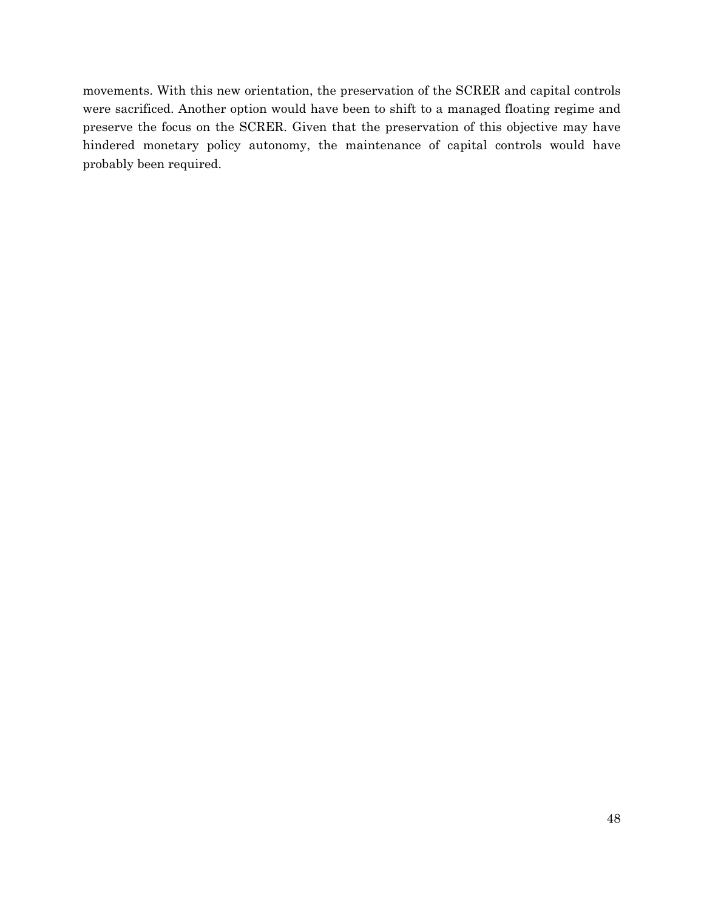movements. With this new orientation, the preservation of the SCRER and capital controls were sacrificed. Another option would have been to shift to a managed floating regime and preserve the focus on the SCRER. Given that the preservation of this objective may have hindered monetary policy autonomy, the maintenance of capital controls would have probably been required.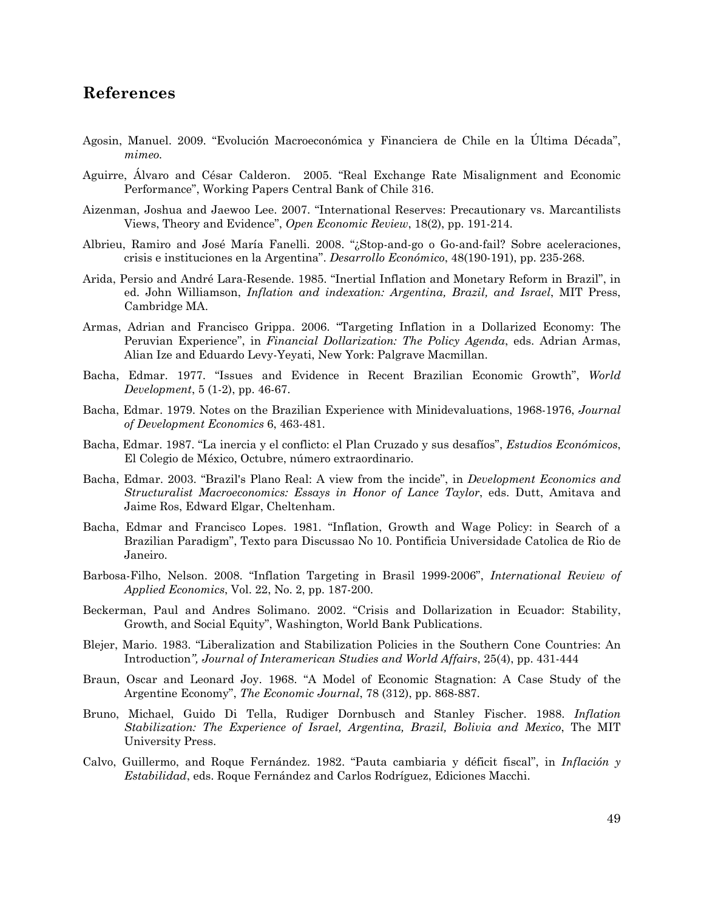## **References**

- Agosin, Manuel. 2009. "Evolución Macroeconómica y Financiera de Chile en la Última Década", *mimeo.*
- Aguirre, Álvaro and César Calderon. 2005. "Real Exchange Rate Misalignment and Economic Performance", Working Papers Central Bank of Chile 316.
- Aizenman, Joshua and Jaewoo Lee. 2007. "International Reserves: Precautionary vs. Marcantilists Views, Theory and Evidence", *Open Economic Review*, 18(2), pp. 191-214.
- Albrieu, Ramiro and José María Fanelli. 2008. "¿Stop-and-go o Go-and-fail? Sobre aceleraciones, crisis e instituciones en la Argentina". *Desarrollo Económico*, 48(190-191), pp. 235-268.
- Arida, Persio and André Lara-Resende. 1985. "Inertial Inflation and Monetary Reform in Brazil", in ed. John Williamson, *Inflation and indexation: Argentina, Brazil, and Israel*, MIT Press, Cambridge MA.
- Armas, Adrian and Francisco Grippa. 2006. "Targeting Inflation in a Dollarized Economy: The Peruvian Experience", in *Financial Dollarization: The Policy Agenda*, eds. Adrian Armas, Alian Ize and Eduardo Levy-Yeyati, New York: Palgrave Macmillan.
- Bacha, Edmar. 1977. "Issues and Evidence in Recent Brazilian Economic Growth", *World Development*, 5 (1-2), pp. 46-67.
- Bacha, Edmar. 1979. Notes on the Brazilian Experience with Minidevaluations, 1968-1976, *Journal of Development Economics* 6, 463-481.
- Bacha, Edmar. 1987. "La inercia y el conflicto: el Plan Cruzado y sus desafíos", *Estudios Económicos*, El Colegio de México, Octubre, número extraordinario.
- Bacha, Edmar. 2003. "Brazil's Plano Real: A view from the incide", in *Development Economics and Structuralist Macroeconomics: Essays in Honor of Lance Taylor*, eds. Dutt, Amitava and Jaime Ros, Edward Elgar, Cheltenham.
- Bacha, Edmar and Francisco Lopes. 1981. "Inflation, Growth and Wage Policy: in Search of a Brazilian Paradigm", Texto para Discussao No 10. Pontificia Universidade Catolica de Rio de Janeiro.
- Barbosa-Filho, Nelson. 2008. "Inflation Targeting in Brasil 1999-2006", *International Review of Applied Economics*, Vol. 22, No. 2, pp. 187-200.
- Beckerman, Paul and Andres Solimano. 2002. "Crisis and Dollarization in Ecuador: Stability, Growth, and Social Equity", Washington, World Bank Publications.
- Blejer, Mario. 1983. "Liberalization and Stabilization Policies in the Southern Cone Countries: An Introduction*", Journal of Interamerican Studies and World Affairs*, 25(4), pp. 431-444
- Braun, Oscar and Leonard Joy. 1968. "A Model of Economic Stagnation: A Case Study of the Argentine Economy", *The Economic Journal*, 78 (312), pp. 868-887.
- Bruno, Michael, Guido Di Tella, Rudiger Dornbusch and Stanley Fischer. 1988. *Inflation Stabilization: The Experience of Israel, Argentina, Brazil, Bolivia and Mexico*, The MIT University Press.
- Calvo, Guillermo, and Roque Fernández. 1982. "Pauta cambiaria y déficit fiscal", in *Inflación y Estabilidad*, eds. Roque Fernández and Carlos Rodríguez, Ediciones Macchi.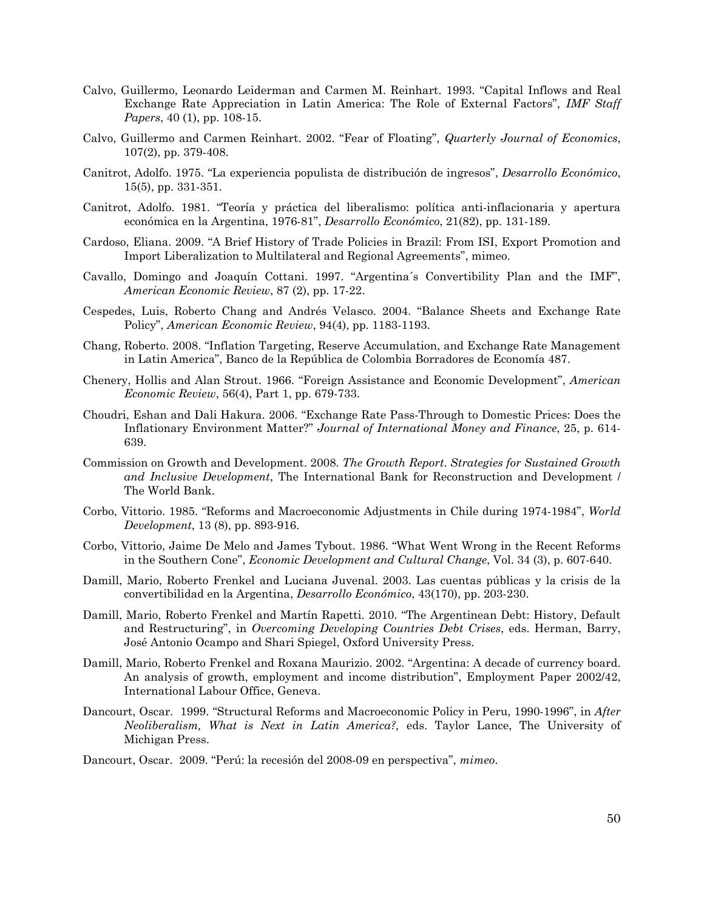- Calvo, Guillermo, Leonardo Leiderman and Carmen M. Reinhart. 1993. "Capital Inflows and Real Exchange Rate Appreciation in Latin America: The Role of External Factors", *IMF Staff Papers*, 40 (1), pp. 108-15.
- Calvo, Guillermo and Carmen Reinhart. 2002. "Fear of Floating", *Quarterly Journal of Economics*, 107(2), pp. 379-408.
- Canitrot, Adolfo. 1975. "La experiencia populista de distribución de ingresos", *Desarrollo Económico*, 15(5), pp. 331-351.
- Canitrot, Adolfo. 1981. "Teoría y práctica del liberalismo: política anti-inflacionaria y apertura económica en la Argentina, 1976-81", *Desarrollo Económico*, 21(82), pp. 131-189.
- Cardoso, Eliana. 2009. "A Brief History of Trade Policies in Brazil: From ISI, Export Promotion and Import Liberalization to Multilateral and Regional Agreements", mimeo.
- Cavallo, Domingo and Joaquín Cottani. 1997. "Argentina´s Convertibility Plan and the IMF", *American Economic Review*, 87 (2), pp. 17-22.
- Cespedes, Luis, Roberto Chang and Andrés Velasco. 2004. "Balance Sheets and Exchange Rate Policy", *American Economic Review*, 94(4), pp. 1183-1193.
- Chang, Roberto. 2008. "Inflation Targeting, Reserve Accumulation, and Exchange Rate Management in Latin America", Banco de la República de Colombia Borradores de Economía 487.
- Chenery, Hollis and Alan Strout. 1966. "Foreign Assistance and Economic Development", *American Economic Review*, 56(4), Part 1, pp. 679-733.
- Choudri, Eshan and Dali Hakura. 2006. "Exchange Rate Pass-Through to Domestic Prices: Does the Inflationary Environment Matter?" *Journal of International Money and Finance*, 25, p. 614- 639.
- Commission on Growth and Development. 2008. *The Growth Report*. *Strategies for Sustained Growth and Inclusive Development*, The International Bank for Reconstruction and Development / The World Bank.
- Corbo, Vittorio. 1985. "Reforms and Macroeconomic Adjustments in Chile during 1974-1984", *World Development*, 13 (8), pp. 893-916.
- Corbo, Vittorio, Jaime De Melo and James Tybout. 1986. "What Went Wrong in the Recent Reforms in the Southern Cone", *Economic Development and Cultural Change*, Vol. 34 (3), p. 607-640.
- Damill, Mario, Roberto Frenkel and Luciana Juvenal. 2003. Las cuentas públicas y la crisis de la convertibilidad en la Argentina, *Desarrollo Económico*, 43(170), pp. 203-230.
- Damill, Mario, Roberto Frenkel and Martín Rapetti. 2010. "The Argentinean Debt: History, Default and Restructuring", in *Overcoming Developing Countries Debt Crises*, eds. Herman, Barry, José Antonio Ocampo and Shari Spiegel, Oxford University Press.
- Damill, Mario, Roberto Frenkel and Roxana Maurizio. 2002. "Argentina: A decade of currency board. An analysis of growth, employment and income distribution", Employment Paper 2002/42, International Labour Office, Geneva.
- Dancourt, Oscar. 1999. "Structural Reforms and Macroeconomic Policy in Peru, 1990-1996", in *After Neoliberalism, What is Next in Latin America?,* eds. Taylor Lance, The University of Michigan Press.

Dancourt, Oscar. 2009. "Perú: la recesión del 2008-09 en perspectiva", *mimeo*.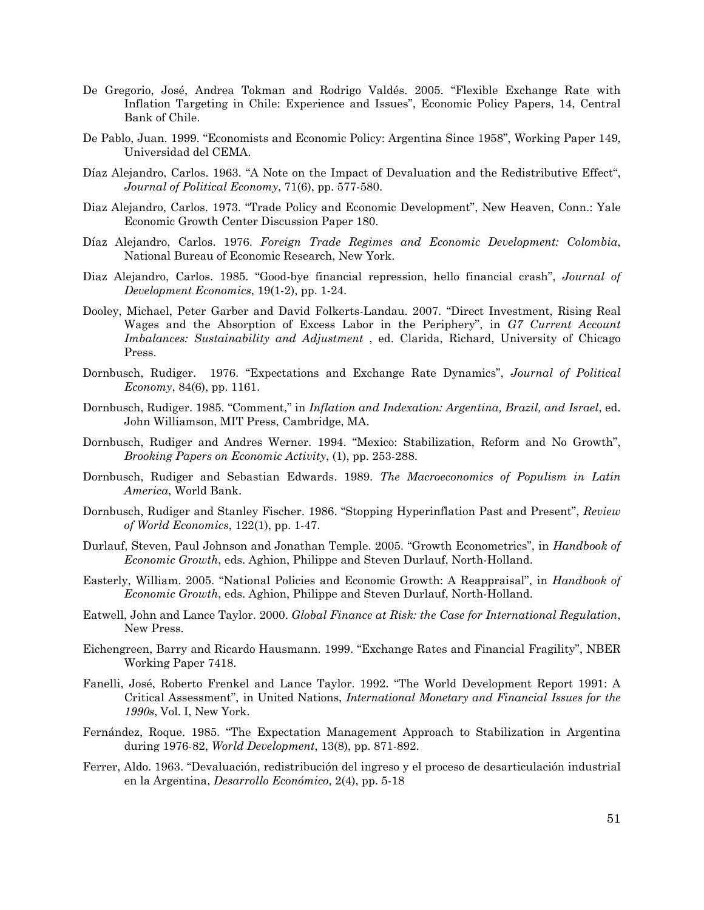- De Gregorio, José, Andrea Tokman and Rodrigo Valdés. 2005. "Flexible Exchange Rate with Inflation Targeting in Chile: Experience and Issues", Economic Policy Papers, 14, Central Bank of Chile.
- De Pablo, Juan. 1999. "Economists and Economic Policy: Argentina Since 1958", Working Paper 149, Universidad del CEMA.
- Díaz Alejandro, Carlos. 1963. "A Note on the Impact of Devaluation and the Redistributive Effect", *Journal of Political Economy*, 71(6), pp. 577-580.
- Diaz Alejandro, Carlos. 1973. "Trade Policy and Economic Development", New Heaven, Conn.: Yale Economic Growth Center Discussion Paper 180.
- Díaz Alejandro, Carlos. 1976. *Foreign Trade Regimes and Economic Development: Colombia*, National Bureau of Economic Research, New York.
- Diaz Alejandro, Carlos. 1985. "Good-bye financial repression, hello financial crash", *Journal of Development Economics*, 19(1-2), pp. 1-24.
- Dooley, Michael, Peter Garber and David Folkerts-Landau. 2007. "Direct Investment, Rising Real Wages and the Absorption of Excess Labor in the Periphery", in *G7 Current Account Imbalances: Sustainability and Adjustment* , ed. Clarida, Richard, University of Chicago Press.
- Dornbusch, Rudiger. 1976. "Expectations and Exchange Rate Dynamics", *Journal of Political Economy*, 84(6), pp. 1161.
- Dornbusch, Rudiger. 1985. "Comment," in *Inflation and Indexation: Argentina, Brazil, and Israel*, ed. John Williamson, MIT Press, Cambridge, MA.
- Dornbusch, Rudiger and Andres Werner. 1994. "Mexico: Stabilization, Reform and No Growth", *Brooking Papers on Economic Activity*, (1), pp. 253-288.
- Dornbusch, Rudiger and Sebastian Edwards. 1989. *The Macroeconomics of Populism in Latin America*, World Bank.
- Dornbusch, Rudiger and Stanley Fischer. 1986. "Stopping Hyperinflation Past and Present", *Review of World Economics*, 122(1), pp. 1-47.
- Durlauf, Steven, Paul Johnson and Jonathan Temple. 2005. "Growth Econometrics", in *Handbook of Economic Growth*, eds. Aghion, Philippe and Steven Durlauf, North-Holland.
- Easterly, William. 2005. "National Policies and Economic Growth: A Reappraisal", in *Handbook of Economic Growth*, eds. Aghion, Philippe and Steven Durlauf, North-Holland.
- Eatwell, John and Lance Taylor. 2000. *Global Finance at Risk: the Case for International Regulation*, New Press.
- Eichengreen, Barry and Ricardo Hausmann. 1999. "Exchange Rates and Financial Fragility", NBER Working Paper 7418.
- Fanelli, José, Roberto Frenkel and Lance Taylor. 1992. "The World Development Report 1991: A Critical Assessment", in United Nations, *International Monetary and Financial Issues for the 1990s*, Vol. I, New York.
- Fernández, Roque. 1985. "The Expectation Management Approach to Stabilization in Argentina during 1976-82, *World Development*, 13(8), pp. 871-892.
- Ferrer, Aldo. 1963. "Devaluación, redistribución del ingreso y el proceso de desarticulación industrial en la Argentina, *Desarrollo Económico*, 2(4), pp. 5-18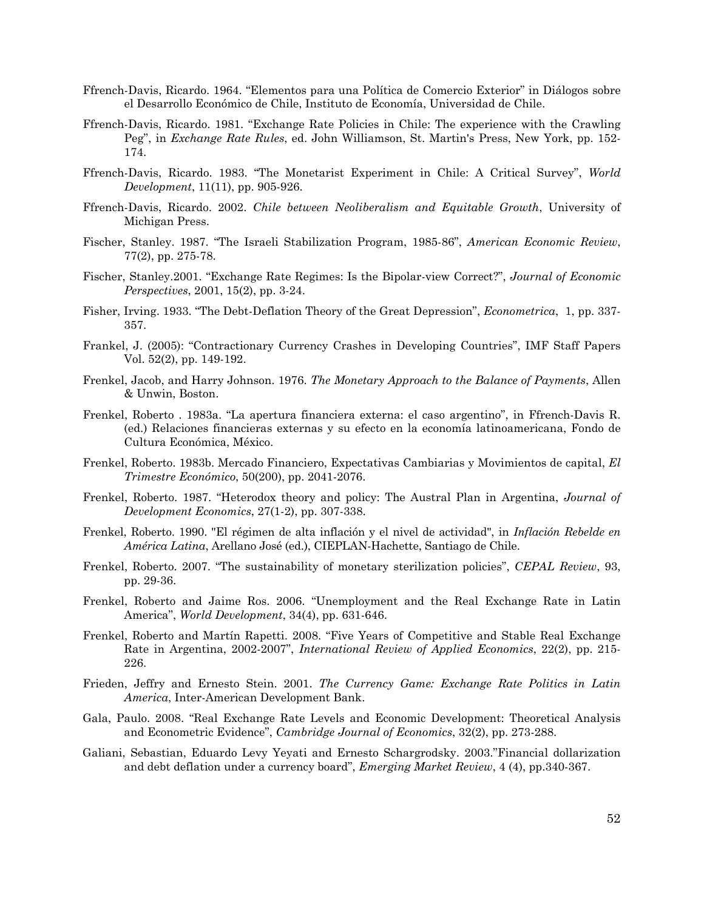- Ffrench-Davis, Ricardo. 1964. "Elementos para una Política de Comercio Exterior" in Diálogos sobre el Desarrollo Económico de Chile, Instituto de Economía, Universidad de Chile.
- Ffrench-Davis, Ricardo. 1981. "Exchange Rate Policies in Chile: The experience with the Crawling Peg", in *Exchange Rate Rules*, ed. John Williamson, St. Martin's Press, New York, pp. 152- 174.
- Ffrench-Davis, Ricardo. 1983. "The Monetarist Experiment in Chile: A Critical Survey", *World Development*, 11(11), pp. 905-926.
- Ffrench-Davis, Ricardo. 2002. *Chile between Neoliberalism and Equitable Growth*, University of Michigan Press.
- Fischer, Stanley. 1987. "The Israeli Stabilization Program, 1985-86", *American Economic Review*, 77(2), pp. 275-78.
- Fischer, Stanley.2001. "Exchange Rate Regimes: Is the Bipolar-view Correct?", *Journal of Economic Perspectives*, 2001, 15(2), pp. 3-24.
- Fisher, Irving. 1933. "The Debt-Deflation Theory of the Great Depression", *Econometrica*, 1, pp. 337- 357.
- Frankel, J. (2005): "Contractionary Currency Crashes in Developing Countries", IMF Staff Papers Vol. 52(2), pp. 149-192.
- Frenkel, Jacob, and Harry Johnson. 1976. *The Monetary Approach to the Balance of Payments*, Allen & Unwin, Boston.
- Frenkel, Roberto . 1983a. "La apertura financiera externa: el caso argentino", in Ffrench-Davis R. (ed.) Relaciones financieras externas y su efecto en la economía latinoamericana, Fondo de Cultura Económica, México.
- Frenkel, Roberto. 1983b. Mercado Financiero, Expectativas Cambiarias y Movimientos de capital, *El Trimestre Económico*, 50(200), pp. 2041-2076.
- Frenkel, Roberto. 1987. "Heterodox theory and policy: The Austral Plan in Argentina, *Journal of Development Economics*, 27(1-2), pp. 307-338.
- Frenkel, Roberto. 1990. "El régimen de alta inflación y el nivel de actividad", in *Inflación Rebelde en América Latina*, Arellano José (ed.), CIEPLAN-Hachette, Santiago de Chile.
- Frenkel, Roberto. 2007. "The sustainability of monetary sterilization policies", *CEPAL Review*, 93, pp. 29-36.
- Frenkel, Roberto and Jaime Ros. 2006. "Unemployment and the Real Exchange Rate in Latin America", *World Development*, 34(4), pp. 631-646.
- Frenkel, Roberto and Martín Rapetti. 2008. "Five Years of Competitive and Stable Real Exchange Rate in Argentina, 2002-2007", *International Review of Applied Economics*, 22(2), pp. 215- 226.
- Frieden, Jeffry and Ernesto Stein. 2001. *The Currency Game: Exchange Rate Politics in Latin America*, Inter-American Development Bank.
- Gala, Paulo. 2008. "Real Exchange Rate Levels and Economic Development: Theoretical Analysis and Econometric Evidence", *Cambridge Journal of Economics*, 32(2), pp. 273-288.
- Galiani, Sebastian, Eduardo Levy Yeyati and Ernesto Schargrodsky. 2003."Financial dollarization and debt deflation under a currency board", *Emerging Market Review*, 4 (4), pp.340-367.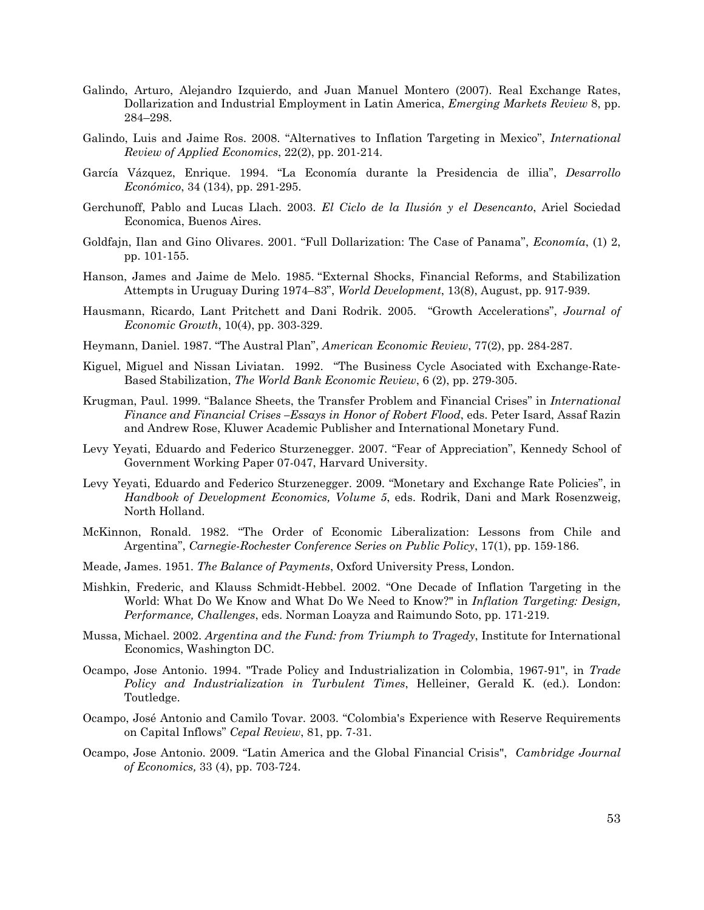- Galindo, Arturo, Alejandro Izquierdo, and Juan Manuel Montero (2007). Real Exchange Rates, Dollarization and Industrial Employment in Latin America, *Emerging Markets Review* 8, pp. 284–298.
- Galindo, Luis and Jaime Ros. 2008. "Alternatives to Inflation Targeting in Mexico", *International Review of Applied Economics*, 22(2), pp. 201-214.
- García Vázquez, Enrique. 1994. "La Economía durante la Presidencia de illia", *Desarrollo Económico*, 34 (134), pp. 291-295.
- Gerchunoff, Pablo and Lucas Llach. 2003. *El Ciclo de la Ilusión y el Desencanto*, Ariel Sociedad Economica, Buenos Aires.
- Goldfajn, Ilan and Gino Olivares. 2001. "Full Dollarization: The Case of Panama", *Economía*, (1) 2, pp. 101-155.
- Hanson, James and Jaime de Melo. 1985. "External Shocks, Financial Reforms, and Stabilization Attempts in Uruguay During 1974–83", *World Development*, 13(8), August, pp. 917-939.
- Hausmann, Ricardo, Lant Pritchett and Dani Rodrik. 2005. "Growth Accelerations", *Journal of Economic Growth*, 10(4), pp. 303-329.
- Heymann, Daniel. 1987. "The Austral Plan", *American Economic Review*, 77(2), pp. 284-287.
- Kiguel, Miguel and Nissan Liviatan. 1992. "The Business Cycle Asociated with Exchange-Rate-Based Stabilization, *The World Bank Economic Review*, 6 (2), pp. 279-305.
- Krugman, Paul. 1999. "Balance Sheets, the Transfer Problem and Financial Crises" in *International Finance and Financial Crises –Essays in Honor of Robert Flood*, eds. Peter Isard, Assaf Razin and Andrew Rose, Kluwer Academic Publisher and International Monetary Fund.
- Levy Yeyati, Eduardo and Federico Sturzenegger. 2007. "Fear of Appreciation", Kennedy School of Government Working Paper 07-047, Harvard University.
- Levy Yeyati, Eduardo and Federico Sturzenegger. 2009. "Monetary and Exchange Rate Policies", in *Handbook of Development Economics, Volume 5*, eds. Rodrik, Dani and Mark Rosenzweig, North Holland.
- McKinnon, Ronald. 1982. "The Order of Economic Liberalization: Lessons from Chile and Argentina", *Carnegie-Rochester Conference Series on Public Policy*, 17(1), pp. 159-186.
- Meade, James. 1951. *The Balance of Payments*, Oxford University Press, London.
- Mishkin, Frederic, and Klauss Schmidt-Hebbel. 2002. "One Decade of Inflation Targeting in the World: What Do We Know and What Do We Need to Know?" in *Inflation Targeting: Design, Performance, Challenges*, eds. Norman Loayza and Raimundo Soto, pp. 171-219.
- Mussa, Michael. 2002. *Argentina and the Fund: from Triumph to Tragedy*, Institute for International Economics, Washington DC.
- Ocampo, Jose Antonio. 1994. "Trade Policy and Industrialization in Colombia, 1967-91", in *Trade Policy and Industrialization in Turbulent Times*, Helleiner, Gerald K. (ed.). London: Toutledge.
- Ocampo, José Antonio and Camilo Tovar. 2003. "Colombia's Experience with Reserve Requirements on Capital Inflows" *Cepal Review*, 81, pp. 7-31.
- Ocampo, Jose Antonio. 2009. "Latin America and the Global Financial Crisis", *Cambridge Journal of Economics,* 33 (4), pp. 703-724.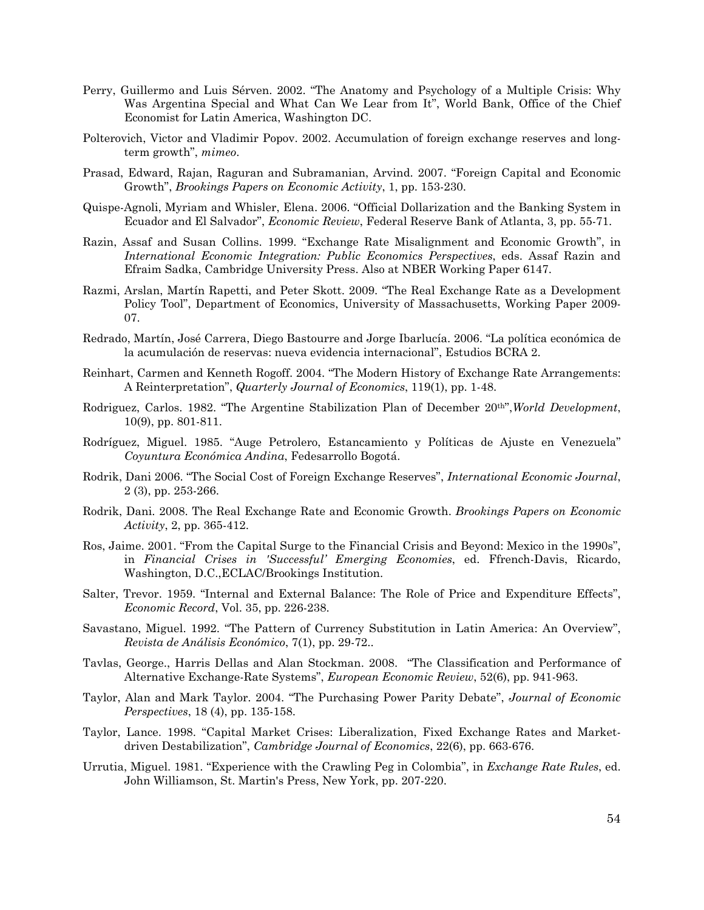- Perry, Guillermo and Luis Sérven. 2002. "The Anatomy and Psychology of a Multiple Crisis: Why Was Argentina Special and What Can We Lear from It", World Bank, Office of the Chief Economist for Latin America, Washington DC.
- Polterovich, Victor and Vladimir Popov. 2002. Accumulation of foreign exchange reserves and longterm growth", *mimeo*.
- Prasad, Edward, Rajan, Raguran and Subramanian, Arvind. 2007. "Foreign Capital and Economic Growth", *Brookings Papers on Economic Activity*, 1, pp. 153-230.
- Quispe-Agnoli, Myriam and Whisler, Elena. 2006. "Official Dollarization and the Banking System in Ecuador and El Salvador", *Economic Review*, Federal Reserve Bank of Atlanta, 3, pp. 55-71.
- Razin, Assaf and Susan Collins. 1999. "Exchange Rate Misalignment and Economic Growth", in *International Economic Integration: Public Economics Perspectives*, eds. Assaf Razin and Efraim Sadka, Cambridge University Press. Also at NBER Working Paper 6147.
- Razmi, Arslan, Martín Rapetti, and Peter Skott. 2009. "The Real Exchange Rate as a Development Policy Tool", Department of Economics, University of Massachusetts, Working Paper 2009- 07.
- Redrado, Martín, José Carrera, Diego Bastourre and Jorge Ibarlucía. 2006. "La política económica de la acumulación de reservas: nueva evidencia internacional", Estudios BCRA 2.
- Reinhart, Carmen and Kenneth Rogoff. 2004. "The Modern History of Exchange Rate Arrangements: A Reinterpretation", *Quarterly Journal of Economics*, 119(1), pp. 1-48.
- Rodriguez, Carlos. 1982. "The Argentine Stabilization Plan of December 20th",*World Development*, 10(9), pp. 801-811.
- Rodríguez, Miguel. 1985. "Auge Petrolero, Estancamiento y Políticas de Ajuste en Venezuela" *Coyuntura Económica Andina*, Fedesarrollo Bogotá.
- Rodrik, Dani 2006. "The Social Cost of Foreign Exchange Reserves", *International Economic Journal*, 2 (3), pp. 253-266.
- Rodrik, Dani. 2008. The Real Exchange Rate and Economic Growth. *Brookings Papers on Economic Activity*, 2, pp. 365-412.
- Ros, Jaime. 2001. "From the Capital Surge to the Financial Crisis and Beyond: Mexico in the 1990s", in *Financial Crises in 'Successful' Emerging Economies*, ed. Ffrench-Davis, Ricardo, Washington, D.C.,ECLAC/Brookings Institution.
- Salter, Trevor. 1959. "Internal and External Balance: The Role of Price and Expenditure Effects", *Economic Record*, Vol. 35, pp. 226-238.
- Savastano, Miguel. 1992. "The Pattern of Currency Substitution in Latin America: An Overview", *Revista de Análisis Económico*, 7(1), pp. 29-72..
- Tavlas, George., Harris Dellas and Alan Stockman. 2008. "The Classification and Performance of Alternative Exchange-Rate Systems", *European Economic Review*, 52(6), pp. 941-963.
- Taylor, Alan and Mark Taylor. 2004. "The Purchasing Power Parity Debate", *Journal of Economic Perspectives*, 18 (4), pp. 135-158.
- Taylor, Lance. 1998. "Capital Market Crises: Liberalization, Fixed Exchange Rates and Marketdriven Destabilization", *Cambridge Journal of Economics*, 22(6), pp. 663-676.
- Urrutia, Miguel. 1981. "Experience with the Crawling Peg in Colombia", in *Exchange Rate Rules*, ed. John Williamson, St. Martin's Press, New York, pp. 207-220.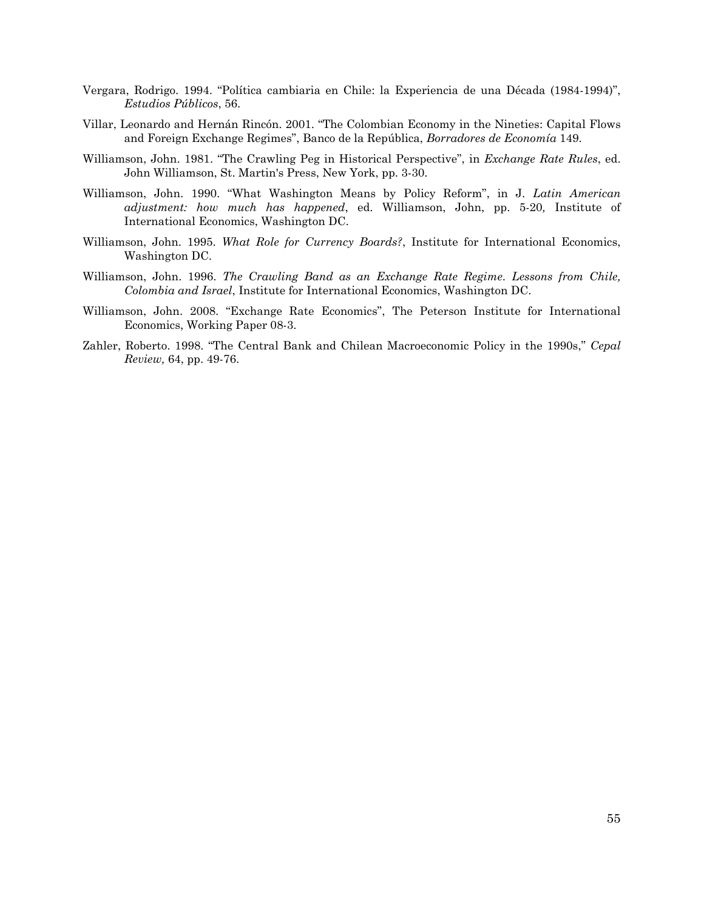- Vergara, Rodrigo. 1994. "Política cambiaria en Chile: la Experiencia de una Década (1984-1994)", *Estudios Públicos*, 56.
- Villar, Leonardo and Hernán Rincón. 2001. "The Colombian Economy in the Nineties: Capital Flows and Foreign Exchange Regimes", Banco de la República, *Borradores de Economía* 149.
- Williamson, John. 1981. "The Crawling Peg in Historical Perspective", in *Exchange Rate Rules*, ed. John Williamson, St. Martin's Press, New York, pp. 3-30.
- Williamson, John. 1990. "What Washington Means by Policy Reform", in J. *Latin American adjustment: how much has happened*, ed. Williamson, John, pp. 5-20*,* Institute of International Economics, Washington DC.
- Williamson, John. 1995. *What Role for Currency Boards?*, Institute for International Economics, Washington DC.
- Williamson, John. 1996. *The Crawling Band as an Exchange Rate Regime*. *Lessons from Chile, Colombia and Israel*, Institute for International Economics, Washington DC.
- Williamson, John. 2008. "Exchange Rate Economics", The Peterson Institute for International Economics, Working Paper 08-3.
- Zahler, Roberto. 1998. "The Central Bank and Chilean Macroeconomic Policy in the 1990s," *Cepal Review,* 64, pp. 49-76.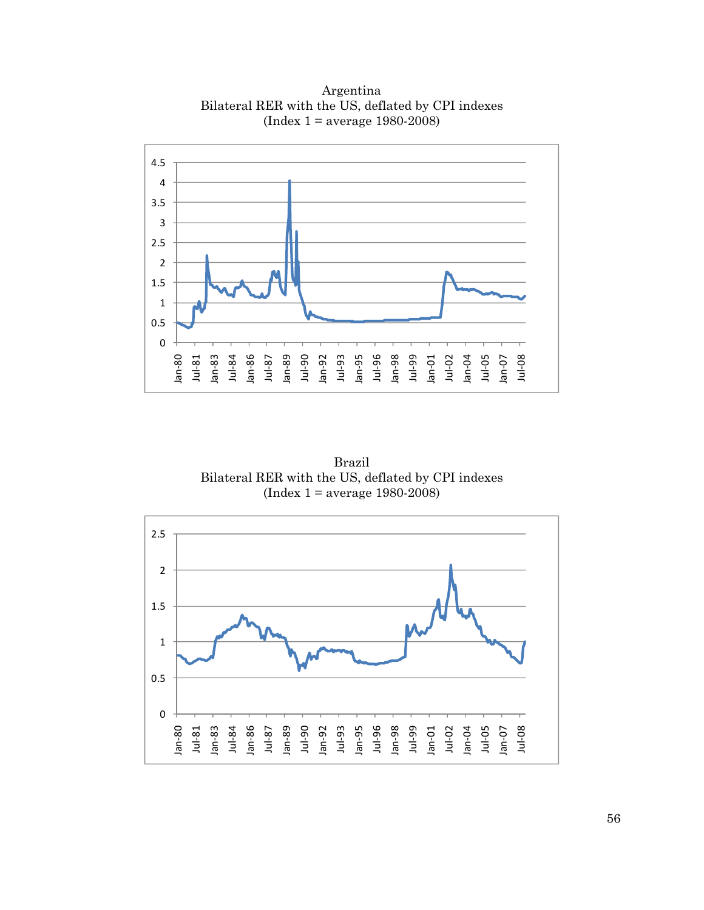

Argentina Bilateral RER with the US, deflated by CPI indexes (Index 1 = average 1980-2008)

Brazil Bilateral RER with the US, deflated by CPI indexes (Index 1 = average 1980-2008)

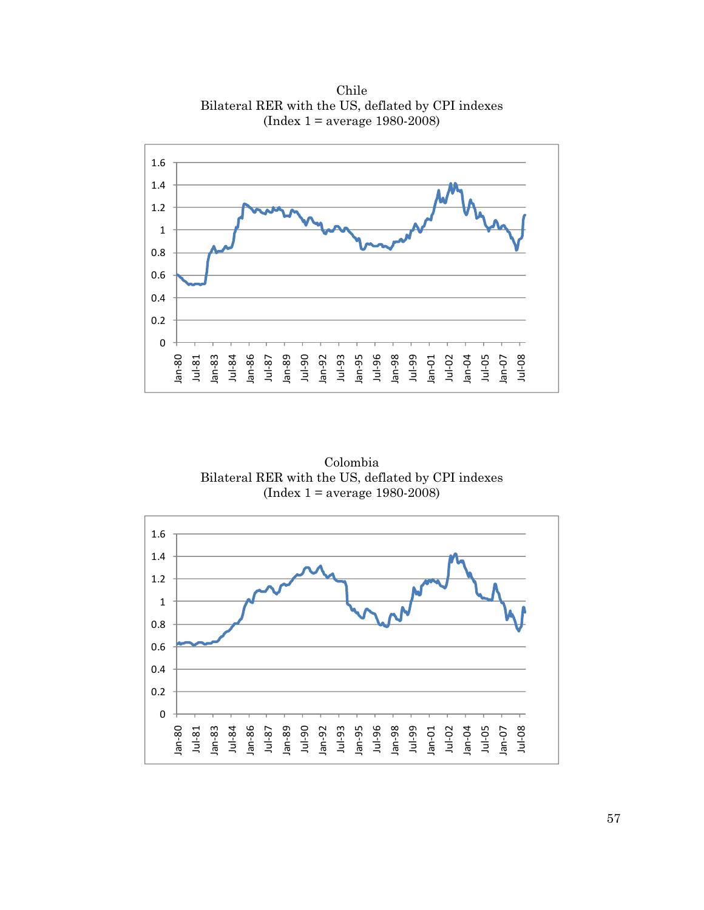

Chile Bilateral RER with the US, deflated by CPI indexes (Index 1 = average 1980-2008)

Colombia Bilateral RER with the US, deflated by CPI indexes (Index 1 = average 1980-2008)